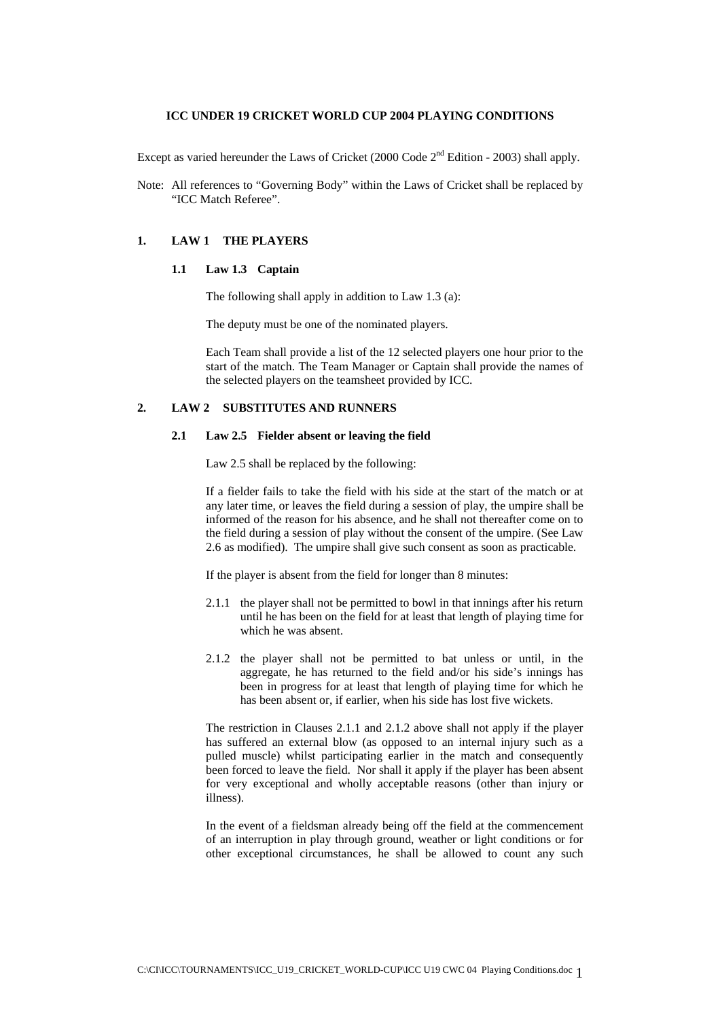## **ICC UNDER 19 CRICKET WORLD CUP 2004 PLAYING CONDITIONS**

Except as varied hereunder the [Laws of Cricket](http://www-uk.cricket.org/link_to_database/ABOUT_CRICKET/LAWS/2000_CODE/) (2000 Code  $2<sup>nd</sup>$  Edition - 2003) shall apply.

Note: All references to "Governing Body" within the Laws of Cricket shall be replaced by "ICC Match Referee".

#### **1. LAW 1 THE PLAYERS**

#### **1.1 Law 1.3 Captain**

The following shall apply in addition to Law 1.3 (a):

The deputy must be one of the nominated players.

Each Team shall provide a list of the 12 selected players one hour prior to the start of the match. The Team Manager or Captain shall provide the names of the selected players on the teamsheet provided by ICC.

## **2. LAW 2 SUBSTITUTES AND RUNNERS**

#### **2.1 Law 2.5 Fielder absent or leaving the field**

Law 2.5 shall be replaced by the following:

If a fielder fails to take the field with his side at the start of the match or at any later time, or leaves the field during a session of play, the umpire shall be informed of the reason for his absence, and he shall not thereafter come on to the field during a session of play without the consent of the umpire. (See Law 2.6 as modified). The umpire shall give such consent as soon as practicable.

If the player is absent from the field for longer than 8 minutes:

- 2.1.1 the player shall not be permitted to bowl in that innings after his return until he has been on the field for at least that length of playing time for which he was absent.
- 2.1.2 the player shall not be permitted to bat unless or until, in the aggregate, he has returned to the field and/or his side's innings has been in progress for at least that length of playing time for which he has been absent or, if earlier, when his side has lost five wickets.

The restriction in Clauses 2.1.1 and 2.1.2 above shall not apply if the player has suffered an external blow (as opposed to an internal injury such as a pulled muscle) whilst participating earlier in the match and consequently been forced to leave the field. Nor shall it apply if the player has been absent for very exceptional and wholly acceptable reasons (other than injury or illness).

In the event of a fieldsman already being off the field at the commencement of an interruption in play through ground, weather or light conditions or for other exceptional circumstances, he shall be allowed to count any such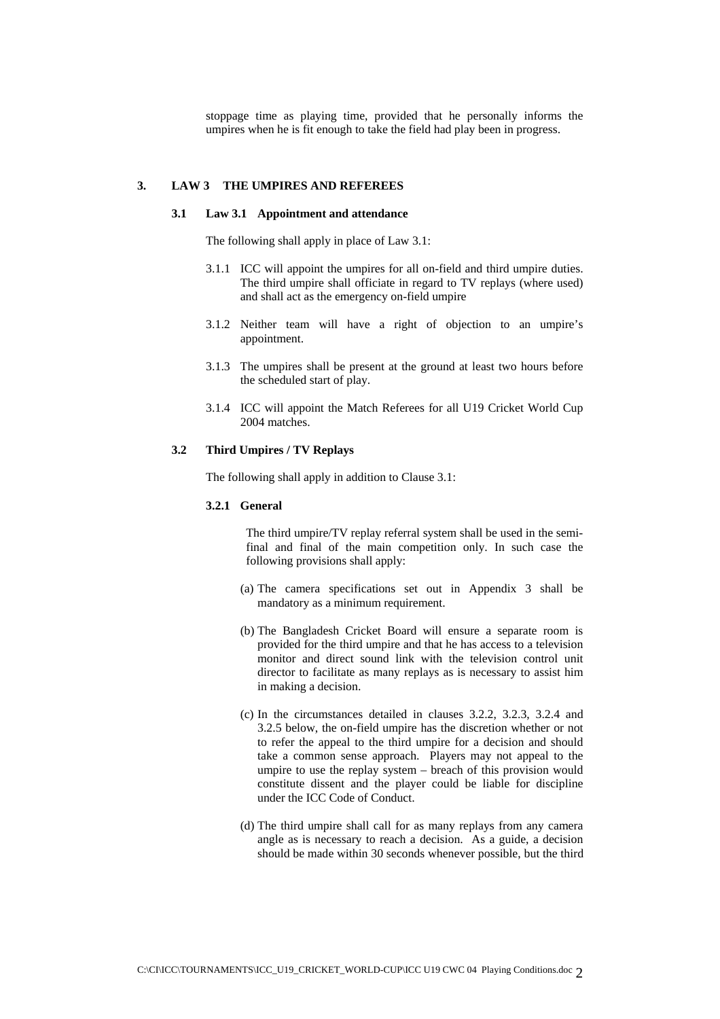stoppage time as playing time, provided that he personally informs the umpires when he is fit enough to take the field had play been in progress.

## **3. LAW 3 THE UMPIRES AND REFEREES**

#### **3.1 Law 3.1 Appointment and attendance**

The following shall apply in place of Law 3.1:

- 3.1.1 ICC will appoint the umpires for all on-field and third umpire duties. The third umpire shall officiate in regard to TV replays (where used) and shall act as the emergency on-field umpire
- 3.1.2 Neither team will have a right of objection to an umpire's appointment.
- 3.1.3 The umpires shall be present at the ground at least two hours before the scheduled start of play.
- 3.1.4 ICC will appoint the Match Referees for all U19 Cricket World Cup 2004 matches.

## **3.2 Third Umpires / TV Replays**

The following shall apply in addition to Clause 3.1:

#### **3.2.1 General**

The third umpire/TV replay referral system shall be used in the semifinal and final of the main competition only. In such case the following provisions shall apply:

- (a) The camera specifications set out in Appendix 3 shall be mandatory as a minimum requirement.
- (b) The Bangladesh Cricket Board will ensure a separate room is provided for the third umpire and that he has access to a television monitor and direct sound link with the television control unit director to facilitate as many replays as is necessary to assist him in making a decision.
- (c) In the circumstances detailed in clauses 3.2.2, 3.2.3, 3.2.4 and 3.2.5 below, the on-field umpire has the discretion whether or not to refer the appeal to the third umpire for a decision and should take a common sense approach. Players may not appeal to the umpire to use the replay system – breach of this provision would constitute dissent and the player could be liable for discipline under the ICC Code of Conduct.
- (d) The third umpire shall call for as many replays from any camera angle as is necessary to reach a decision. As a guide, a decision should be made within 30 seconds whenever possible, but the third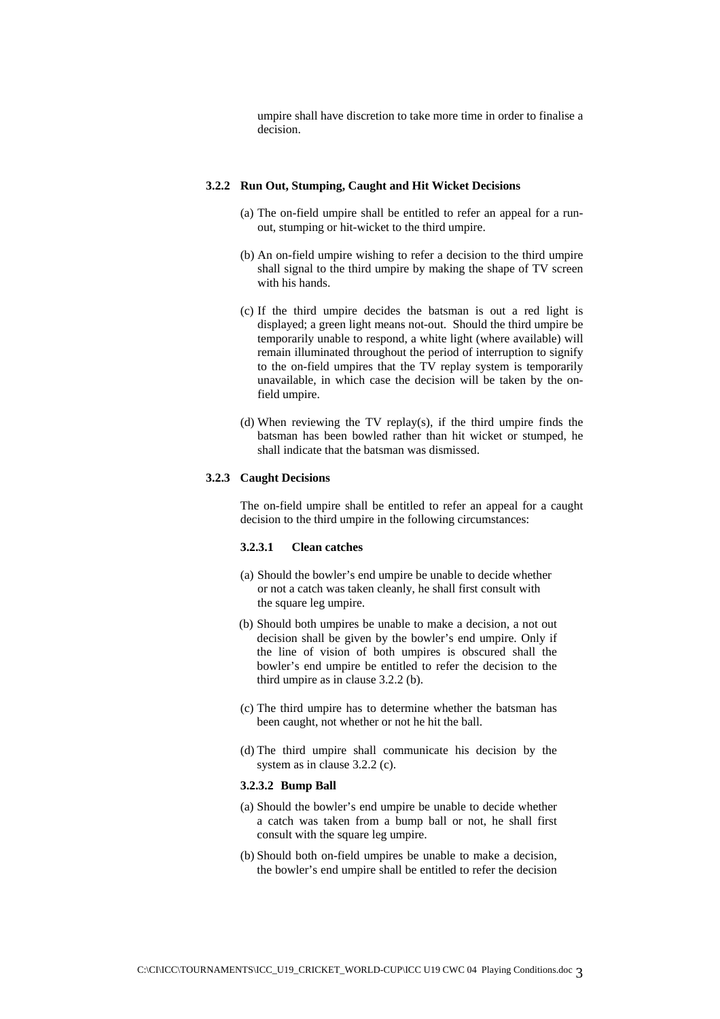umpire shall have discretion to take more time in order to finalise a decision.

#### **3.2.2 Run Out, Stumping, Caught and Hit Wicket Decisions**

- (a) The on-field umpire shall be entitled to refer an appeal for a runout, stumping or hit-wicket to the third umpire.
- (b) An on-field umpire wishing to refer a decision to the third umpire shall signal to the third umpire by making the shape of TV screen with his hands.
- (c) If the third umpire decides the batsman is out a red light is displayed; a green light means not-out. Should the third umpire be temporarily unable to respond, a white light (where available) will remain illuminated throughout the period of interruption to signify to the on-field umpires that the TV replay system is temporarily unavailable, in which case the decision will be taken by the onfield umpire.
- (d) When reviewing the TV replay(s), if the third umpire finds the batsman has been bowled rather than hit wicket or stumped, he shall indicate that the batsman was dismissed.

#### **3.2.3 Caught Decisions**

The on-field umpire shall be entitled to refer an appeal for a caught decision to the third umpire in the following circumstances:

## **3.2.3.1 Clean catches**

- (a) Should the bowler's end umpire be unable to decide whether or not a catch was taken cleanly, he shall first consult with the square leg umpire.
- (b) Should both umpires be unable to make a decision, a not out decision shall be given by the bowler's end umpire. Only if the line of vision of both umpires is obscured shall the bowler's end umpire be entitled to refer the decision to the third umpire as in clause 3.2.2 (b).
- (c) The third umpire has to determine whether the batsman has been caught, not whether or not he hit the ball.
- (d) The third umpire shall communicate his decision by the system as in clause 3.2.2 (c).

#### **3.2.3.2 Bump Ball**

- (a) Should the bowler's end umpire be unable to decide whether a catch was taken from a bump ball or not, he shall first consult with the square leg umpire.
- (b) Should both on-field umpires be unable to make a decision, the bowler's end umpire shall be entitled to refer the decision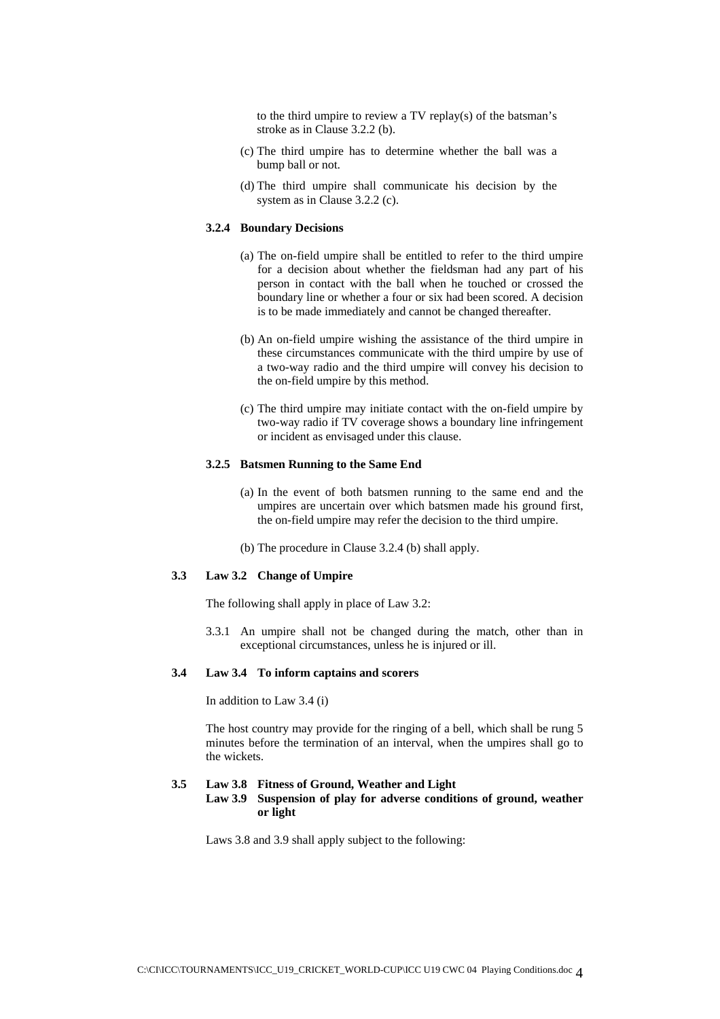to the third umpire to review a TV replay(s) of the batsman's stroke as in Clause 3.2.2 (b).

- (c) The third umpire has to determine whether the ball was a bump ball or not.
- (d) The third umpire shall communicate his decision by the system as in Clause 3.2.2 (c).

## **3.2.4 Boundary Decisions**

- (a) The on-field umpire shall be entitled to refer to the third umpire for a decision about whether the fieldsman had any part of his person in contact with the ball when he touched or crossed the boundary line or whether a four or six had been scored. A decision is to be made immediately and cannot be changed thereafter.
- (b) An on-field umpire wishing the assistance of the third umpire in these circumstances communicate with the third umpire by use of a two-way radio and the third umpire will convey his decision to the on-field umpire by this method.
- (c) The third umpire may initiate contact with the on-field umpire by two-way radio if TV coverage shows a boundary line infringement or incident as envisaged under this clause.

#### **3.2.5 Batsmen Running to the Same End**

- (a) In the event of both batsmen running to the same end and the umpires are uncertain over which batsmen made his ground first, the on-field umpire may refer the decision to the third umpire.
- (b) The procedure in Clause 3.2.4 (b) shall apply.

## **3.3 Law 3.2 Change of Umpire**

The following shall apply in place of Law 3.2:

3.3.1 An umpire shall not be changed during the match, other than in exceptional circumstances, unless he is injured or ill.

#### **3.4 Law 3.4 To inform captains and scorers**

In addition to Law 3.4 (i)

The host country may provide for the ringing of a bell, which shall be rung 5 minutes before the termination of an interval, when the umpires shall go to the wickets.

#### **3.5 Law 3.8 Fitness of Ground, Weather and Light**

**Law 3.9 Suspension of play for adverse conditions of ground, weather or light** 

Laws 3.8 and 3.9 shall apply subject to the following: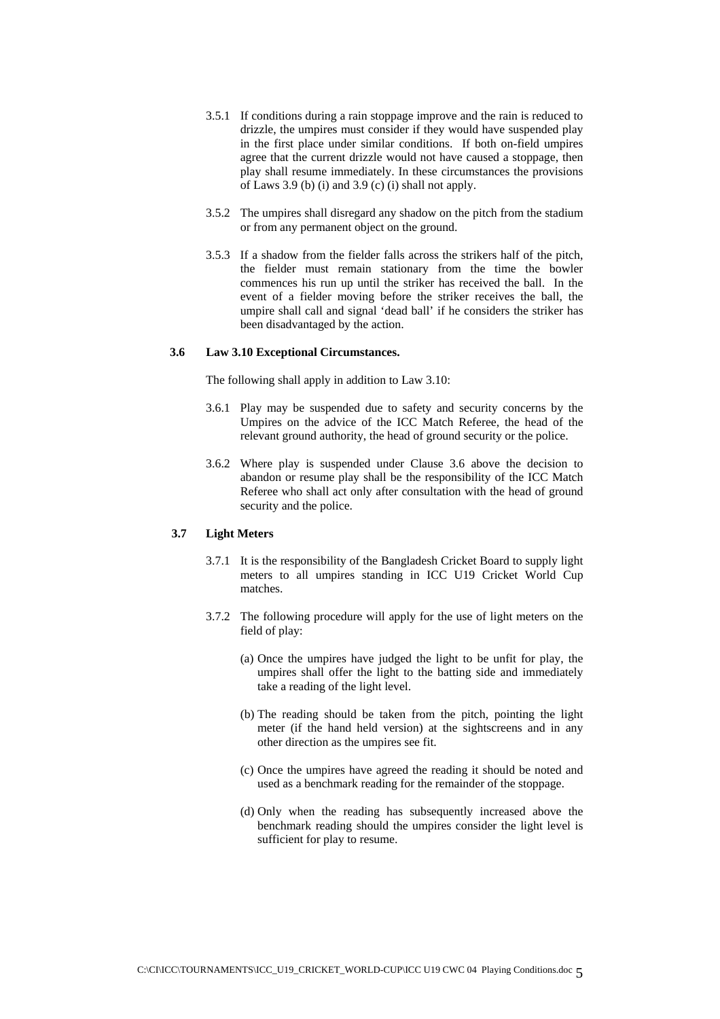- 3.5.1 If conditions during a rain stoppage improve and the rain is reduced to drizzle, the umpires must consider if they would have suspended play in the first place under similar conditions. If both on-field umpires agree that the current drizzle would not have caused a stoppage, then play shall resume immediately. In these circumstances the provisions of Laws 3.9 (b) (i) and 3.9 (c) (i) shall not apply.
- 3.5.2 The umpires shall disregard any shadow on the pitch from the stadium or from any permanent object on the ground.
- 3.5.3 If a shadow from the fielder falls across the strikers half of the pitch, the fielder must remain stationary from the time the bowler commences his run up until the striker has received the ball. In the event of a fielder moving before the striker receives the ball, the umpire shall call and signal 'dead ball' if he considers the striker has been disadvantaged by the action.

#### **3.6 Law 3.10 Exceptional Circumstances.**

The following shall apply in addition to Law 3.10:

- 3.6.1 Play may be suspended due to safety and security concerns by the Umpires on the advice of the ICC Match Referee, the head of the relevant ground authority, the head of ground security or the police.
- 3.6.2 Where play is suspended under Clause 3.6 above the decision to abandon or resume play shall be the responsibility of the ICC Match Referee who shall act only after consultation with the head of ground security and the police.

#### **3.7 Light Meters**

- 3.7.1 It is the responsibility of the Bangladesh Cricket Board to supply light meters to all umpires standing in ICC U19 Cricket World Cup matches.
- 3.7.2 The following procedure will apply for the use of light meters on the field of play:
	- (a) Once the umpires have judged the light to be unfit for play, the umpires shall offer the light to the batting side and immediately take a reading of the light level.
	- (b) The reading should be taken from the pitch, pointing the light meter (if the hand held version) at the sightscreens and in any other direction as the umpires see fit.
	- (c) Once the umpires have agreed the reading it should be noted and used as a benchmark reading for the remainder of the stoppage.
	- (d) Only when the reading has subsequently increased above the benchmark reading should the umpires consider the light level is sufficient for play to resume.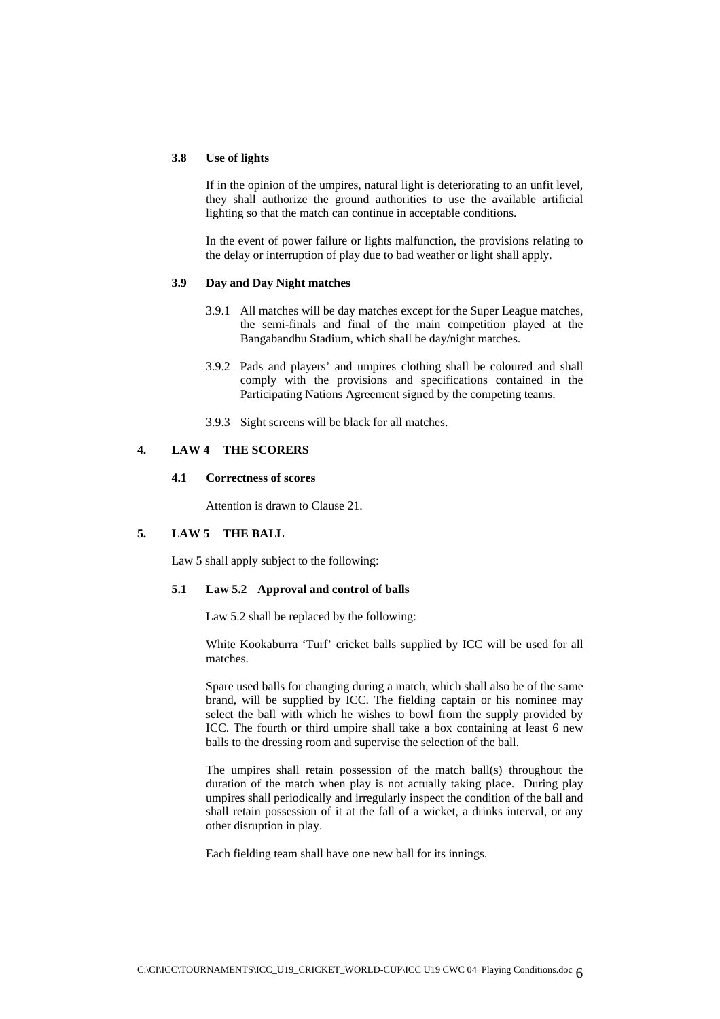## **3.8 Use of lights**

If in the opinion of the umpires, natural light is deteriorating to an unfit level, they shall authorize the ground authorities to use the available artificial lighting so that the match can continue in acceptable conditions.

In the event of power failure or lights malfunction, the provisions relating to the delay or interruption of play due to bad weather or light shall apply.

#### **3.9 Day and Day Night matches**

- 3.9.1 All matches will be day matches except for the Super League matches, the semi-finals and final of the main competition played at the Bangabandhu Stadium, which shall be day/night matches.
- 3.9.2 Pads and players' and umpires clothing shall be coloured and shall comply with the provisions and specifications contained in the Participating Nations Agreement signed by the competing teams.
- 3.9.3 Sight screens will be black for all matches.

## **4. LAW 4 THE SCORERS**

#### **4.1 Correctness of scores**

Attention is drawn to Clause 21.

## **5. LAW 5 THE BALL**

Law 5 shall apply subject to the following:

## **5.1 Law 5.2 Approval and control of balls**

Law 5.2 shall be replaced by the following:

White Kookaburra 'Turf' cricket balls supplied by ICC will be used for all matches.

Spare used balls for changing during a match, which shall also be of the same brand, will be supplied by ICC. The fielding captain or his nominee may select the ball with which he wishes to bowl from the supply provided by ICC. The fourth or third umpire shall take a box containing at least 6 new balls to the dressing room and supervise the selection of the ball.

The umpires shall retain possession of the match ball(s) throughout the duration of the match when play is not actually taking place. During play umpires shall periodically and irregularly inspect the condition of the ball and shall retain possession of it at the fall of a wicket, a drinks interval, or any other disruption in play.

Each fielding team shall have one new ball for its innings.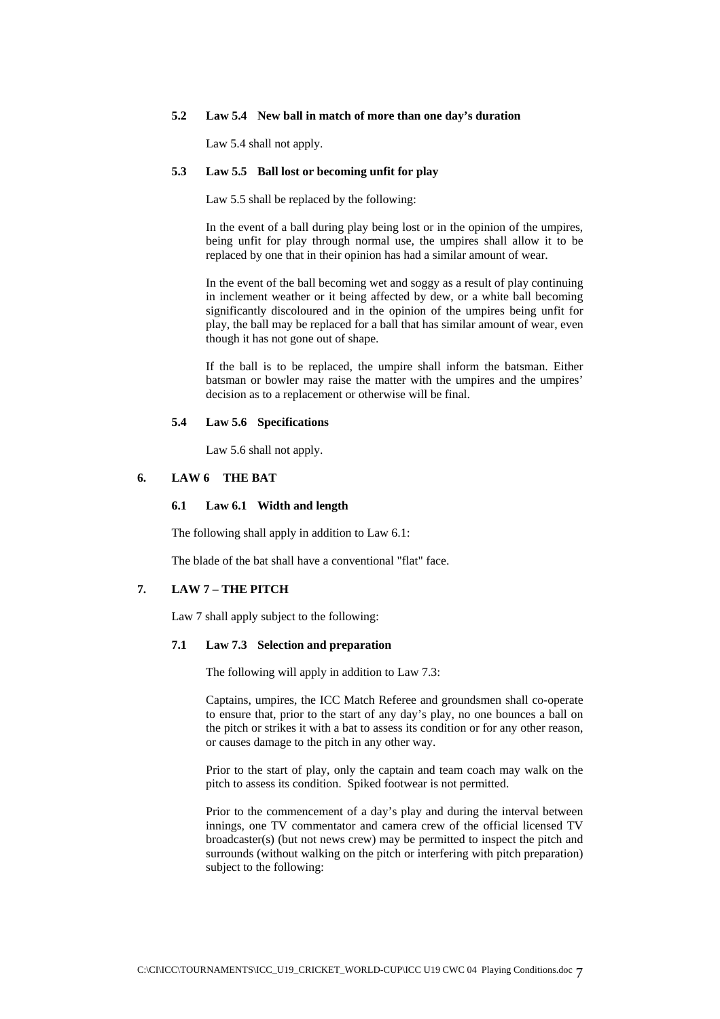## **5.2 Law 5.4 New ball in match of more than one day's duration**

Law 5.4 shall not apply.

## **5.3 Law 5.5 Ball lost or becoming unfit for play**

Law 5.5 shall be replaced by the following:

In the event of a ball during play being lost or in the opinion of the umpires, being unfit for play through normal use, the umpires shall allow it to be replaced by one that in their opinion has had a similar amount of wear.

In the event of the ball becoming wet and soggy as a result of play continuing in inclement weather or it being affected by dew, or a white ball becoming significantly discoloured and in the opinion of the umpires being unfit for play, the ball may be replaced for a ball that has similar amount of wear, even though it has not gone out of shape.

If the ball is to be replaced, the umpire shall inform the batsman. Either batsman or bowler may raise the matter with the umpires and the umpires' decision as to a replacement or otherwise will be final.

#### **5.4 Law 5.6 Specifications**

Law 5.6 shall not apply.

## **6. LAW 6 THE BAT**

#### **6.1 Law 6.1 Width and length**

The following shall apply in addition to Law 6.1:

The blade of the bat shall have a conventional "flat" face.

## **7. LAW 7 – THE PITCH**

Law 7 shall apply subject to the following:

#### **7.1 Law 7.3 Selection and preparation**

The following will apply in addition to Law 7.3:

Captains, umpires, the ICC Match Referee and groundsmen shall co-operate to ensure that, prior to the start of any day's play, no one bounces a ball on the pitch or strikes it with a bat to assess its condition or for any other reason, or causes damage to the pitch in any other way.

Prior to the start of play, only the captain and team coach may walk on the pitch to assess its condition. Spiked footwear is not permitted.

Prior to the commencement of a day's play and during the interval between innings, one TV commentator and camera crew of the official licensed TV broadcaster(s) (but not news crew) may be permitted to inspect the pitch and surrounds (without walking on the pitch or interfering with pitch preparation) subject to the following: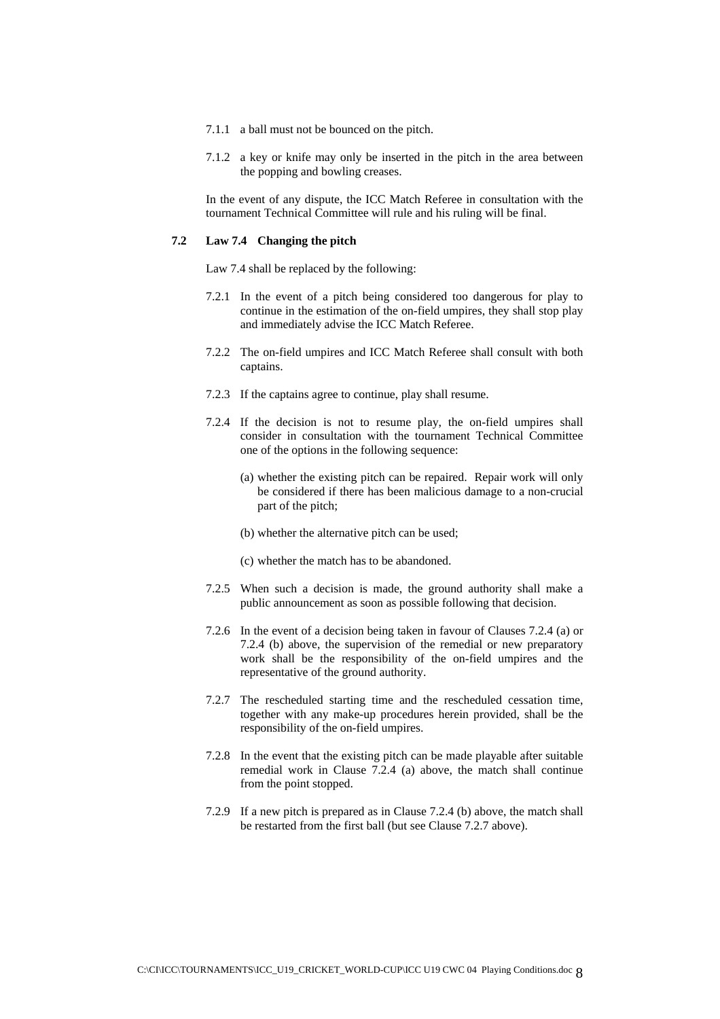- 7.1.1 a ball must not be bounced on the pitch.
- 7.1.2 a key or knife may only be inserted in the pitch in the area between the popping and bowling creases.

In the event of any dispute, the ICC Match Referee in consultation with the tournament Technical Committee will rule and his ruling will be final.

#### **7.2 Law 7.4 Changing the pitch**

Law 7.4 shall be replaced by the following:

- 7.2.1 In the event of a pitch being considered too dangerous for play to continue in the estimation of the on-field umpires, they shall stop play and immediately advise the ICC Match Referee.
- 7.2.2 The on-field umpires and ICC Match Referee shall consult with both captains.
- 7.2.3 If the captains agree to continue, play shall resume.
- 7.2.4 If the decision is not to resume play, the on-field umpires shall consider in consultation with the tournament Technical Committee one of the options in the following sequence:
	- (a) whether the existing pitch can be repaired. Repair work will only be considered if there has been malicious damage to a non-crucial part of the pitch;
	- (b) whether the alternative pitch can be used;
	- (c) whether the match has to be abandoned.
- 7.2.5 When such a decision is made, the ground authority shall make a public announcement as soon as possible following that decision.
- 7.2.6 In the event of a decision being taken in favour of Clauses 7.2.4 (a) or 7.2.4 (b) above, the supervision of the remedial or new preparatory work shall be the responsibility of the on-field umpires and the representative of the ground authority.
- 7.2.7 The rescheduled starting time and the rescheduled cessation time, together with any make-up procedures herein provided, shall be the responsibility of the on-field umpires.
- 7.2.8 In the event that the existing pitch can be made playable after suitable remedial work in Clause 7.2.4 (a) above, the match shall continue from the point stopped.
- 7.2.9 If a new pitch is prepared as in Clause 7.2.4 (b) above, the match shall be restarted from the first ball (but see Clause 7.2.7 above).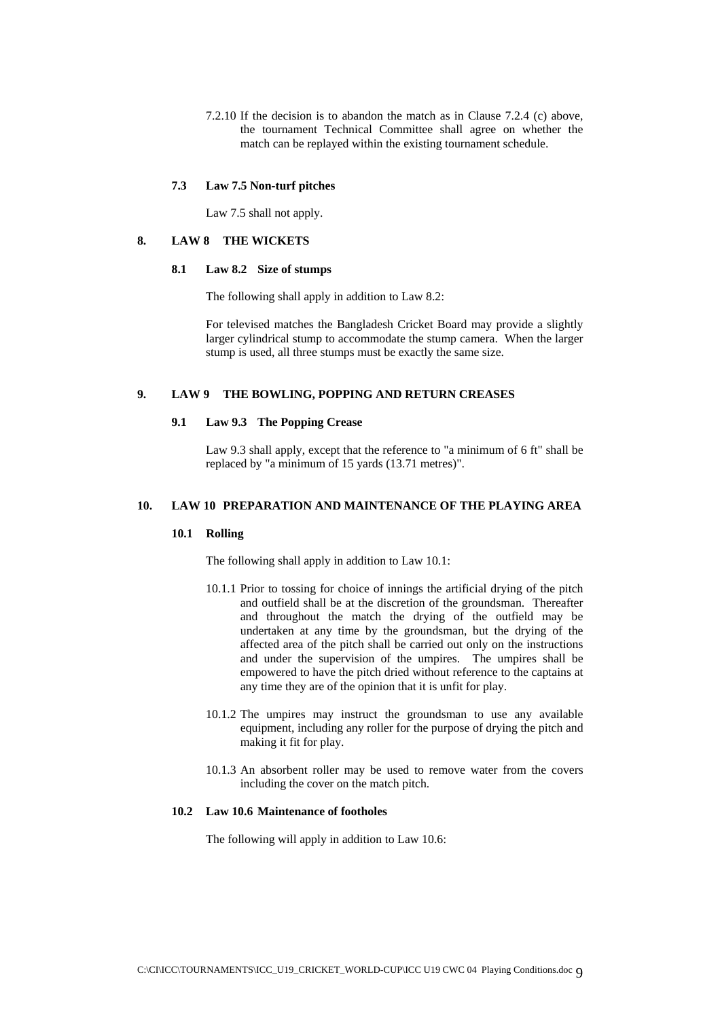7.2.10 If the decision is to abandon the match as in Clause 7.2.4 (c) above, the tournament Technical Committee shall agree on whether the match can be replayed within the existing tournament schedule.

#### **7.3 Law 7.5 Non-turf pitches**

Law 7.5 shall not apply.

## **8. LAW 8 THE WICKETS**

#### **8.1 Law 8.2 Size of stumps**

The following shall apply in addition to Law 8.2:

For televised matches the Bangladesh Cricket Board may provide a slightly larger cylindrical stump to accommodate the stump camera. When the larger stump is used, all three stumps must be exactly the same size.

#### **9. LAW 9 THE BOWLING, POPPING AND RETURN CREASES**

## **9.1 Law 9.3 The Popping Crease**

Law 9.3 shall apply, except that the reference to "a minimum of 6 ft" shall be replaced by "a minimum of 15 yards (13.71 metres)".

## **10. LAW 10 PREPARATION AND MAINTENANCE OF THE PLAYING AREA**

#### **10.1 Rolling**

The following shall apply in addition to Law 10.1:

- 10.1.1 Prior to tossing for choice of innings the artificial drying of the pitch and outfield shall be at the discretion of the groundsman. Thereafter and throughout the match the drying of the outfield may be undertaken at any time by the groundsman, but the drying of the affected area of the pitch shall be carried out only on the instructions and under the supervision of the umpires. The umpires shall be empowered to have the pitch dried without reference to the captains at any time they are of the opinion that it is unfit for play.
- 10.1.2 The umpires may instruct the groundsman to use any available equipment, including any roller for the purpose of drying the pitch and making it fit for play.
- 10.1.3 An absorbent roller may be used to remove water from the covers including the cover on the match pitch.

#### **10.2 Law 10.6 Maintenance of footholes**

The following will apply in addition to Law 10.6: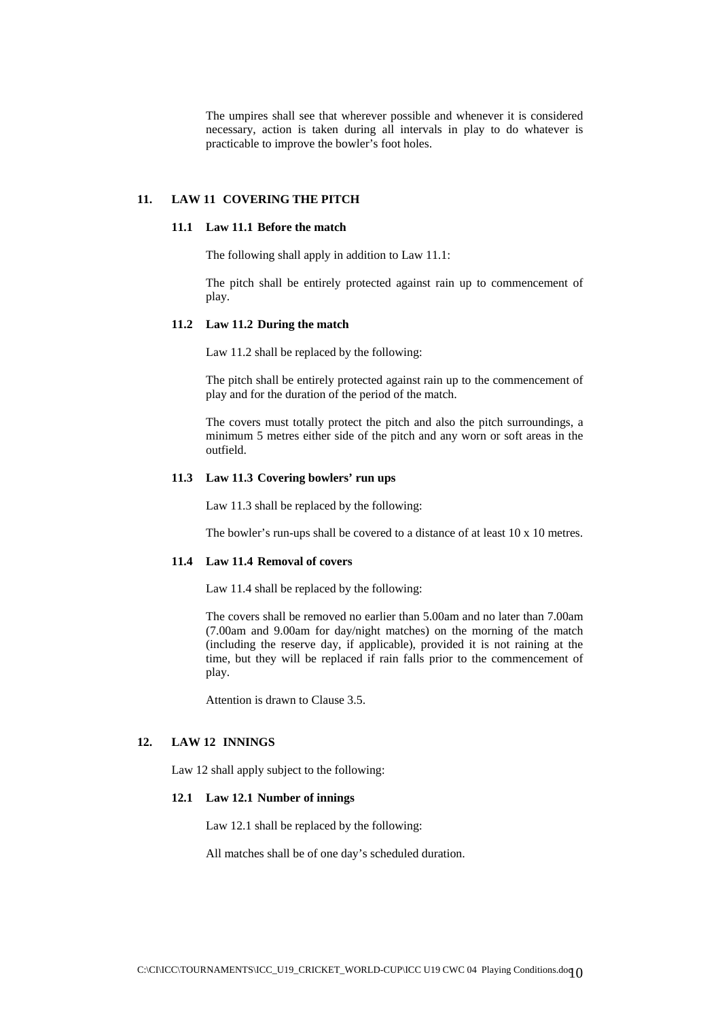The umpires shall see that wherever possible and whenever it is considered necessary, action is taken during all intervals in play to do whatever is practicable to improve the bowler's foot holes.

## **11. LAW 11 COVERING THE PITCH**

#### **11.1 Law 11.1 Before the match**

The following shall apply in addition to Law 11.1:

The pitch shall be entirely protected against rain up to commencement of play.

## **11.2 Law 11.2 During the match**

Law 11.2 shall be replaced by the following:

The pitch shall be entirely protected against rain up to the commencement of play and for the duration of the period of the match.

The covers must totally protect the pitch and also the pitch surroundings, a minimum 5 metres either side of the pitch and any worn or soft areas in the outfield.

#### **11.3 Law 11.3 Covering bowlers' run ups**

Law 11.3 shall be replaced by the following:

The bowler's run-ups shall be covered to a distance of at least 10 x 10 metres.

### **11.4 Law 11.4 Removal of covers**

Law 11.4 shall be replaced by the following:

The covers shall be removed no earlier than 5.00am and no later than 7.00am (7.00am and 9.00am for day/night matches) on the morning of the match (including the reserve day, if applicable), provided it is not raining at the time, but they will be replaced if rain falls prior to the commencement of play.

Attention is drawn to Clause 3.5.

## **12. LAW 12 INNINGS**

Law 12 shall apply subject to the following:

## **12.1 Law 12.1 Number of innings**

Law 12.1 shall be replaced by the following:

All matches shall be of one day's scheduled duration.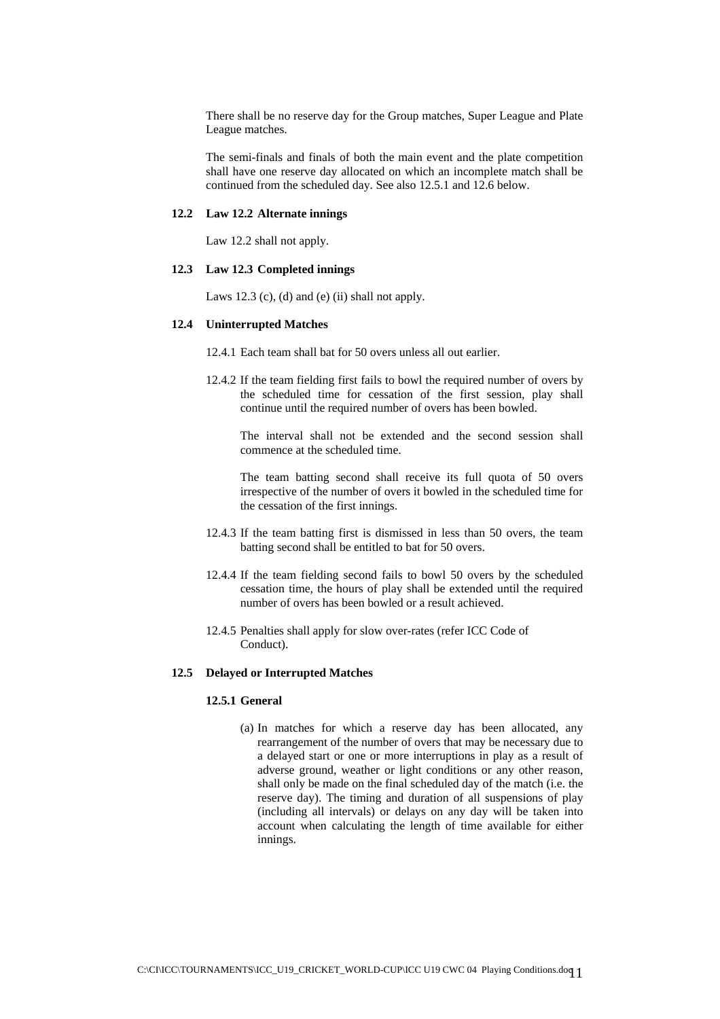There shall be no reserve day for the Group matches, Super League and Plate League matches.

The semi-finals and finals of both the main event and the plate competition shall have one reserve day allocated on which an incomplete match shall be continued from the scheduled day. See also 12.5.1 and 12.6 below.

#### **12.2 Law 12.2 Alternate innings**

Law 12.2 shall not apply.

#### **12.3 Law 12.3 Completed innings**

Laws 12.3 (c), (d) and (e) (ii) shall not apply.

#### **12.4 Uninterrupted Matches**

12.4.1 Each team shall bat for 50 overs unless all out earlier.

12.4.2 If the team fielding first fails to bowl the required number of overs by the scheduled time for cessation of the first session, play shall continue until the required number of overs has been bowled.

The interval shall not be extended and the second session shall commence at the scheduled time.

The team batting second shall receive its full quota of 50 overs irrespective of the number of overs it bowled in the scheduled time for the cessation of the first innings.

- 12.4.3 If the team batting first is dismissed in less than 50 overs, the team batting second shall be entitled to bat for 50 overs.
- 12.4.4 If the team fielding second fails to bowl 50 overs by the scheduled cessation time, the hours of play shall be extended until the required number of overs has been bowled or a result achieved.
- 12.4.5 Penalties shall apply for slow over-rates (refer ICC Code of Conduct).

#### **12.5 Delayed or Interrupted Matches**

## **12.5.1 General**

(a) In matches for which a reserve day has been allocated, any rearrangement of the number of overs that may be necessary due to a delayed start or one or more interruptions in play as a result of adverse ground, weather or light conditions or any other reason, shall only be made on the final scheduled day of the match (i.e. the reserve day). The timing and duration of all suspensions of play (including all intervals) or delays on any day will be taken into account when calculating the length of time available for either innings.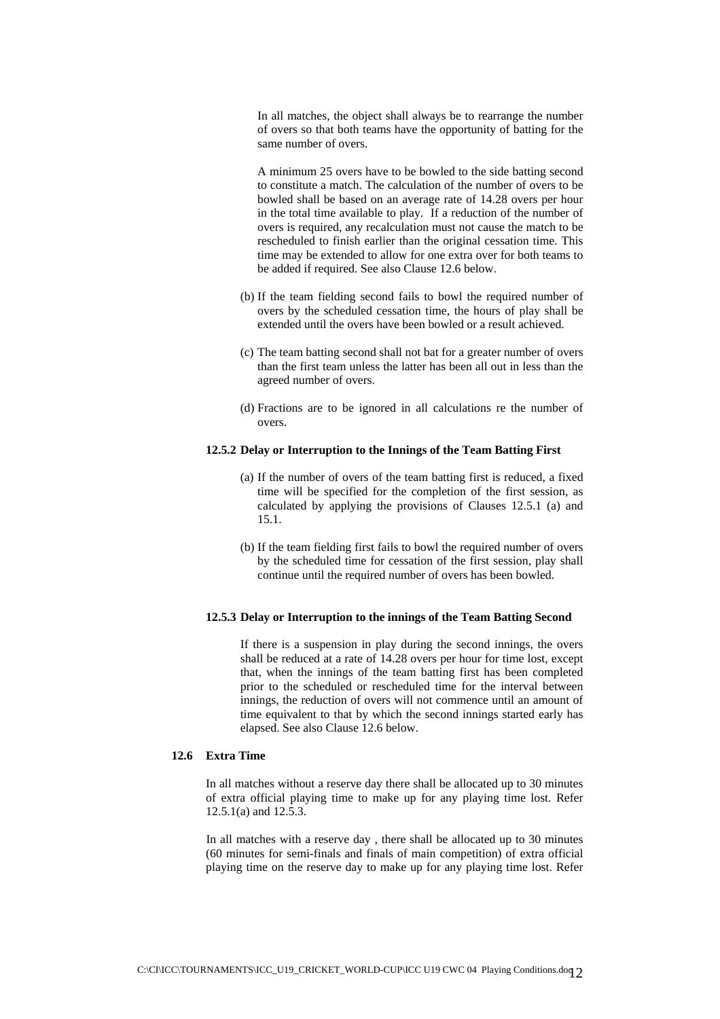In all matches, the object shall always be to rearrange the number of overs so that both teams have the opportunity of batting for the same number of overs.

A minimum 25 overs have to be bowled to the side batting second to constitute a match. The calculation of the number of overs to be bowled shall be based on an average rate of 14.28 overs per hour in the total time available to play. If a reduction of the number of overs is required, any recalculation must not cause the match to be rescheduled to finish earlier than the original cessation time. This time may be extended to allow for one extra over for both teams to be added if required. See also Clause 12.6 below.

- (b) If the team fielding second fails to bowl the required number of overs by the scheduled cessation time, the hours of play shall be extended until the overs have been bowled or a result achieved.
- (c) The team batting second shall not bat for a greater number of overs than the first team unless the latter has been all out in less than the agreed number of overs.
- (d) Fractions are to be ignored in all calculations re the number of overs.

#### **12.5.2 Delay or Interruption to the Innings of the Team Batting First**

- (a) If the number of overs of the team batting first is reduced, a fixed time will be specified for the completion of the first session, as calculated by applying the provisions of Clauses 12.5.1 (a) and 15.1.
- (b) If the team fielding first fails to bowl the required number of overs by the scheduled time for cessation of the first session, play shall continue until the required number of overs has been bowled.

## **12.5.3 Delay or Interruption to the innings of the Team Batting Second**

If there is a suspension in play during the second innings, the overs shall be reduced at a rate of 14.28 overs per hour for time lost, except that, when the innings of the team batting first has been completed prior to the scheduled or rescheduled time for the interval between innings, the reduction of overs will not commence until an amount of time equivalent to that by which the second innings started early has elapsed. See also Clause 12.6 below.

## **12.6 Extra Time**

In all matches without a reserve day there shall be allocated up to 30 minutes of extra official playing time to make up for any playing time lost. Refer 12.5.1(a) and 12.5.3.

In all matches with a reserve day , there shall be allocated up to 30 minutes (60 minutes for semi-finals and finals of main competition) of extra official playing time on the reserve day to make up for any playing time lost. Refer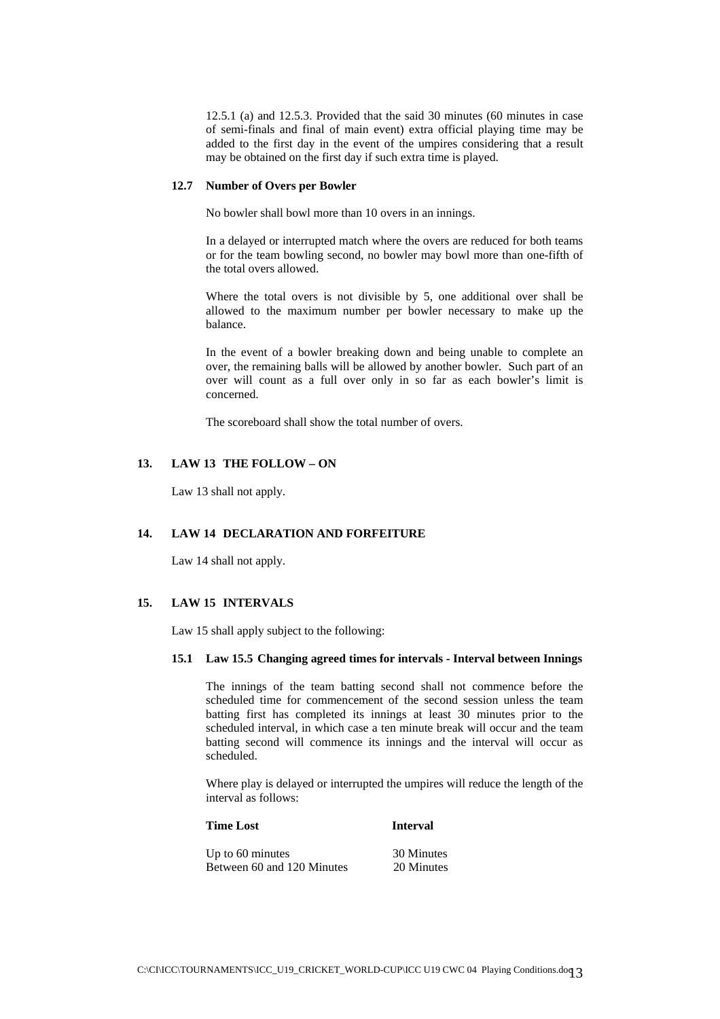12.5.1 (a) and 12.5.3. Provided that the said 30 minutes (60 minutes in case of semi-finals and final of main event) extra official playing time may be added to the first day in the event of the umpires considering that a result may be obtained on the first day if such extra time is played.

#### **12.7 Number of Overs per Bowler**

No bowler shall bowl more than 10 overs in an innings.

In a delayed or interrupted match where the overs are reduced for both teams or for the team bowling second, no bowler may bowl more than one-fifth of the total overs allowed.

Where the total overs is not divisible by 5, one additional over shall be allowed to the maximum number per bowler necessary to make up the balance.

In the event of a bowler breaking down and being unable to complete an over, the remaining balls will be allowed by another bowler. Such part of an over will count as a full over only in so far as each bowler's limit is concerned.

The scoreboard shall show the total number of overs.

## **13. LAW 13 THE FOLLOW – ON**

Law 13 shall not apply.

#### **14. LAW 14 DECLARATION AND FORFEITURE**

Law 14 shall not apply.

## **15. LAW 15 INTERVALS**

Law 15 shall apply subject to the following:

## **15.1 Law 15.5 Changing agreed times for intervals - Interval between Innings**

The innings of the team batting second shall not commence before the scheduled time for commencement of the second session unless the team batting first has completed its innings at least 30 minutes prior to the scheduled interval, in which case a ten minute break will occur and the team batting second will commence its innings and the interval will occur as scheduled.

Where play is delayed or interrupted the umpires will reduce the length of the interval as follows:

# **Time Lost** Interval Up to 60 minutes 30 Minutes Between 60 and 120 Minutes 20 Minutes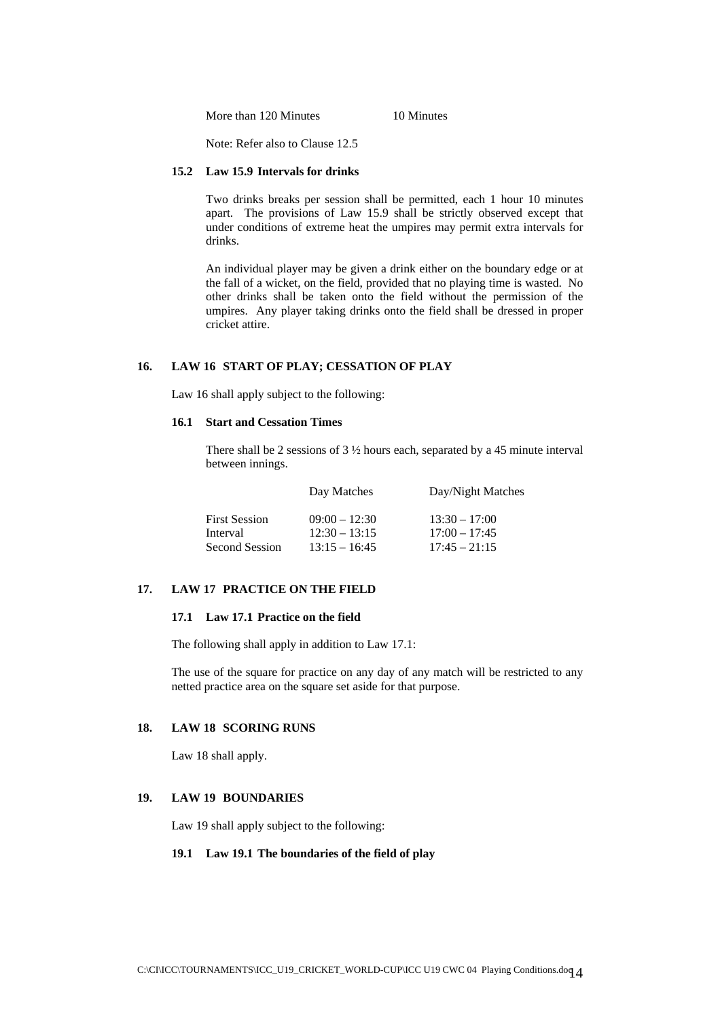More than 120 Minutes 10 Minutes

Note: Refer also to Clause 12.5

## **15.2 Law 15.9 Intervals for drinks**

Two drinks breaks per session shall be permitted, each 1 hour 10 minutes apart. The provisions of Law 15.9 shall be strictly observed except that under conditions of extreme heat the umpires may permit extra intervals for drinks.

An individual player may be given a drink either on the boundary edge or at the fall of a wicket, on the field, provided that no playing time is wasted. No other drinks shall be taken onto the field without the permission of the umpires. Any player taking drinks onto the field shall be dressed in proper cricket attire.

## **16. LAW 16 START OF PLAY; CESSATION OF PLAY**

Law 16 shall apply subject to the following:

## **16.1 Start and Cessation Times**

There shall be 2 sessions of 3 ½ hours each, separated by a 45 minute interval between innings.

|                                  | Day Matches                        | Day/Night Matches                  |
|----------------------------------|------------------------------------|------------------------------------|
| <b>First Session</b><br>Interval | $09:00 - 12:30$<br>$12:30 - 13:15$ | $13:30 - 17:00$<br>$17:00 - 17:45$ |
| Second Session                   | $13:15 - 16:45$                    | $17:45 - 21:15$                    |

## **17. LAW 17 PRACTICE ON THE FIELD**

## **17.1 Law 17.1 Practice on the field**

The following shall apply in addition to Law 17.1:

The use of the square for practice on any day of any match will be restricted to any netted practice area on the square set aside for that purpose.

## **18. LAW 18 SCORING RUNS**

Law 18 shall apply.

#### **19. LAW 19 BOUNDARIES**

Law 19 shall apply subject to the following:

## **19.1 Law 19.1 The boundaries of the field of play**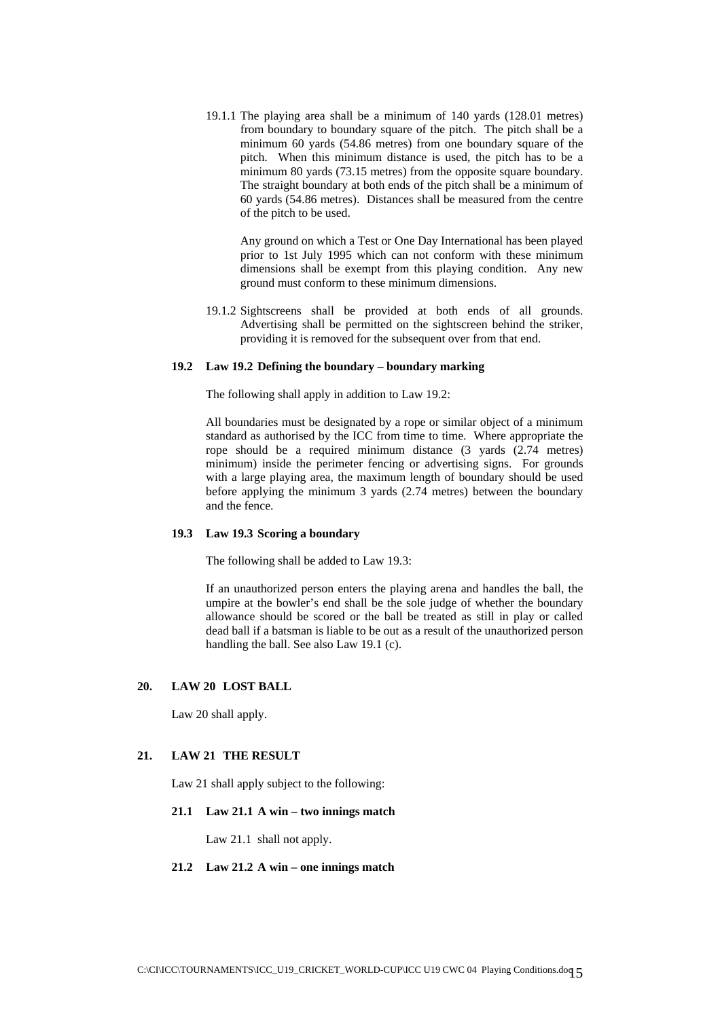19.1.1 The playing area shall be a minimum of 140 yards (128.01 metres) from boundary to boundary square of the pitch. The pitch shall be a minimum 60 yards (54.86 metres) from one boundary square of the pitch. When this minimum distance is used, the pitch has to be a minimum 80 yards (73.15 metres) from the opposite square boundary. The straight boundary at both ends of the pitch shall be a minimum of 60 yards (54.86 metres). Distances shall be measured from the centre of the pitch to be used.

Any ground on which a Test or One Day International has been played prior to 1st July 1995 which can not conform with these minimum dimensions shall be exempt from this playing condition. Any new ground must conform to these minimum dimensions.

19.1.2 Sightscreens shall be provided at both ends of all grounds. Advertising shall be permitted on the sightscreen behind the striker, providing it is removed for the subsequent over from that end.

#### **19.2 Law 19.2 Defining the boundary – boundary marking**

The following shall apply in addition to Law 19.2:

All boundaries must be designated by a rope or similar object of a minimum standard as authorised by the ICC from time to time. Where appropriate the rope should be a required minimum distance (3 yards (2.74 metres) minimum) inside the perimeter fencing or advertising signs. For grounds with a large playing area, the maximum length of boundary should be used before applying the minimum 3 yards (2.74 metres) between the boundary and the fence.

#### **19.3 Law 19.3 Scoring a boundary**

The following shall be added to Law 19.3:

If an unauthorized person enters the playing arena and handles the ball, the umpire at the bowler's end shall be the sole judge of whether the boundary allowance should be scored or the ball be treated as still in play or called dead ball if a batsman is liable to be out as a result of the unauthorized person handling the ball. See also Law 19.1 (c).

## **20. LAW 20 LOST BALL**

Law 20 shall apply.

#### **21. LAW 21 THE RESULT**

Law 21 shall apply subject to the following:

#### **21.1 Law 21.1 A win – two innings match**

Law 21.1 shall not apply.

## **21.2 Law 21.2 A win – one innings match**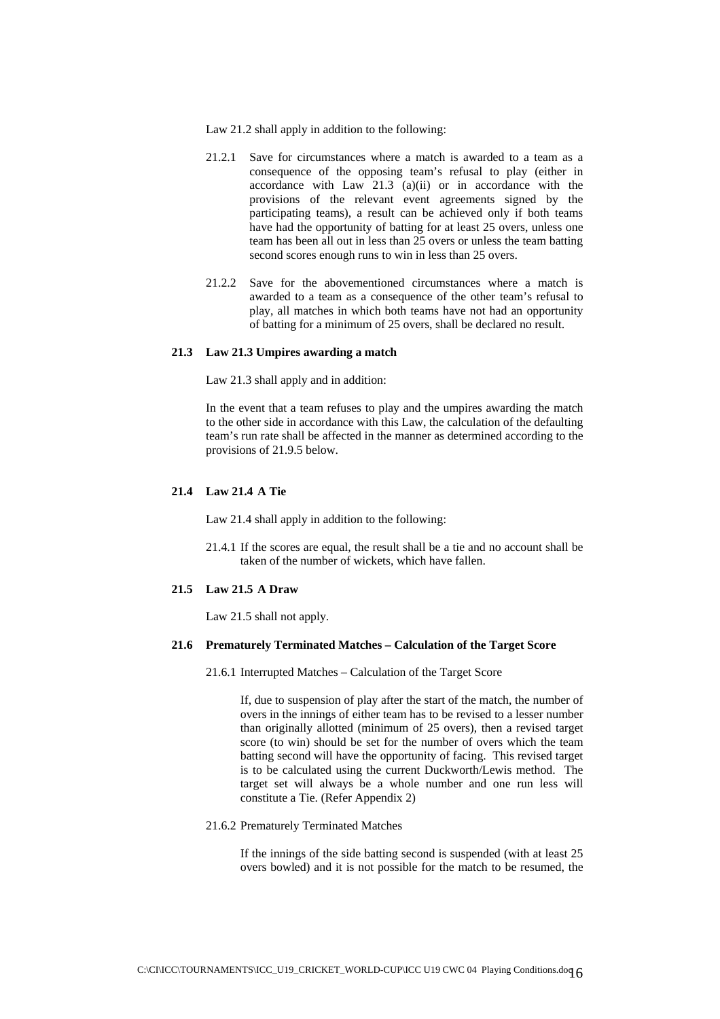- Law 21.2 shall apply in addition to the following:
- 21.2.1 Save for circumstances where a match is awarded to a team as a consequence of the opposing team's refusal to play (either in accordance with Law  $21.3$  (a)(ii) or in accordance with the provisions of the relevant event agreements signed by the participating teams), a result can be achieved only if both teams have had the opportunity of batting for at least 25 overs, unless one team has been all out in less than 25 overs or unless the team batting second scores enough runs to win in less than 25 overs.
- 21.2.2 Save for the abovementioned circumstances where a match is awarded to a team as a consequence of the other team's refusal to play, all matches in which both teams have not had an opportunity of batting for a minimum of 25 overs, shall be declared no result.

#### **21.3 Law 21.3 Umpires awarding a match**

Law 21.3 shall apply and in addition:

In the event that a team refuses to play and the umpires awarding the match to the other side in accordance with this Law, the calculation of the defaulting team's run rate shall be affected in the manner as determined according to the provisions of 21.9.5 below.

#### **21.4 Law 21.4 A Tie**

Law 21.4 shall apply in addition to the following:

21.4.1 If the scores are equal, the result shall be a tie and no account shall be taken of the number of wickets, which have fallen.

## **21.5 Law 21.5 A Draw**

Law 21.5 shall not apply.

#### **21.6 Prematurely Terminated Matches – Calculation of the Target Score**

21.6.1 Interrupted Matches – Calculation of the Target Score

If, due to suspension of play after the start of the match, the number of overs in the innings of either team has to be revised to a lesser number than originally allotted (minimum of 25 overs), then a revised target score (to win) should be set for the number of overs which the team batting second will have the opportunity of facing. This revised target is to be calculated using the current Duckworth/Lewis method. The target set will always be a whole number and one run less will constitute a Tie. (Refer Appendix 2)

#### 21.6.2 Prematurely Terminated Matches

If the innings of the side batting second is suspended (with at least 25 overs bowled) and it is not possible for the match to be resumed, the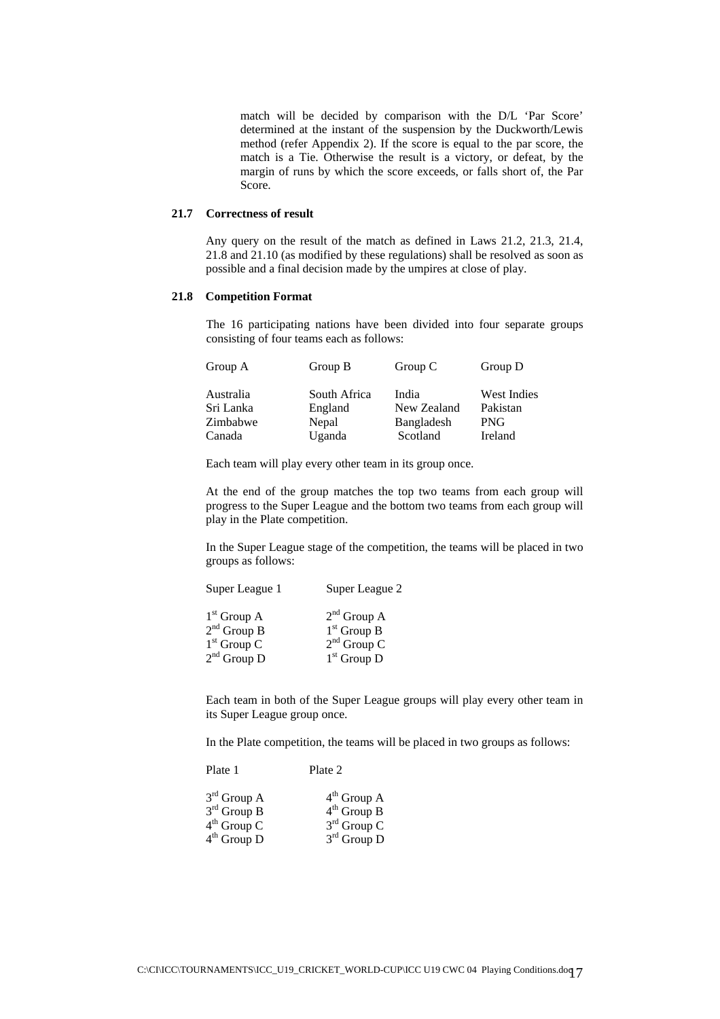match will be decided by comparison with the D/L 'Par Score' determined at the instant of the suspension by the Duckworth/Lewis method (refer Appendix 2). If the score is equal to the par score, the match is a Tie. Otherwise the result is a victory, or defeat, by the margin of runs by which the score exceeds, or falls short of, the Par Score.

#### **21.7 Correctness of result**

Any query on the result of the match as defined in Laws 21.2, 21.3, 21.4, 21.8 and 21.10 (as modified by these regulations) shall be resolved as soon as possible and a final decision made by the umpires at close of play.

## **21.8 Competition Format**

The 16 participating nations have been divided into four separate groups consisting of four teams each as follows:

| Group A                                      | Group B                                    | Group C                                        | Group D                                                 |
|----------------------------------------------|--------------------------------------------|------------------------------------------------|---------------------------------------------------------|
| Australia<br>Sri Lanka<br>Zimbabwe<br>Canada | South Africa<br>England<br>Nepal<br>Uganda | India<br>New Zealand<br>Bangladesh<br>Scotland | <b>West Indies</b><br>Pakistan<br><b>PNG</b><br>Ireland |
|                                              |                                            |                                                |                                                         |

Each team will play every other team in its group once.

At the end of the group matches the top two teams from each group will progress to the Super League and the bottom two teams from each group will play in the Plate competition.

In the Super League stage of the competition, the teams will be placed in two groups as follows:

|               | Super League 2 |
|---------------|----------------|
| $1st$ Group A | $2nd$ Group A  |
| $2nd$ Group B | $1st$ Group B  |
| $1st$ Group C | $2nd$ Group C  |
| $2nd$ Group D | $1st$ Group D  |

Each team in both of the Super League groups will play every other team in its Super League group once.

In the Plate competition, the teams will be placed in two groups as follows:

| Plate 1       | Plate 2                 |
|---------------|-------------------------|
| $3rd$ Group A | $4th$ Group A           |
| $3rd$ Group B | $4th$ Group B           |
| $4th$ Group C | $3^{\text{rd}}$ Group C |
| $4th$ Group D | $3rd$ Group D           |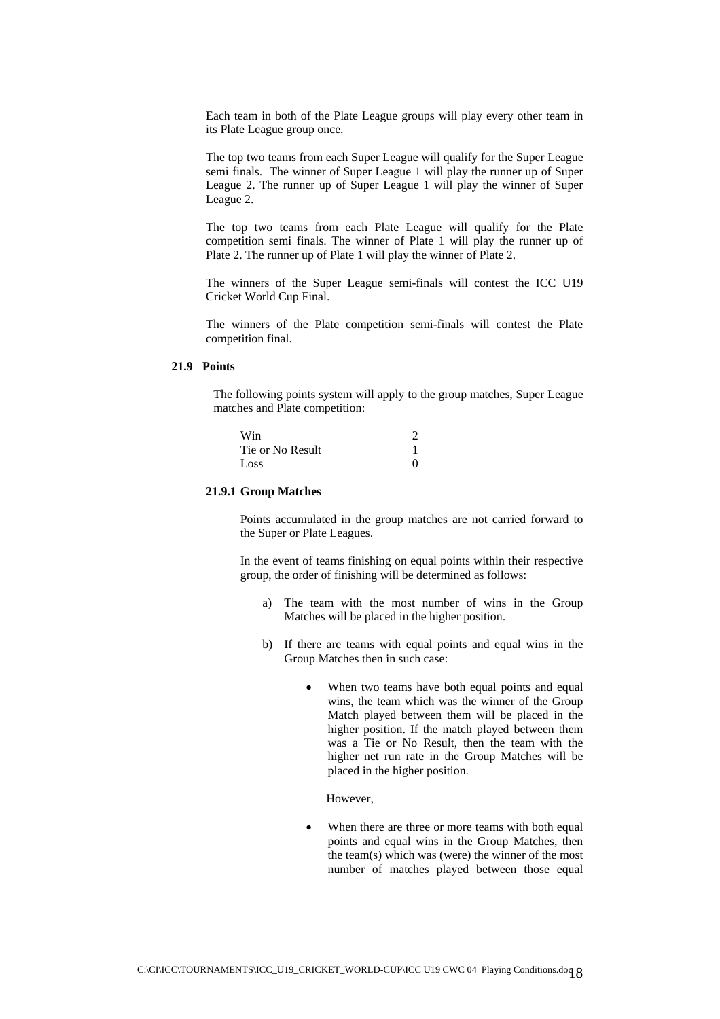Each team in both of the Plate League groups will play every other team in its Plate League group once.

The top two teams from each Super League will qualify for the Super League semi finals.The winner of Super League 1 will play the runner up of Super League 2. The runner up of Super League 1 will play the winner of Super League 2.

The top two teams from each Plate League will qualify for the Plate competition semi finals. The winner of Plate 1 will play the runner up of Plate 2. The runner up of Plate 1 will play the winner of Plate 2.

The winners of the Super League semi-finals will contest the ICC U19 Cricket World Cup Final.

The winners of the Plate competition semi-finals will contest the Plate competition final.

## **21.9 Points**

The following points system will apply to the group matches, Super League matches and Plate competition:

| Win              |              |
|------------------|--------------|
| Tie or No Result |              |
| Loss             | $\mathbf{0}$ |

#### **21.9.1 Group Matches**

Points accumulated in the group matches are not carried forward to the Super or Plate Leagues.

In the event of teams finishing on equal points within their respective group, the order of finishing will be determined as follows:

- a) The team with the most number of wins in the Group Matches will be placed in the higher position.
- b) If there are teams with equal points and equal wins in the Group Matches then in such case:
	- When two teams have both equal points and equal wins, the team which was the winner of the Group Match played between them will be placed in the higher position. If the match played between them was a Tie or No Result, then the team with the higher net run rate in the Group Matches will be placed in the higher position.

However,

When there are three or more teams with both equal points and equal wins in the Group Matches, then the team(s) which was (were) the winner of the most number of matches played between those equal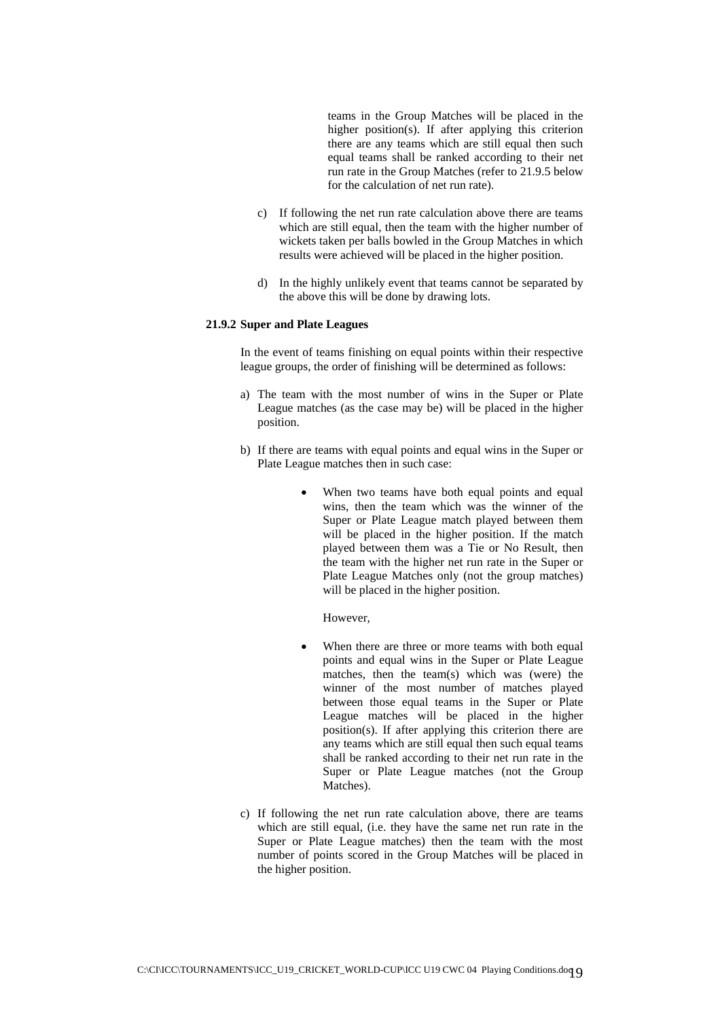teams in the Group Matches will be placed in the higher position(s). If after applying this criterion there are any teams which are still equal then such equal teams shall be ranked according to their net run rate in the Group Matches (refer to 21.9.5 below for the calculation of net run rate).

- c) If following the net run rate calculation above there are teams which are still equal, then the team with the higher number of wickets taken per balls bowled in the Group Matches in which results were achieved will be placed in the higher position.
- d) In the highly unlikely event that teams cannot be separated by the above this will be done by drawing lots.

## **21.9.2 Super and Plate Leagues**

In the event of teams finishing on equal points within their respective league groups, the order of finishing will be determined as follows:

- a) The team with the most number of wins in the Super or Plate League matches (as the case may be) will be placed in the higher position.
- b) If there are teams with equal points and equal wins in the Super or Plate League matches then in such case:
	- When two teams have both equal points and equal wins, then the team which was the winner of the Super or Plate League match played between them will be placed in the higher position. If the match played between them was a Tie or No Result, then the team with the higher net run rate in the Super or Plate League Matches only (not the group matches) will be placed in the higher position.

However,

- When there are three or more teams with both equal points and equal wins in the Super or Plate League matches, then the team(s) which was (were) the winner of the most number of matches played between those equal teams in the Super or Plate League matches will be placed in the higher position(s). If after applying this criterion there are any teams which are still equal then such equal teams shall be ranked according to their net run rate in the Super or Plate League matches (not the Group Matches).
- c) If following the net run rate calculation above, there are teams which are still equal, (i.e. they have the same net run rate in the Super or Plate League matches) then the team with the most number of points scored in the Group Matches will be placed in the higher position.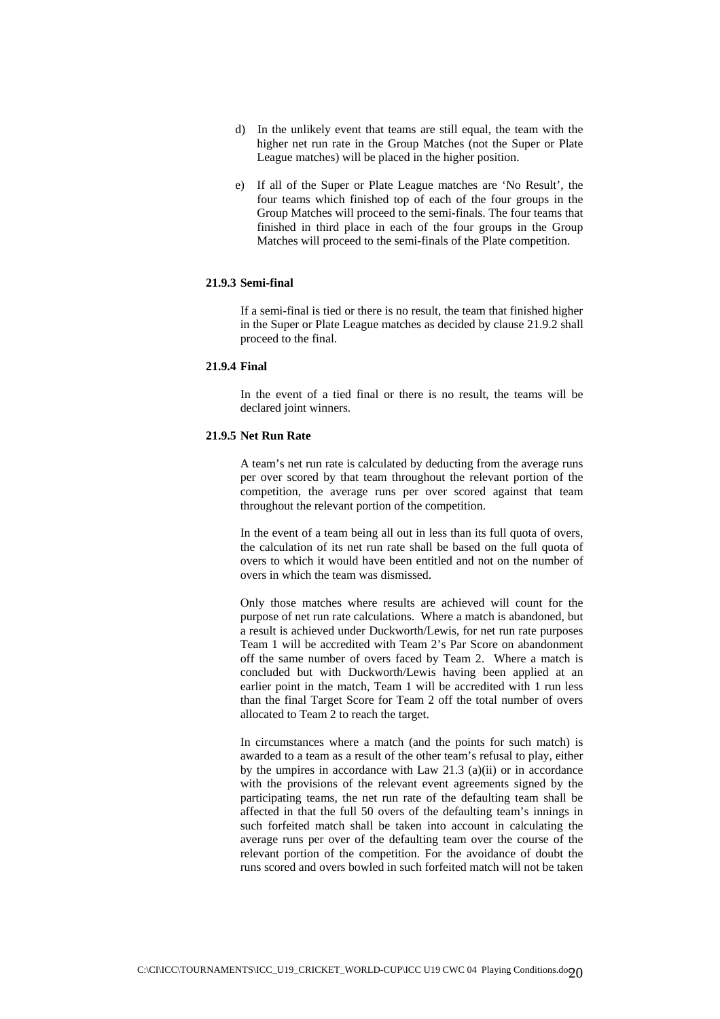- d) In the unlikely event that teams are still equal, the team with the higher net run rate in the Group Matches (not the Super or Plate League matches) will be placed in the higher position.
- e) If all of the Super or Plate League matches are 'No Result', the four teams which finished top of each of the four groups in the Group Matches will proceed to the semi-finals. The four teams that finished in third place in each of the four groups in the Group Matches will proceed to the semi-finals of the Plate competition.

#### **21.9.3 Semi-final**

If a semi-final is tied or there is no result, the team that finished higher in the Super or Plate League matches as decided by clause 21.9.2 shall proceed to the final.

## **21.9.4 Final**

In the event of a tied final or there is no result, the teams will be declared joint winners.

## **21.9.5 Net Run Rate**

A team's net run rate is calculated by deducting from the average runs per over scored by that team throughout the relevant portion of the competition, the average runs per over scored against that team throughout the relevant portion of the competition.

In the event of a team being all out in less than its full quota of overs, the calculation of its net run rate shall be based on the full quota of overs to which it would have been entitled and not on the number of overs in which the team was dismissed.

Only those matches where results are achieved will count for the purpose of net run rate calculations. Where a match is abandoned, but a result is achieved under Duckworth/Lewis, for net run rate purposes Team 1 will be accredited with Team 2's Par Score on abandonment off the same number of overs faced by Team 2. Where a match is concluded but with Duckworth/Lewis having been applied at an earlier point in the match, Team 1 will be accredited with 1 run less than the final Target Score for Team 2 off the total number of overs allocated to Team 2 to reach the target.

In circumstances where a match (and the points for such match) is awarded to a team as a result of the other team's refusal to play, either by the umpires in accordance with Law 21.3 (a)(ii) or in accordance with the provisions of the relevant event agreements signed by the participating teams, the net run rate of the defaulting team shall be affected in that the full 50 overs of the defaulting team's innings in such forfeited match shall be taken into account in calculating the average runs per over of the defaulting team over the course of the relevant portion of the competition. For the avoidance of doubt the runs scored and overs bowled in such forfeited match will not be taken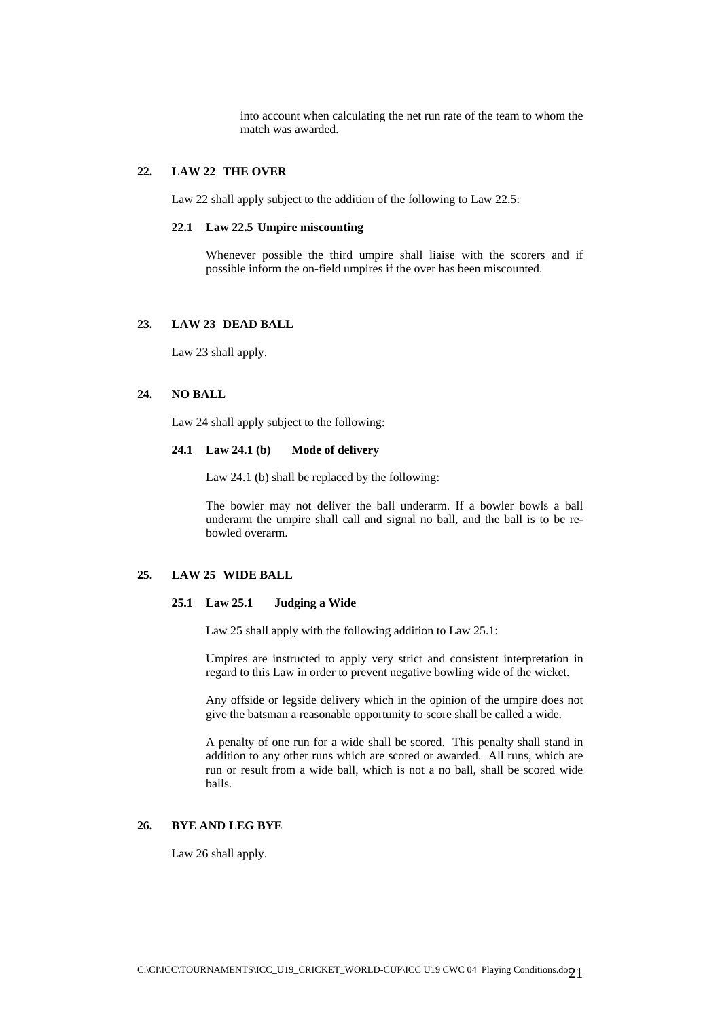into account when calculating the net run rate of the team to whom the match was awarded.

## **22. LAW 22 THE OVER**

Law 22 shall apply subject to the addition of the following to Law 22.5:

#### **22.1 Law 22.5 Umpire miscounting**

Whenever possible the third umpire shall liaise with the scorers and if possible inform the on-field umpires if the over has been miscounted.

## **23. LAW 23 DEAD BALL**

Law 23 shall apply.

## **24. NO BALL**

Law 24 shall apply subject to the following:

## **24.1 Law 24.1 (b) Mode of delivery**

Law 24.1 (b) shall be replaced by the following:

The bowler may not deliver the ball underarm. If a bowler bowls a ball underarm the umpire shall call and signal no ball, and the ball is to be rebowled overarm.

## **25. LAW 25 WIDE BALL**

## **25.1 Law 25.1 Judging a Wide**

Law 25 shall apply with the following addition to Law 25.1:

Umpires are instructed to apply very strict and consistent interpretation in regard to this Law in order to prevent negative bowling wide of the wicket.

Any offside or legside delivery which in the opinion of the umpire does not give the batsman a reasonable opportunity to score shall be called a wide.

A penalty of one run for a wide shall be scored. This penalty shall stand in addition to any other runs which are scored or awarded. All runs, which are run or result from a wide ball, which is not a no ball, shall be scored wide balls.

#### **26. BYE AND LEG BYE**

Law 26 shall apply.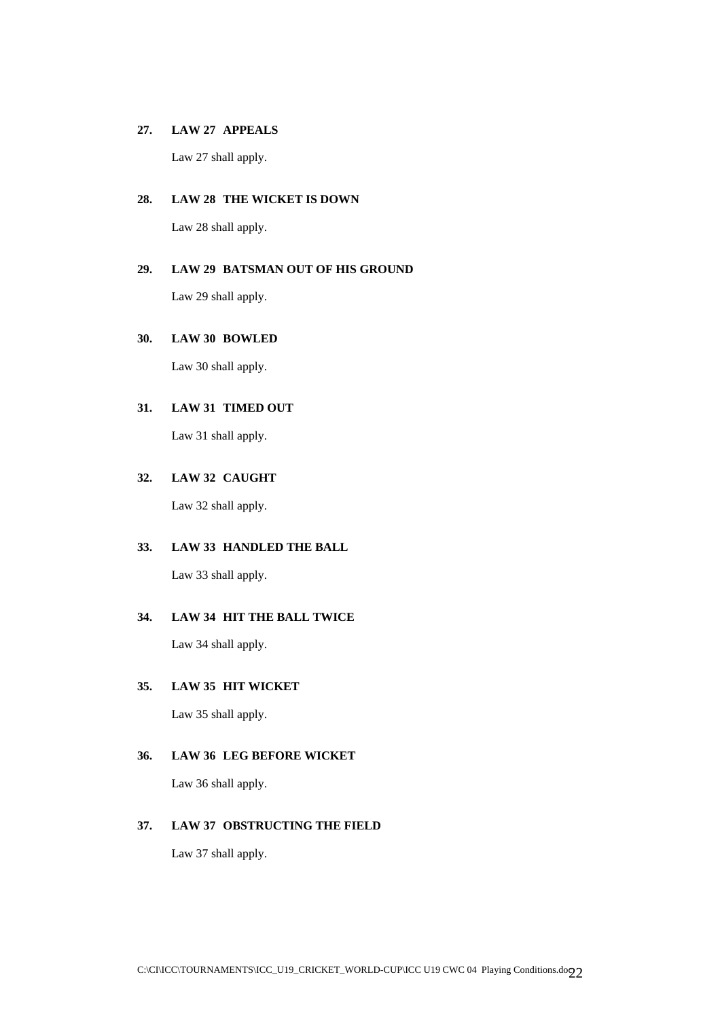## **27. LAW 27 APPEALS**

Law 27 shall apply.

## **28. LAW 28 THE WICKET IS DOWN**

Law 28 shall apply.

## **29. LAW 29 BATSMAN OUT OF HIS GROUND**

Law 29 shall apply.

## **30. LAW 30 BOWLED**

Law 30 shall apply.

## **31. LAW 31 TIMED OUT**

Law 31 shall apply.

## **32. LAW 32 CAUGHT**

Law 32 shall apply.

## **33. LAW 33 HANDLED THE BALL**

Law 33 shall apply.

## **34. LAW 34 HIT THE BALL TWICE**

Law 34 shall apply.

## **35. LAW 35 HIT WICKET**

Law 35 shall apply.

## **36. LAW 36 LEG BEFORE WICKET**

Law 36 shall apply.

## **37. LAW 37 OBSTRUCTING THE FIELD**

Law 37 shall apply.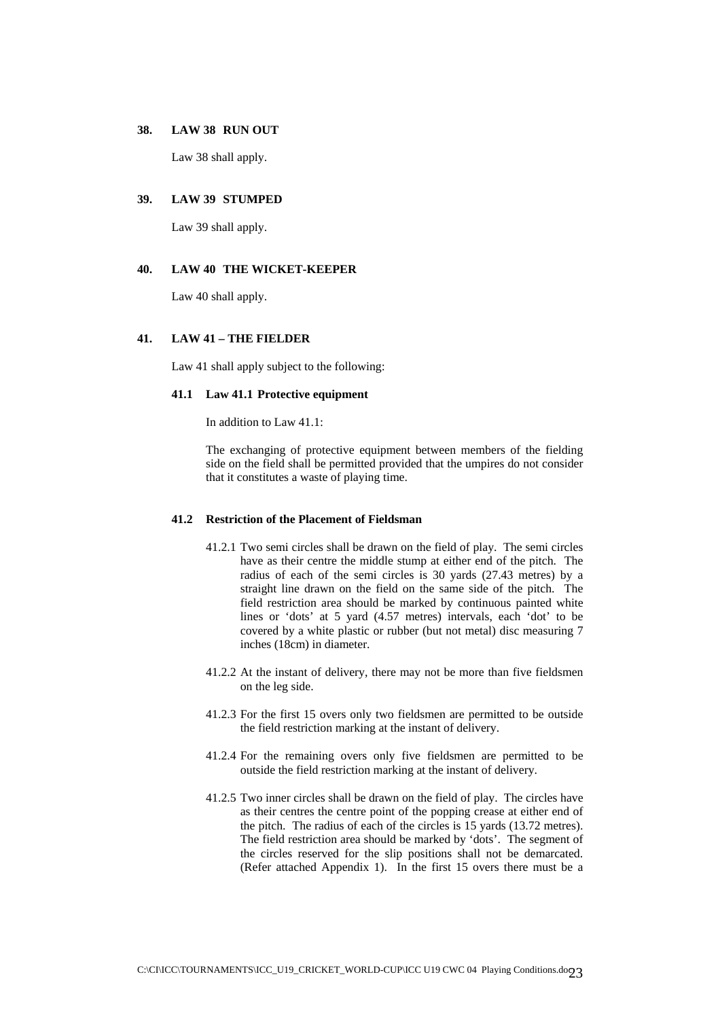#### **38. LAW 38 RUN OUT**

Law 38 shall apply.

## **39. LAW 39 STUMPED**

Law 39 shall apply.

## **40. LAW 40 THE WICKET-KEEPER**

Law 40 shall apply.

## **41. LAW 41 – THE FIELDER**

Law 41 shall apply subject to the following:

## **41.1 Law 41.1 Protective equipment**

In addition to Law 41.1:

The exchanging of protective equipment between members of the fielding side on the field shall be permitted provided that the umpires do not consider that it constitutes a waste of playing time.

#### **41.2 Restriction of the Placement of Fieldsman**

- 41.2.1 Two semi circles shall be drawn on the field of play. The semi circles have as their centre the middle stump at either end of the pitch. The radius of each of the semi circles is 30 yards (27.43 metres) by a straight line drawn on the field on the same side of the pitch. The field restriction area should be marked by continuous painted white lines or 'dots' at 5 yard (4.57 metres) intervals, each 'dot' to be covered by a white plastic or rubber (but not metal) disc measuring 7 inches (18cm) in diameter.
- 41.2.2 At the instant of delivery, there may not be more than five fieldsmen on the leg side.
- 41.2.3 For the first 15 overs only two fieldsmen are permitted to be outside the field restriction marking at the instant of delivery.
- 41.2.4 For the remaining overs only five fieldsmen are permitted to be outside the field restriction marking at the instant of delivery.
- 41.2.5 Two inner circles shall be drawn on the field of play. The circles have as their centres the centre point of the popping crease at either end of the pitch. The radius of each of the circles is 15 yards (13.72 metres). The field restriction area should be marked by 'dots'. The segment of the circles reserved for the slip positions shall not be demarcated. (Refer attached Appendix 1). In the first 15 overs there must be a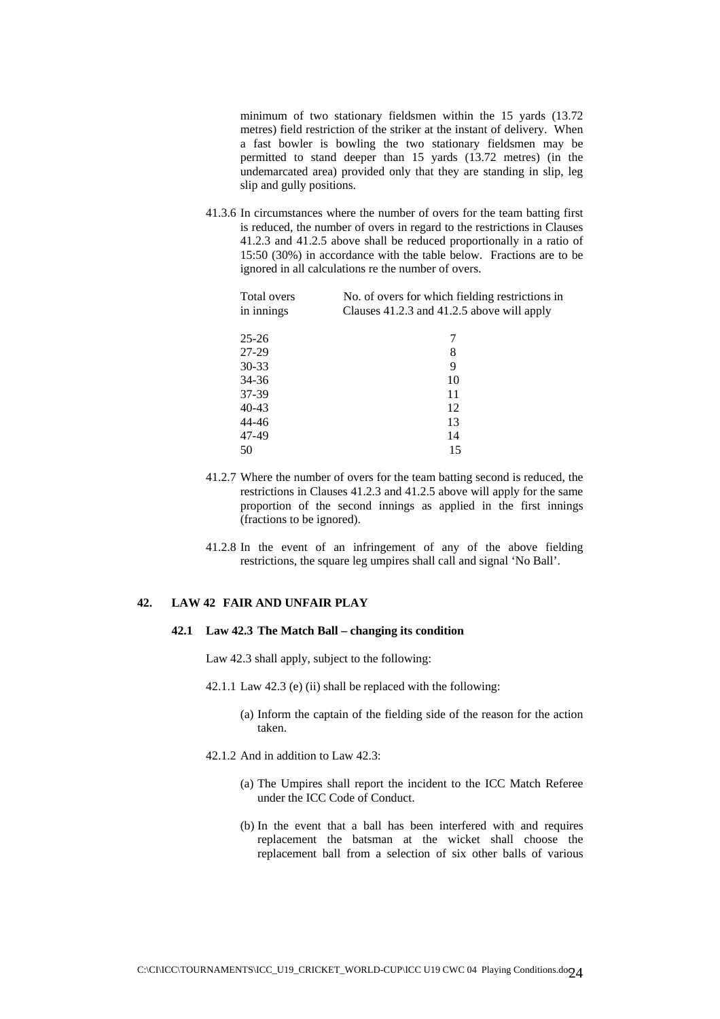minimum of two stationary fieldsmen within the 15 yards (13.72 metres) field restriction of the striker at the instant of delivery. When a fast bowler is bowling the two stationary fieldsmen may be permitted to stand deeper than 15 yards (13.72 metres) (in the undemarcated area) provided only that they are standing in slip, leg slip and gully positions.

41.3.6 In circumstances where the number of overs for the team batting first is reduced, the number of overs in regard to the restrictions in Clauses 41.2.3 and 41.2.5 above shall be reduced proportionally in a ratio of 15:50 (30%) in accordance with the table below. Fractions are to be ignored in all calculations re the number of overs.

| Total overs | No. of overs for which fielding restrictions in |
|-------------|-------------------------------------------------|
| in innings  | Clauses 41.2.3 and 41.2.5 above will apply      |
| $25 - 26$   | 7                                               |
| 27-29       | 8                                               |
| 30-33       | 9                                               |
| 34-36       | 10                                              |
| 37-39       | 11                                              |
| 40-43       | 12                                              |
| 44-46       | 13                                              |
| 47-49       | 14                                              |
| 50          | 15                                              |
|             |                                                 |

- 41.2.7 Where the number of overs for the team batting second is reduced, the restrictions in Clauses 41.2.3 and 41.2.5 above will apply for the same proportion of the second innings as applied in the first innings (fractions to be ignored).
- 41.2.8 In the event of an infringement of any of the above fielding restrictions, the square leg umpires shall call and signal 'No Ball'.

## **42. LAW 42 FAIR AND UNFAIR PLAY**

#### **42.1 Law 42.3 The Match Ball – changing its condition**

Law 42.3 shall apply, subject to the following:

- 42.1.1 Law 42.3 (e) (ii) shall be replaced with the following:
	- (a) Inform the captain of the fielding side of the reason for the action taken.
- 42.1.2 And in addition to Law 42.3:
	- (a) The Umpires shall report the incident to the ICC Match Referee under the ICC Code of Conduct.
	- (b) In the event that a ball has been interfered with and requires replacement the batsman at the wicket shall choose the replacement ball from a selection of six other balls of various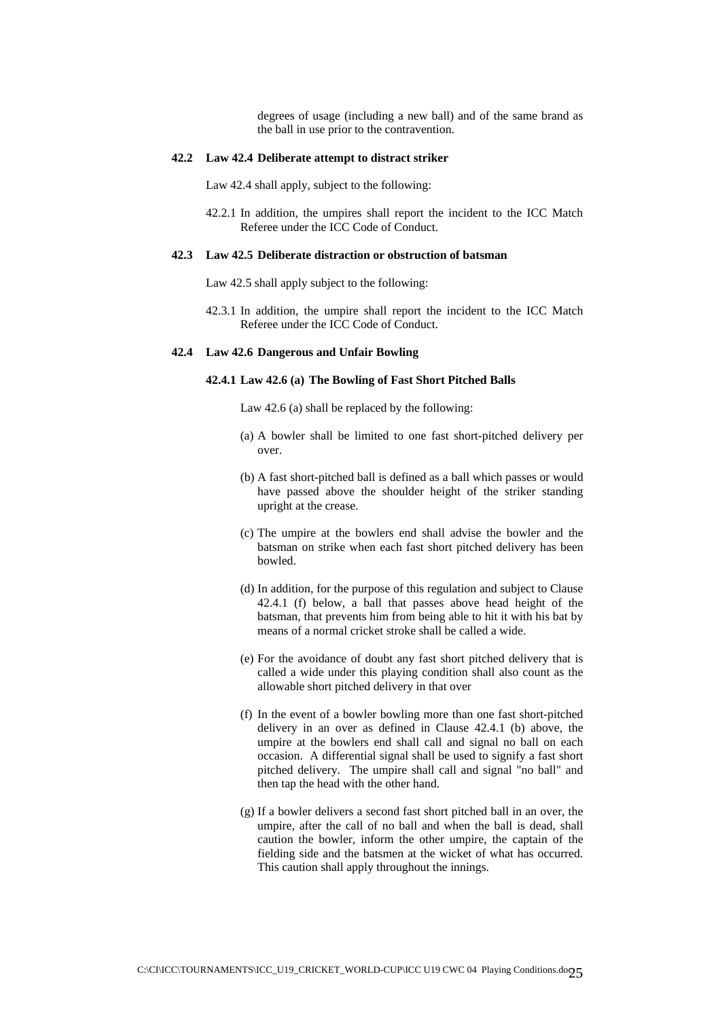degrees of usage (including a new ball) and of the same brand as the ball in use prior to the contravention.

## **42.2 Law 42.4 Deliberate attempt to distract striker**

Law 42.4 shall apply, subject to the following:

42.2.1 In addition, the umpires shall report the incident to the ICC Match Referee under the ICC Code of Conduct.

## **42.3 Law 42.5 Deliberate distraction or obstruction of batsman**

Law 42.5 shall apply subject to the following:

42.3.1 In addition, the umpire shall report the incident to the ICC Match Referee under the ICC Code of Conduct.

#### **42.4 Law 42.6 Dangerous and Unfair Bowling**

## **42.4.1 Law 42.6 (a) The Bowling of Fast Short Pitched Balls**

Law 42.6 (a) shall be replaced by the following:

- (a) A bowler shall be limited to one fast short-pitched delivery per over.
- (b) A fast short-pitched ball is defined as a ball which passes or would have passed above the shoulder height of the striker standing upright at the crease.
- (c) The umpire at the bowlers end shall advise the bowler and the batsman on strike when each fast short pitched delivery has been bowled.
- (d) In addition, for the purpose of this regulation and subject to Clause 42.4.1 (f) below, a ball that passes above head height of the batsman, that prevents him from being able to hit it with his bat by means of a normal cricket stroke shall be called a wide.
- (e) For the avoidance of doubt any fast short pitched delivery that is called a wide under this playing condition shall also count as the allowable short pitched delivery in that over
- (f) In the event of a bowler bowling more than one fast short-pitched delivery in an over as defined in Clause 42.4.1 (b) above, the umpire at the bowlers end shall call and signal no ball on each occasion. A differential signal shall be used to signify a fast short pitched delivery. The umpire shall call and signal "no ball" and then tap the head with the other hand.
- (g) If a bowler delivers a second fast short pitched ball in an over, the umpire, after the call of no ball and when the ball is dead, shall caution the bowler, inform the other umpire, the captain of the fielding side and the batsmen at the wicket of what has occurred. This caution shall apply throughout the innings.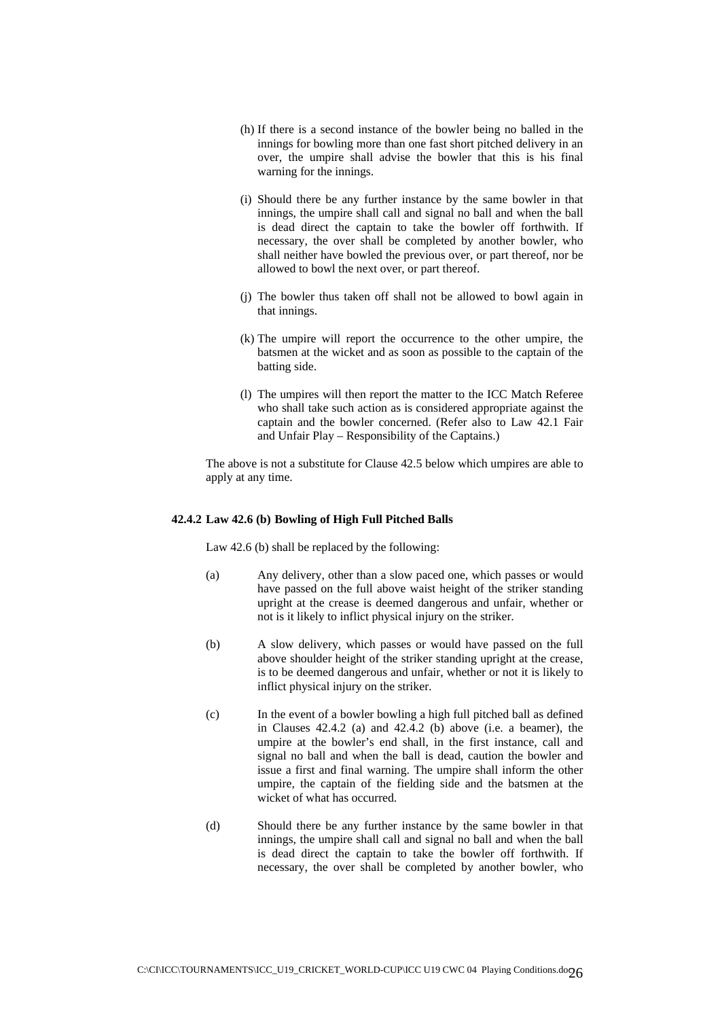- (h) If there is a second instance of the bowler being no balled in the innings for bowling more than one fast short pitched delivery in an over, the umpire shall advise the bowler that this is his final warning for the innings.
- (i) Should there be any further instance by the same bowler in that innings, the umpire shall call and signal no ball and when the ball is dead direct the captain to take the bowler off forthwith. If necessary, the over shall be completed by another bowler, who shall neither have bowled the previous over, or part thereof, nor be allowed to bowl the next over, or part thereof.
- (j) The bowler thus taken off shall not be allowed to bowl again in that innings.
- (k) The umpire will report the occurrence to the other umpire, the batsmen at the wicket and as soon as possible to the captain of the batting side.
- (l) The umpires will then report the matter to the ICC Match Referee who shall take such action as is considered appropriate against the captain and the bowler concerned. (Refer also to Law 42.1 Fair and Unfair Play – Responsibility of the Captains.)

The above is not a substitute for Clause 42.5 below which umpires are able to apply at any time.

## **42.4.2 Law 42.6 (b) Bowling of High Full Pitched Balls**

Law 42.6 (b) shall be replaced by the following:

- (a) Any delivery, other than a slow paced one, which passes or would have passed on the full above waist height of the striker standing upright at the crease is deemed dangerous and unfair, whether or not is it likely to inflict physical injury on the striker.
- (b) A slow delivery, which passes or would have passed on the full above shoulder height of the striker standing upright at the crease, is to be deemed dangerous and unfair, whether or not it is likely to inflict physical injury on the striker.
- (c) In the event of a bowler bowling a high full pitched ball as defined in Clauses 42.4.2 (a) and 42.4.2 (b) above (i.e. a beamer), the umpire at the bowler's end shall, in the first instance, call and signal no ball and when the ball is dead, caution the bowler and issue a first and final warning. The umpire shall inform the other umpire, the captain of the fielding side and the batsmen at the wicket of what has occurred.
- (d) Should there be any further instance by the same bowler in that innings, the umpire shall call and signal no ball and when the ball is dead direct the captain to take the bowler off forthwith. If necessary, the over shall be completed by another bowler, who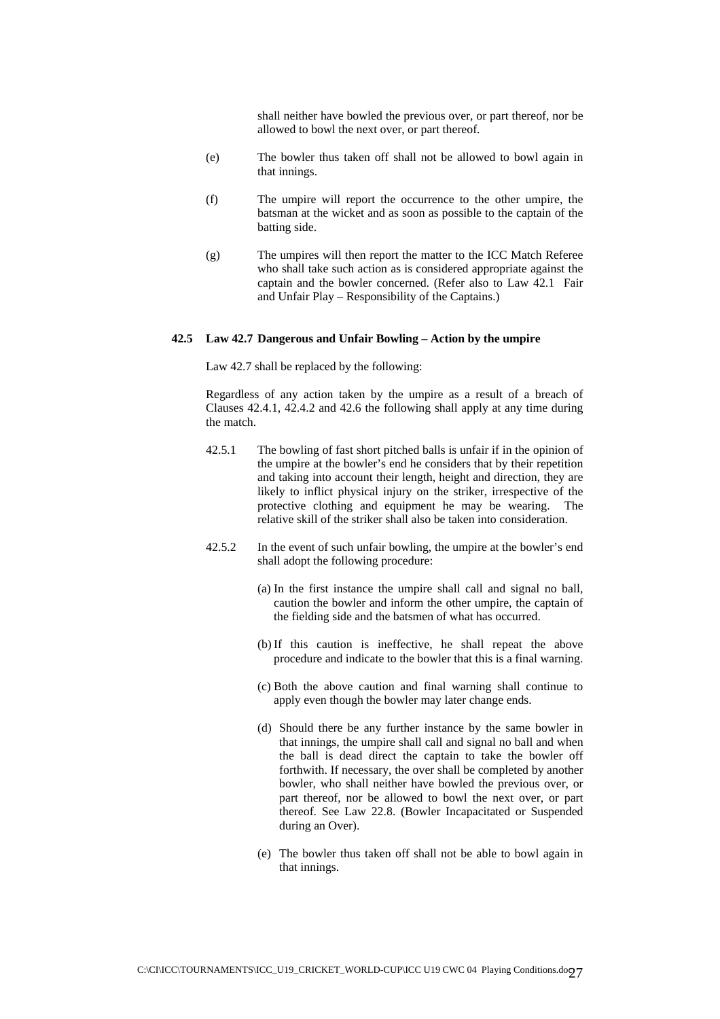shall neither have bowled the previous over, or part thereof, nor be allowed to bowl the next over, or part thereof.

- (e) The bowler thus taken off shall not be allowed to bowl again in that innings.
- (f) The umpire will report the occurrence to the other umpire, the batsman at the wicket and as soon as possible to the captain of the batting side.
- (g) The umpires will then report the matter to the ICC Match Referee who shall take such action as is considered appropriate against the captain and the bowler concerned. (Refer also to Law 42.1 Fair and Unfair Play – Responsibility of the Captains.)

#### **42.5 Law 42.7 Dangerous and Unfair Bowling – Action by the umpire**

Law 42.7 shall be replaced by the following:

Regardless of any action taken by the umpire as a result of a breach of Clauses 42.4.1, 42.4.2 and 42.6 the following shall apply at any time during the match.

- 42.5.1 The bowling of fast short pitched balls is unfair if in the opinion of the umpire at the bowler's end he considers that by their repetition and taking into account their length, height and direction, they are likely to inflict physical injury on the striker, irrespective of the protective clothing and equipment he may be wearing. The relative skill of the striker shall also be taken into consideration.
- 42.5.2 In the event of such unfair bowling, the umpire at the bowler's end shall adopt the following procedure:
	- (a) In the first instance the umpire shall call and signal no ball, caution the bowler and inform the other umpire, the captain of the fielding side and the batsmen of what has occurred.
	- (b) If this caution is ineffective, he shall repeat the above procedure and indicate to the bowler that this is a final warning.
	- (c) Both the above caution and final warning shall continue to apply even though the bowler may later change ends.
	- (d) Should there be any further instance by the same bowler in that innings, the umpire shall call and signal no ball and when the ball is dead direct the captain to take the bowler off forthwith. If necessary, the over shall be completed by another bowler, who shall neither have bowled the previous over, or part thereof, nor be allowed to bowl the next over, or part thereof. See Law 22.8. (Bowler Incapacitated or Suspended during an Over).
	- (e) The bowler thus taken off shall not be able to bowl again in that innings.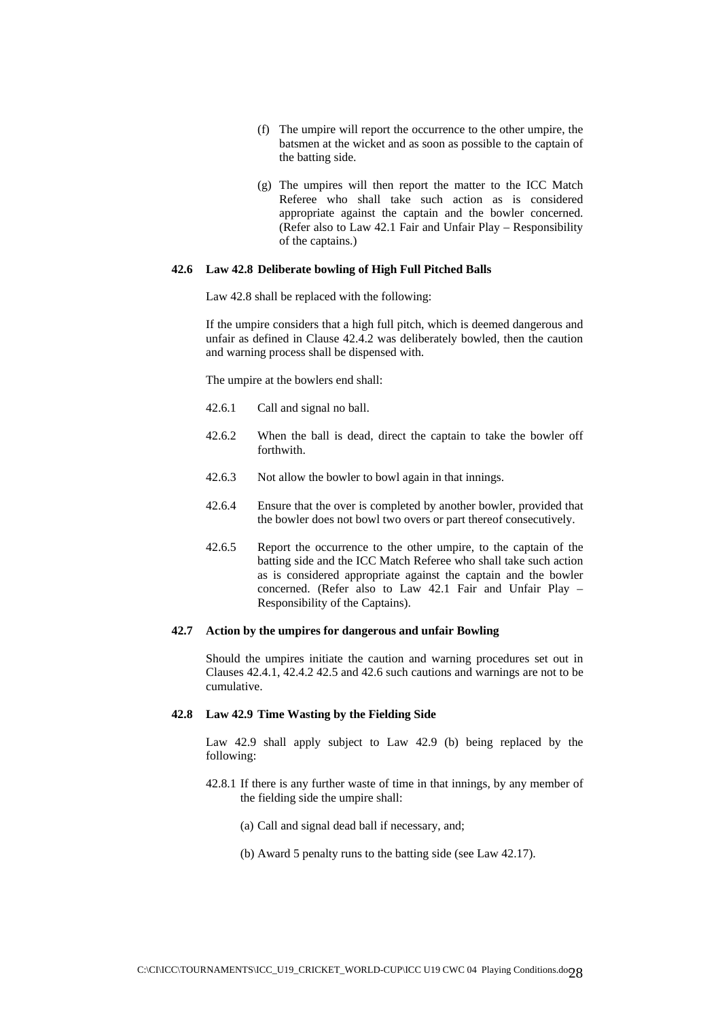- (f) The umpire will report the occurrence to the other umpire, the batsmen at the wicket and as soon as possible to the captain of the batting side.
- (g) The umpires will then report the matter to the ICC Match Referee who shall take such action as is considered appropriate against the captain and the bowler concerned. (Refer also to Law 42.1 Fair and Unfair Play – Responsibility of the captains.)

#### **42.6 Law 42.8 Deliberate bowling of High Full Pitched Balls**

Law 42.8 shall be replaced with the following:

If the umpire considers that a high full pitch, which is deemed dangerous and unfair as defined in Clause 42.4.2 was deliberately bowled, then the caution and warning process shall be dispensed with.

The umpire at the bowlers end shall:

- 42.6.1 Call and signal no ball.
- 42.6.2 When the ball is dead, direct the captain to take the bowler off forthwith.
- 42.6.3 Not allow the bowler to bowl again in that innings.
- 42.6.4 Ensure that the over is completed by another bowler, provided that the bowler does not bowl two overs or part thereof consecutively.
- 42.6.5 Report the occurrence to the other umpire, to the captain of the batting side and the ICC Match Referee who shall take such action as is considered appropriate against the captain and the bowler concerned. (Refer also to Law 42.1 Fair and Unfair Play – Responsibility of the Captains).

#### **42.7 Action by the umpires for dangerous and unfair Bowling**

Should the umpires initiate the caution and warning procedures set out in Clauses 42.4.1, 42.4.2 42.5 and 42.6 such cautions and warnings are not to be cumulative.

## **42.8 Law 42.9 Time Wasting by the Fielding Side**

Law 42.9 shall apply subject to Law 42.9 (b) being replaced by the following:

- 42.8.1 If there is any further waste of time in that innings, by any member of the fielding side the umpire shall:
	- (a) Call and signal dead ball if necessary, and;
	- (b) Award 5 penalty runs to the batting side (see Law 42.17).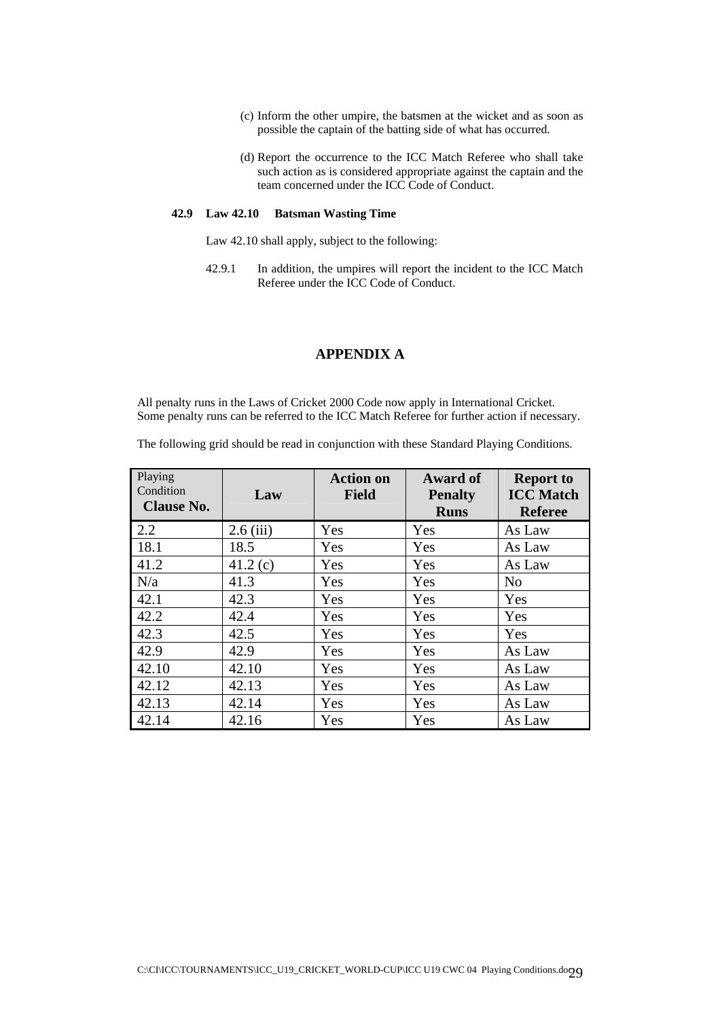- (c) Inform the other umpire, the batsmen at the wicket and as soon as possible the captain of the batting side of what has occurred.
- (d) Report the occurrence to the ICC Match Referee who shall take such action as is considered appropriate against the captain and the team concerned under the ICC Code of Conduct.

#### **42.9 Law 42.10 Batsman Wasting Time**

Law 42.10 shall apply, subject to the following:

42.9.1 In addition, the umpires will report the incident to the ICC Match Referee under the ICC Code of Conduct.

## **APPENDIX A**

All penalty runs in the Laws of Cricket 2000 Code now apply in International Cricket. Some penalty runs can be referred to the ICC Match Referee for further action if necessary.

The following grid should be read in conjunction with these Standard Playing Conditions.

| Playing<br>Condition<br><b>Clause No.</b> | Law         | <b>Action on</b><br><b>Field</b> | <b>Award of</b><br><b>Penalty</b><br><b>Runs</b> | <b>Report to</b><br><b>ICC</b> Match<br><b>Referee</b> |
|-------------------------------------------|-------------|----------------------------------|--------------------------------------------------|--------------------------------------------------------|
| 2.2                                       | $2.6$ (iii) | Yes                              | Yes                                              | As Law                                                 |
| 18.1                                      | 18.5        | Yes                              | Yes                                              | As Law                                                 |
| 41.2                                      | 41.2(c)     | Yes                              | Yes                                              | As Law                                                 |
| N/a                                       | 41.3        | Yes                              | Yes                                              | N <sub>o</sub>                                         |
| 42.1                                      | 42.3        | Yes                              | Yes                                              | Yes                                                    |
| 42.2                                      | 42.4        | Yes                              | Yes                                              | Yes                                                    |
| 42.3                                      | 42.5        | Yes                              | Yes                                              | Yes                                                    |
| 42.9                                      | 42.9        | Yes                              | Yes                                              | As Law                                                 |
| 42.10                                     | 42.10       | Yes                              | Yes                                              | As Law                                                 |
| 42.12                                     | 42.13       | Yes                              | Yes                                              | As Law                                                 |
| 42.13                                     | 42.14       | Yes                              | Yes                                              | As Law                                                 |
| 42.14                                     | 42.16       | Yes                              | Yes                                              | As Law                                                 |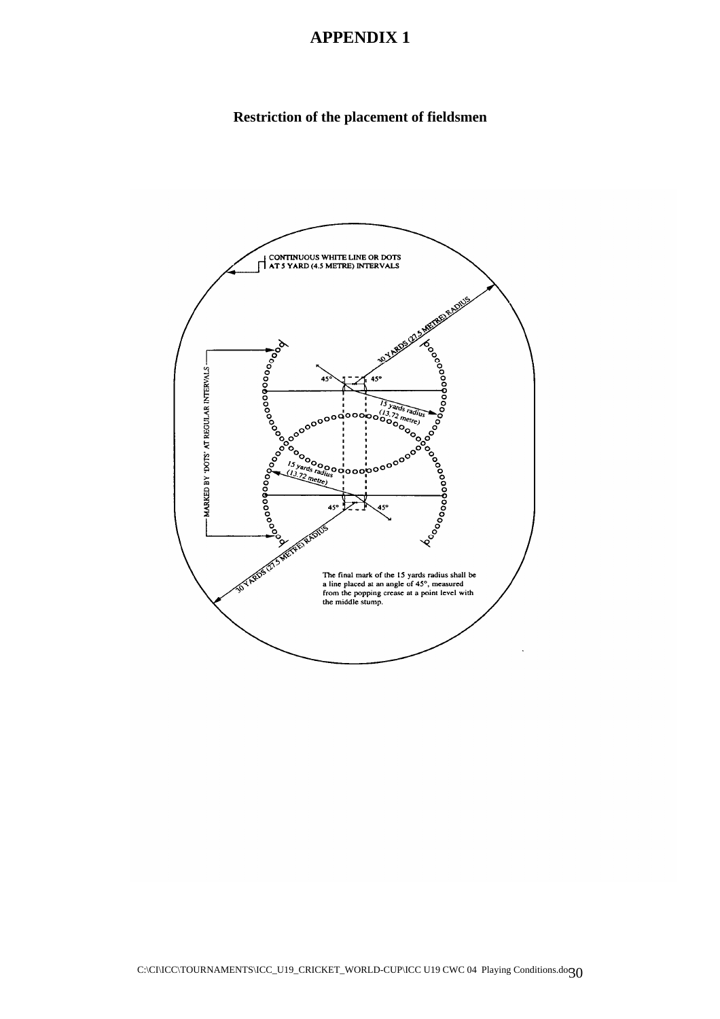# **APPENDIX 1**

# **Restriction of the placement of fieldsmen**

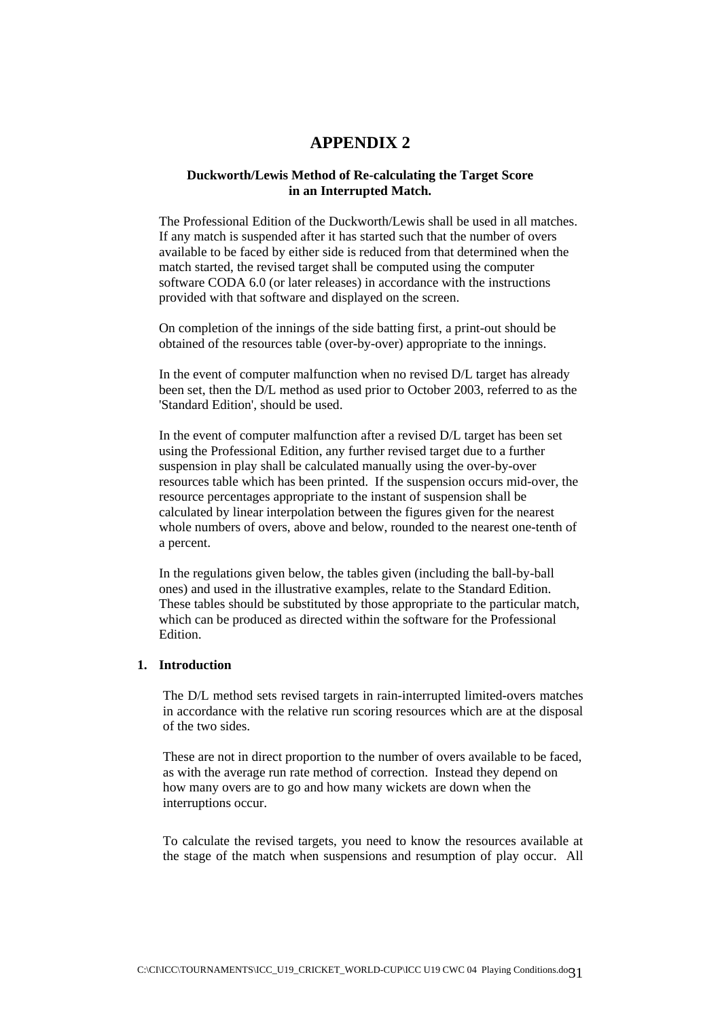## **APPENDIX 2**

## **Duckworth/Lewis Method of Re-calculating the Target Score in an Interrupted Match.**

The Professional Edition of the Duckworth/Lewis shall be used in all matches. If any match is suspended after it has started such that the number of overs available to be faced by either side is reduced from that determined when the match started, the revised target shall be computed using the computer software CODA 6.0 (or later releases) in accordance with the instructions provided with that software and displayed on the screen.

On completion of the innings of the side batting first, a print-out should be obtained of the resources table (over-by-over) appropriate to the innings.

In the event of computer malfunction when no revised D/L target has already been set, then the D/L method as used prior to October 2003, referred to as the 'Standard Edition', should be used.

In the event of computer malfunction after a revised D/L target has been set using the Professional Edition, any further revised target due to a further suspension in play shall be calculated manually using the over-by-over resources table which has been printed. If the suspension occurs mid-over, the resource percentages appropriate to the instant of suspension shall be calculated by linear interpolation between the figures given for the nearest whole numbers of overs, above and below, rounded to the nearest one-tenth of a percent.

In the regulations given below, the tables given (including the ball-by-ball ones) and used in the illustrative examples, relate to the Standard Edition. These tables should be substituted by those appropriate to the particular match, which can be produced as directed within the software for the Professional **Edition** 

## **1. Introduction**

The D/L method sets revised targets in rain-interrupted limited-overs matches in accordance with the relative run scoring resources which are at the disposal of the two sides.

These are not in direct proportion to the number of overs available to be faced, as with the average run rate method of correction. Instead they depend on how many overs are to go and how many wickets are down when the interruptions occur.

To calculate the revised targets, you need to know the resources available at the stage of the match when suspensions and resumption of play occur. All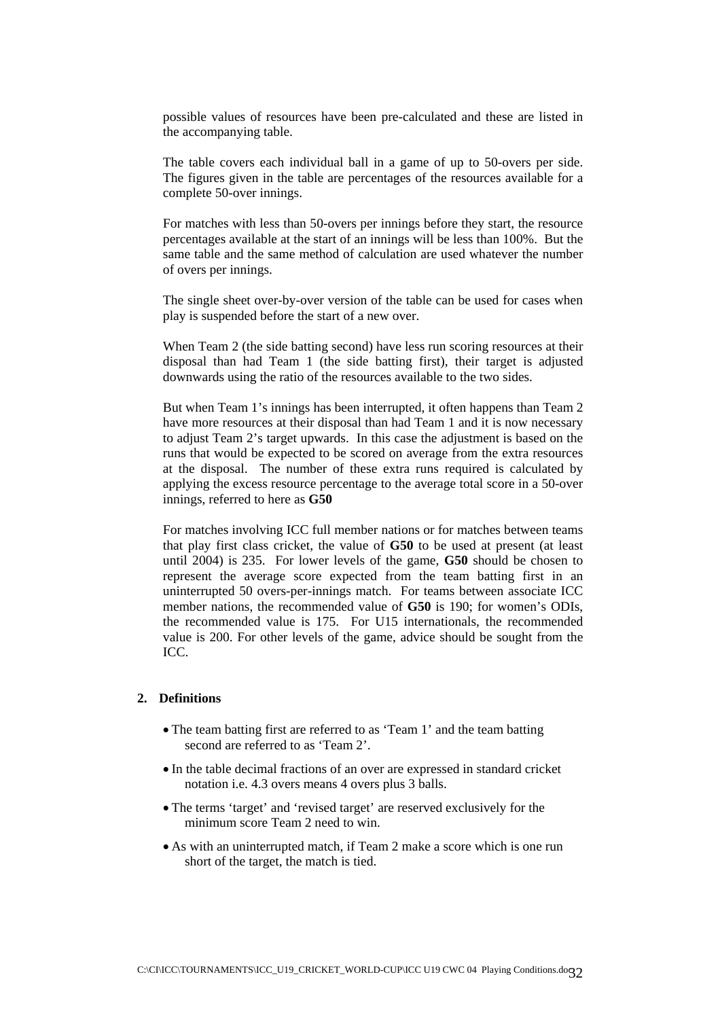possible values of resources have been pre-calculated and these are listed in the accompanying table.

The table covers each individual ball in a game of up to 50-overs per side. The figures given in the table are percentages of the resources available for a complete 50-over innings.

For matches with less than 50-overs per innings before they start, the resource percentages available at the start of an innings will be less than 100%. But the same table and the same method of calculation are used whatever the number of overs per innings.

The single sheet over-by-over version of the table can be used for cases when play is suspended before the start of a new over.

When Team 2 (the side batting second) have less run scoring resources at their disposal than had Team 1 (the side batting first), their target is adjusted downwards using the ratio of the resources available to the two sides.

But when Team 1's innings has been interrupted, it often happens than Team 2 have more resources at their disposal than had Team 1 and it is now necessary to adjust Team 2's target upwards. In this case the adjustment is based on the runs that would be expected to be scored on average from the extra resources at the disposal. The number of these extra runs required is calculated by applying the excess resource percentage to the average total score in a 50-over innings, referred to here as **G50**

For matches involving ICC full member nations or for matches between teams that play first class cricket, the value of **G50** to be used at present (at least until 2004) is 235. For lower levels of the game, **G50** should be chosen to represent the average score expected from the team batting first in an uninterrupted 50 overs-per-innings match. For teams between associate ICC member nations, the recommended value of **G50** is 190; for women's ODIs, the recommended value is 175. For U15 internationals, the recommended value is 200. For other levels of the game, advice should be sought from the ICC.

## **2. Definitions**

- The team batting first are referred to as 'Team 1' and the team batting second are referred to as 'Team 2'.
- In the table decimal fractions of an over are expressed in standard cricket notation i.e. 4.3 overs means 4 overs plus 3 balls.
- The terms 'target' and 'revised target' are reserved exclusively for the minimum score Team 2 need to win.
- As with an uninterrupted match, if Team 2 make a score which is one run short of the target, the match is tied.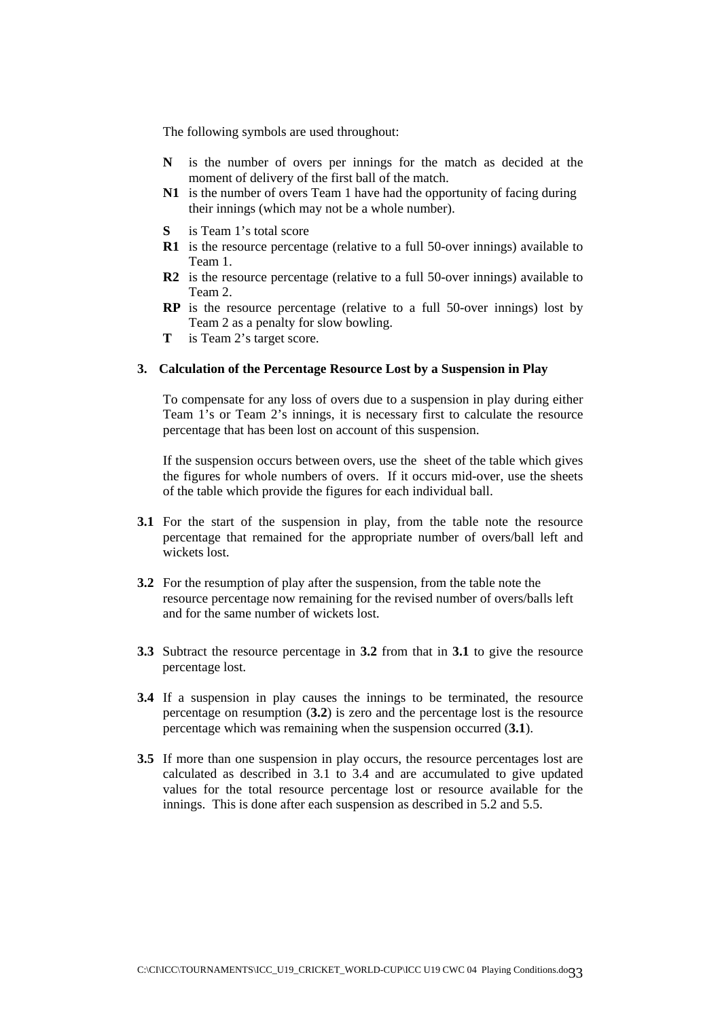The following symbols are used throughout:

- **N** is the number of overs per innings for the match as decided at the moment of delivery of the first ball of the match.
- **N1** is the number of overs Team 1 have had the opportunity of facing during their innings (which may not be a whole number).
- is Team 1's total score
- **R1** is the resource percentage (relative to a full 50-over innings) available to Team 1.
- **R2** is the resource percentage (relative to a full 50-over innings) available to Team 2.
- **RP** is the resource percentage (relative to a full 50-over innings) lost by Team 2 as a penalty for slow bowling.
- **T** is Team 2's target score.

## **3. Calculation of the Percentage Resource Lost by a Suspension in Play**

To compensate for any loss of overs due to a suspension in play during either Team 1's or Team 2's innings, it is necessary first to calculate the resource percentage that has been lost on account of this suspension.

If the suspension occurs between overs, use the sheet of the table which gives the figures for whole numbers of overs. If it occurs mid-over, use the sheets of the table which provide the figures for each individual ball.

- **3.1** For the start of the suspension in play, from the table note the resource percentage that remained for the appropriate number of overs/ball left and wickets lost.
- **3.2** For the resumption of play after the suspension, from the table note the resource percentage now remaining for the revised number of overs/balls left and for the same number of wickets lost.
- **3.3** Subtract the resource percentage in **3.2** from that in **3.1** to give the resource percentage lost.
- **3.4** If a suspension in play causes the innings to be terminated, the resource percentage on resumption (**3.2**) is zero and the percentage lost is the resource percentage which was remaining when the suspension occurred (**3.1**).
- **3.5** If more than one suspension in play occurs, the resource percentages lost are calculated as described in 3.1 to 3.4 and are accumulated to give updated values for the total resource percentage lost or resource available for the innings. This is done after each suspension as described in 5.2 and 5.5.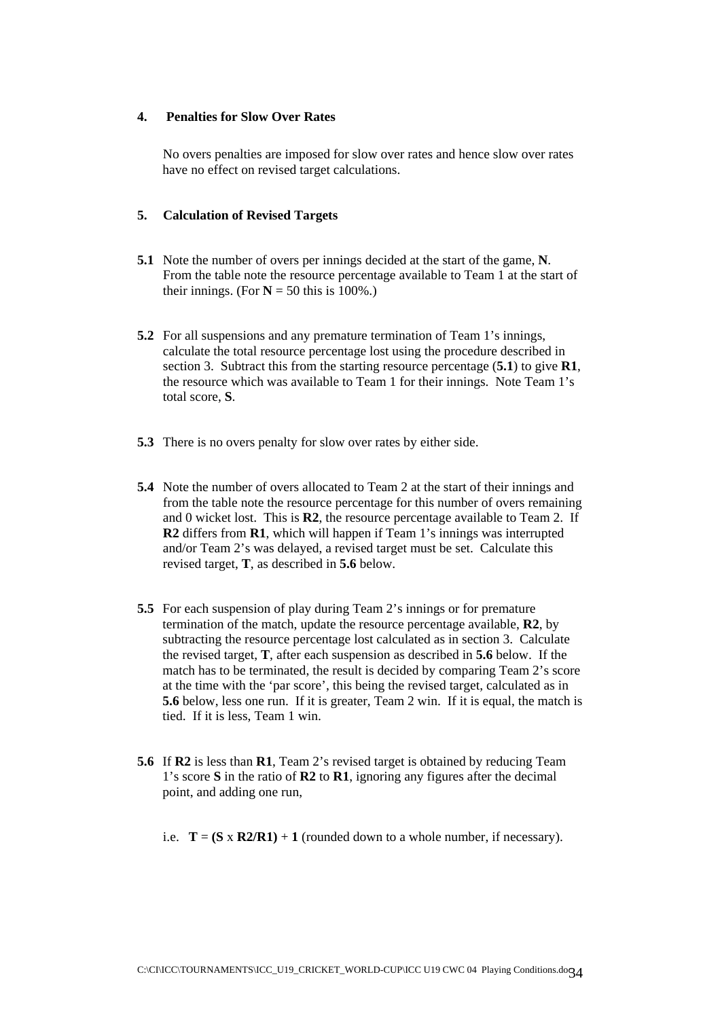## **4. Penalties for Slow Over Rates**

No overs penalties are imposed for slow over rates and hence slow over rates have no effect on revised target calculations.

## **5. Calculation of Revised Targets**

- **5.1** Note the number of overs per innings decided at the start of the game, **N**. From the table note the resource percentage available to Team 1 at the start of their innings. (For  $N = 50$  this is 100%.)
- **5.2** For all suspensions and any premature termination of Team 1's innings, calculate the total resource percentage lost using the procedure described in section 3. Subtract this from the starting resource percentage (**5.1**) to give **R1**, the resource which was available to Team 1 for their innings. Note Team 1's total score, **S**.
- **5.3** There is no overs penalty for slow over rates by either side.
- **5.4** Note the number of overs allocated to Team 2 at the start of their innings and from the table note the resource percentage for this number of overs remaining and 0 wicket lost. This is **R2**, the resource percentage available to Team 2. If **R2** differs from **R1**, which will happen if Team 1's innings was interrupted and/or Team 2's was delayed, a revised target must be set. Calculate this revised target, **T**, as described in **5.6** below.
- **5.5** For each suspension of play during Team 2's innings or for premature termination of the match, update the resource percentage available, **R2**, by subtracting the resource percentage lost calculated as in section 3. Calculate the revised target, **T**, after each suspension as described in **5.6** below. If the match has to be terminated, the result is decided by comparing Team 2's score at the time with the 'par score', this being the revised target, calculated as in **5.6** below, less one run. If it is greater, Team 2 win. If it is equal, the match is tied. If it is less, Team 1 win.
- **5.6** If **R2** is less than **R1**, Team 2's revised target is obtained by reducing Team 1's score **S** in the ratio of **R2** to **R1**, ignoring any figures after the decimal point, and adding one run,

i.e.  $T = (S \times R2/R1) + 1$  (rounded down to a whole number, if necessary).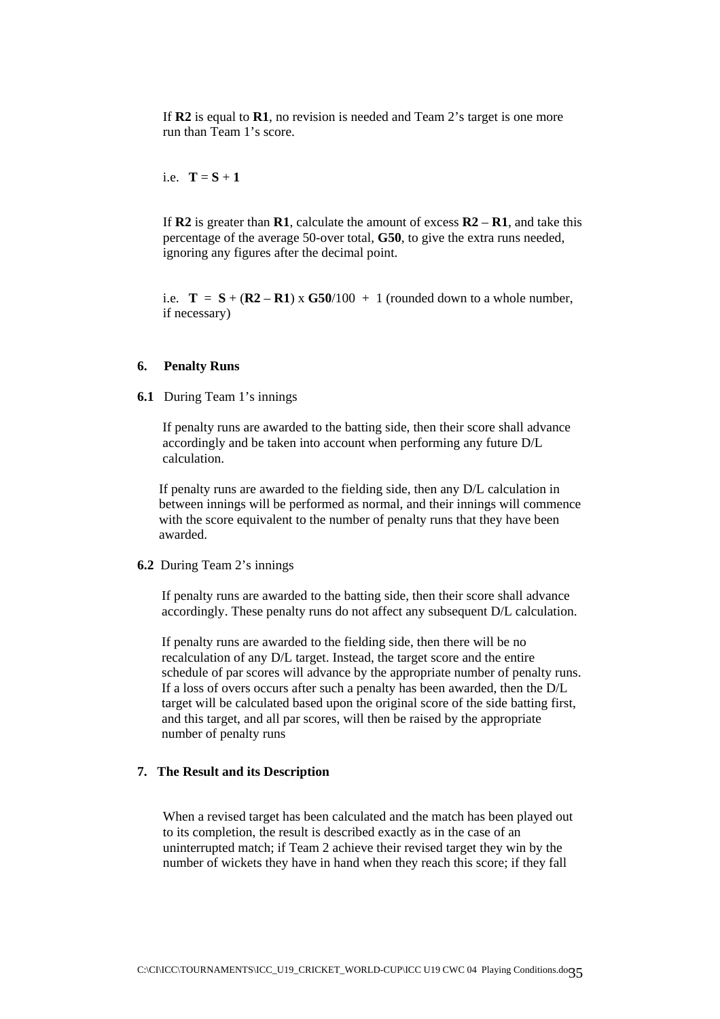If **R2** is equal to **R1**, no revision is needed and Team 2's target is one more run than Team 1's score.

i.e.  $T = S + 1$ 

 If **R2** is greater than **R1**, calculate the amount of excess **R2** – **R1**, and take this percentage of the average 50-over total, **G50**, to give the extra runs needed, ignoring any figures after the decimal point.

i.e.  $T = S + (R2 - R1) \times G50/100 + 1$  (rounded down to a whole number, if necessary)

## **6. Penalty Runs**

**6.1** During Team 1's innings

If penalty runs are awarded to the batting side, then their score shall advance accordingly and be taken into account when performing any future D/L calculation.

If penalty runs are awarded to the fielding side, then any D/L calculation in between innings will be performed as normal, and their innings will commence with the score equivalent to the number of penalty runs that they have been awarded.

**6.2** During Team 2's innings

If penalty runs are awarded to the batting side, then their score shall advance accordingly. These penalty runs do not affect any subsequent D/L calculation.

If penalty runs are awarded to the fielding side, then there will be no recalculation of any D/L target. Instead, the target score and the entire schedule of par scores will advance by the appropriate number of penalty runs. If a loss of overs occurs after such a penalty has been awarded, then the D/L target will be calculated based upon the original score of the side batting first, and this target, and all par scores, will then be raised by the appropriate number of penalty runs

## **7. The Result and its Description**

When a revised target has been calculated and the match has been played out to its completion, the result is described exactly as in the case of an uninterrupted match; if Team 2 achieve their revised target they win by the number of wickets they have in hand when they reach this score; if they fall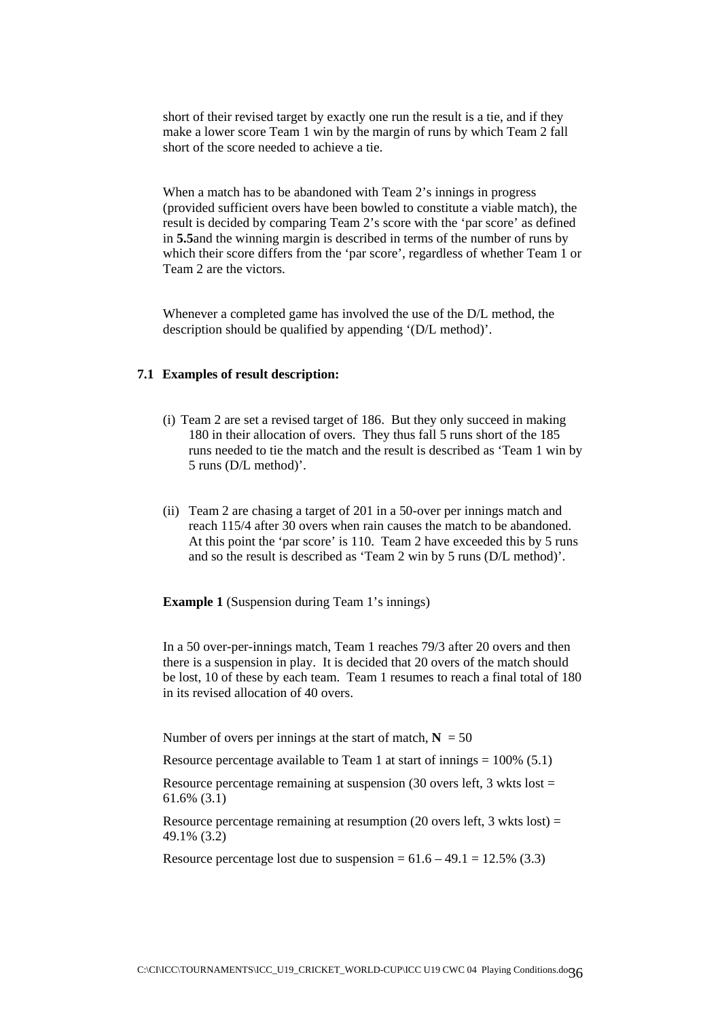short of their revised target by exactly one run the result is a tie, and if they make a lower score Team 1 win by the margin of runs by which Team 2 fall short of the score needed to achieve a tie.

When a match has to be abandoned with Team 2's innings in progress (provided sufficient overs have been bowled to constitute a viable match), the result is decided by comparing Team 2's score with the 'par score' as defined in **5.5**and the winning margin is described in terms of the number of runs by which their score differs from the 'par score', regardless of whether Team 1 or Team 2 are the victors.

Whenever a completed game has involved the use of the D/L method, the description should be qualified by appending '(D/L method)'.

## **7.1 Examples of result description:**

- (i) Team 2 are set a revised target of 186. But they only succeed in making 180 in their allocation of overs. They thus fall 5 runs short of the 185 runs needed to tie the match and the result is described as 'Team 1 win by 5 runs (D/L method)'.
- (ii) Team 2 are chasing a target of 201 in a 50-over per innings match and reach 115/4 after 30 overs when rain causes the match to be abandoned. At this point the 'par score' is 110. Team 2 have exceeded this by 5 runs and so the result is described as 'Team 2 win by 5 runs (D/L method)'.

**Example 1** (Suspension during Team 1's innings)

In a 50 over-per-innings match, Team 1 reaches 79/3 after 20 overs and then there is a suspension in play. It is decided that 20 overs of the match should be lost, 10 of these by each team. Team 1 resumes to reach a final total of 180 in its revised allocation of 40 overs.

Number of overs per innings at the start of match,  $N = 50$ 

Resource percentage available to Team 1 at start of innings  $= 100\%$  (5.1)

Resource percentage remaining at suspension  $(30 \text{ overs} \text{ left}, 3 \text{ wkts} \text{ lost} =$ 61.6% (3.1)

Resource percentage remaining at resumption  $(20 \text{ overs left}, 3 \text{ wkts lost}) =$ 49.1% (3.2)

Resource percentage lost due to suspension =  $61.6 - 49.1 = 12.5\%$  (3.3)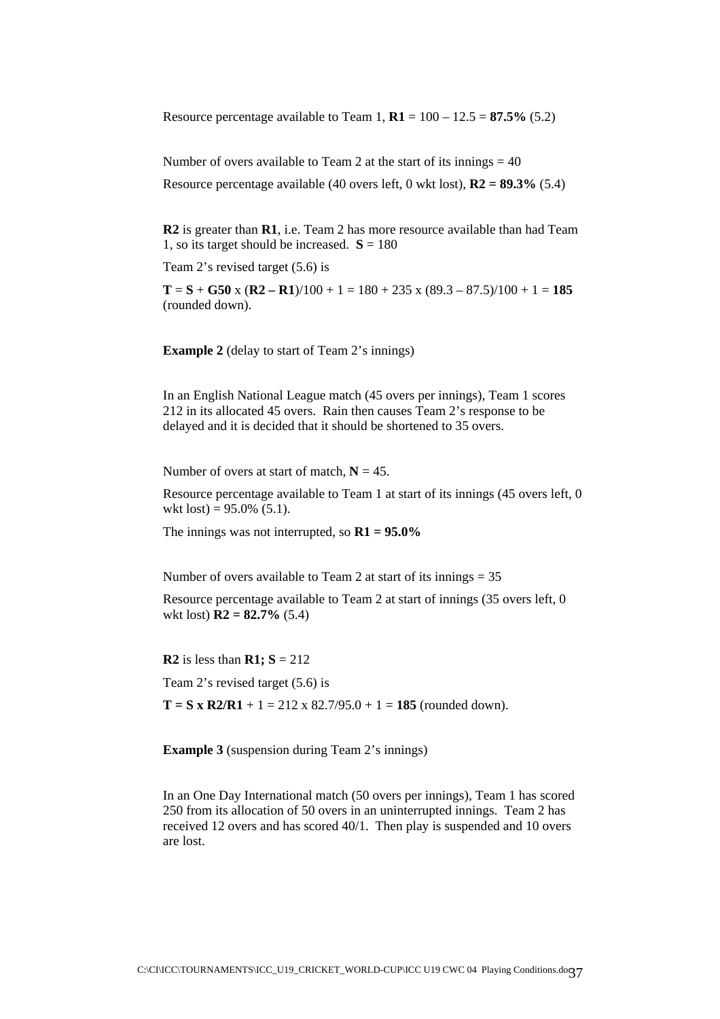Resource percentage available to Team 1,  $R1 = 100 - 12.5 = 87.5\%$  (5.2)

Number of overs available to Team 2 at the start of its innings  $= 40$ 

Resource percentage available (40 overs left, 0 wkt lost), **R2 = 89.3%** (5.4)

**R2** is greater than **R1**, i.e. Team 2 has more resource available than had Team 1, so its target should be increased.  $S = 180$ 

Team 2's revised target (5.6) is

 $T = S + G50$  x  $(R2 - R1)/100 + 1 = 180 + 235$  x  $(89.3 - 87.5)/100 + 1 = 185$ (rounded down).

**Example 2** (delay to start of Team 2's innings)

In an English National League match (45 overs per innings), Team 1 scores 212 in its allocated 45 overs. Rain then causes Team 2's response to be delayed and it is decided that it should be shortened to 35 overs.

Number of overs at start of match,  $N = 45$ .

Resource percentage available to Team 1 at start of its innings (45 overs left, 0 wkt lost) =  $95.0\%$  (5.1).

The innings was not interrupted, so **R1 = 95.0%** 

Number of overs available to Team 2 at start of its innings  $= 35$ 

Resource percentage available to Team 2 at start of innings (35 overs left, 0 wkt lost) **R2 = 82.7%** (5.4)

**R2** is less than **R1;**  $S = 212$ 

Team 2's revised target (5.6) is

 $T = S \times R2/R1 + 1 = 212 \times 82.7/95.0 + 1 = 185$  (rounded down).

**Example 3** (suspension during Team 2's innings)

In an One Day International match (50 overs per innings), Team 1 has scored 250 from its allocation of 50 overs in an uninterrupted innings. Team 2 has received 12 overs and has scored 40/1. Then play is suspended and 10 overs are lost.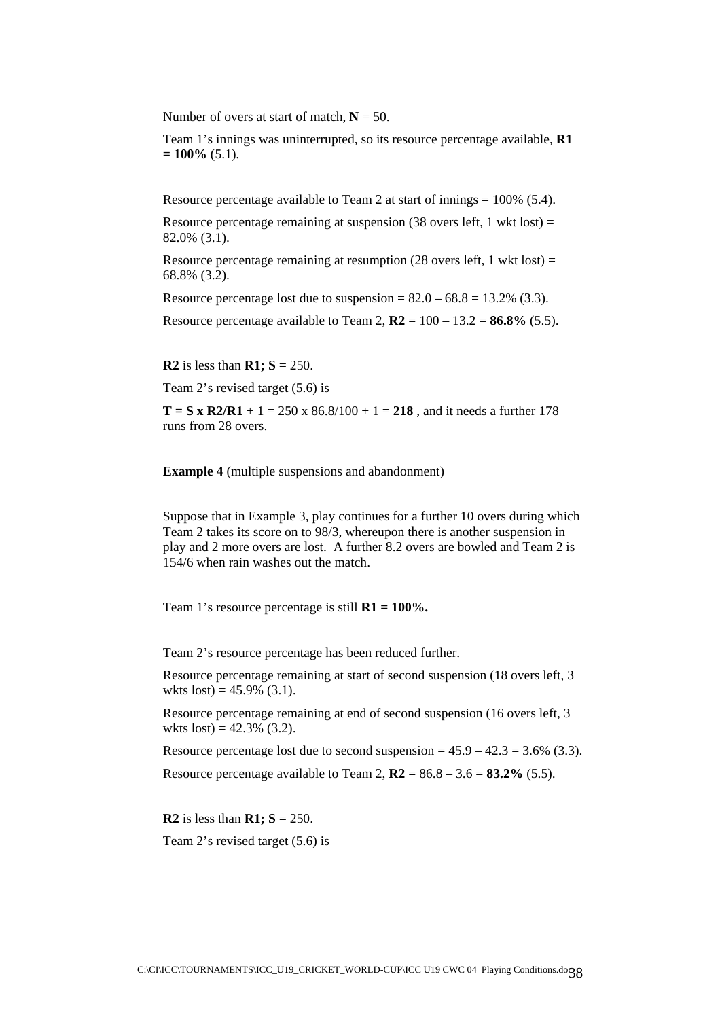Number of overs at start of match,  $N = 50$ .

Team 1's innings was uninterrupted, so its resource percentage available, **R1**   $= 100\%$  (5.1).

Resource percentage available to Team 2 at start of innings  $= 100\%$  (5.4).

Resource percentage remaining at suspension  $(38 \text{ overs left}, 1 \text{ wkt lost}) =$ 82.0% (3.1).

Resource percentage remaining at resumption (28 overs left, 1 wkt lost) = 68.8% (3.2).

Resource percentage lost due to suspension =  $82.0 - 68.8 = 13.2\%$  (3.3).

Resource percentage available to Team 2,  $R2 = 100 - 13.2 = 86.8\%$  (5.5).

**R2** is less than **R1; S** = 250.

Team 2's revised target (5.6) is

**T** = **S** x **R2/R1** + 1 = 250 x 86.8/100 + 1 = 218, and it needs a further 178 runs from 28 overs.

**Example 4** (multiple suspensions and abandonment)

Suppose that in Example 3, play continues for a further 10 overs during which Team 2 takes its score on to 98/3, whereupon there is another suspension in play and 2 more overs are lost. A further 8.2 overs are bowled and Team 2 is 154/6 when rain washes out the match.

Team 1's resource percentage is still **R1 = 100%.** 

Team 2's resource percentage has been reduced further.

Resource percentage remaining at start of second suspension (18 overs left, 3 wkts  $lost) = 45.9\%$  (3.1).

Resource percentage remaining at end of second suspension (16 overs left, 3 wkts  $lost) = 42.3\%$  (3.2).

Resource percentage lost due to second suspension  $= 45.9 - 42.3 = 3.6\%$  (3.3).

Resource percentage available to Team 2,  $R2 = 86.8 - 3.6 = 83.2\%$  (5.5).

**R2** is less than **R1; S** = 250.

Team 2's revised target (5.6) is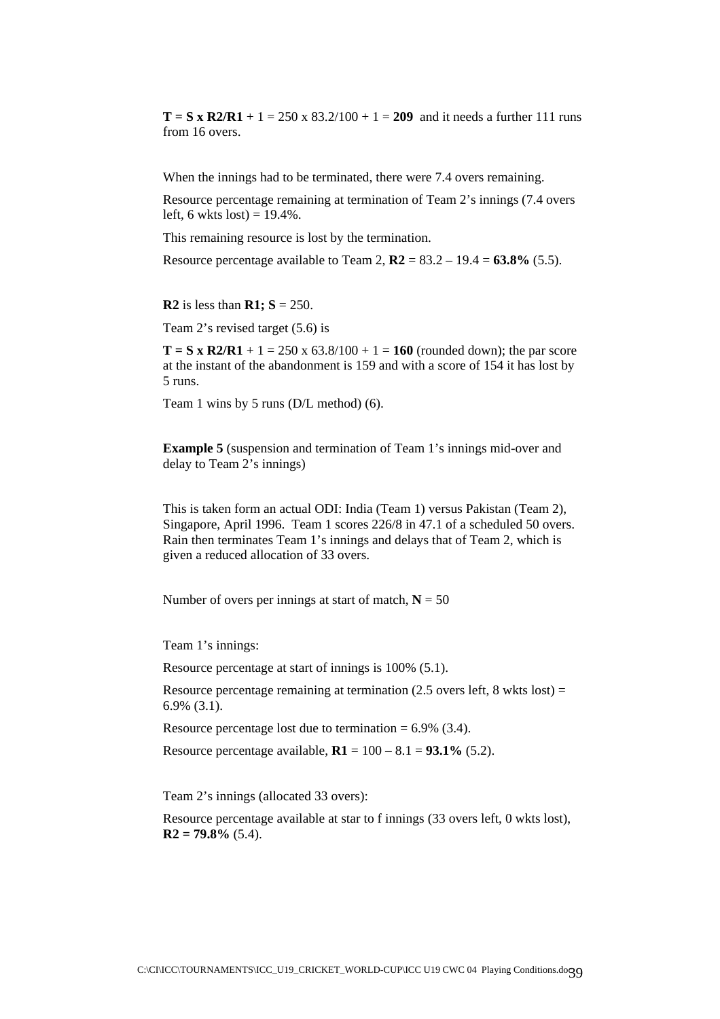**T** = S x R2/R1 + 1 = 250 x 83.2/100 + 1 = 209 and it needs a further 111 runs from 16 overs.

When the innings had to be terminated, there were 7.4 overs remaining.

Resource percentage remaining at termination of Team 2's innings (7.4 overs left, 6 wkts lost) =  $19.4\%$ .

This remaining resource is lost by the termination.

Resource percentage available to Team 2,  $R2 = 83.2 - 19.4 = 63.8\%$  (5.5).

**R2** is less than **R1;**  $S = 250$ .

Team 2's revised target (5.6) is

**T** = **S** x **R2/R1** + 1 = 250 x 63.8/100 + 1 = 160 (rounded down); the par score at the instant of the abandonment is 159 and with a score of 154 it has lost by 5 runs.

Team 1 wins by 5 runs (D/L method) (6).

**Example 5** (suspension and termination of Team 1's innings mid-over and delay to Team 2's innings)

This is taken form an actual ODI: India (Team 1) versus Pakistan (Team 2), Singapore, April 1996. Team 1 scores 226/8 in 47.1 of a scheduled 50 overs. Rain then terminates Team 1's innings and delays that of Team 2, which is given a reduced allocation of 33 overs.

Number of overs per innings at start of match,  $N = 50$ 

Team 1's innings:

Resource percentage at start of innings is 100% (5.1).

Resource percentage remaining at termination  $(2.5 \text{ overs left}, 8 \text{ wkts lost}) =$ 6.9% (3.1).

Resource percentage lost due to termination  $= 6.9\%$  (3.4).

Resource percentage available,  $R1 = 100 - 8.1 = 93.1\%$  (5.2).

Team 2's innings (allocated 33 overs):

Resource percentage available at star to f innings (33 overs left, 0 wkts lost),  $R2 = 79.8\%$  (5.4).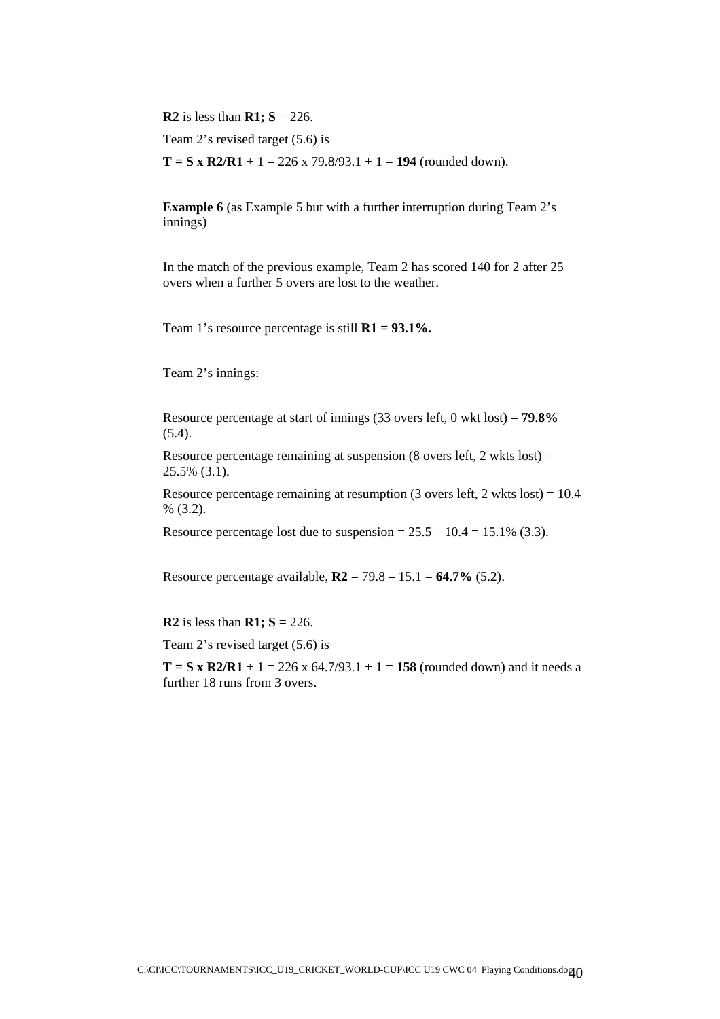**R2** is less than **R1;**  $S = 226$ .

Team 2's revised target (5.6) is

 $T = S x R2/R1 + 1 = 226 x 79.8/93.1 + 1 = 194$  (rounded down).

**Example 6** (as Example 5 but with a further interruption during Team 2's innings)

In the match of the previous example, Team 2 has scored 140 for 2 after 25 overs when a further 5 overs are lost to the weather.

Team 1's resource percentage is still **R1 = 93.1%.**

Team 2's innings:

Resource percentage at start of innings (33 overs left, 0 wkt lost) = **79.8%**  $(5.4)$ .

Resource percentage remaining at suspension (8 overs left, 2 wkts lost) = 25.5% (3.1).

Resource percentage remaining at resumption (3 overs left, 2 wkts lost) =  $10.4$  $% (3.2).$ 

Resource percentage lost due to suspension =  $25.5 - 10.4 = 15.1\%$  (3.3).

Resource percentage available, **R2** = 79.8 – 15.1 = **64.7%** (5.2).

**R2** is less than **R1**;  $S = 226$ .

Team 2's revised target (5.6) is

**T** = **S** x **R2/R1** + 1 = 226 x 64.7/93.1 + 1 = 158 (rounded down) and it needs a further 18 runs from 3 overs.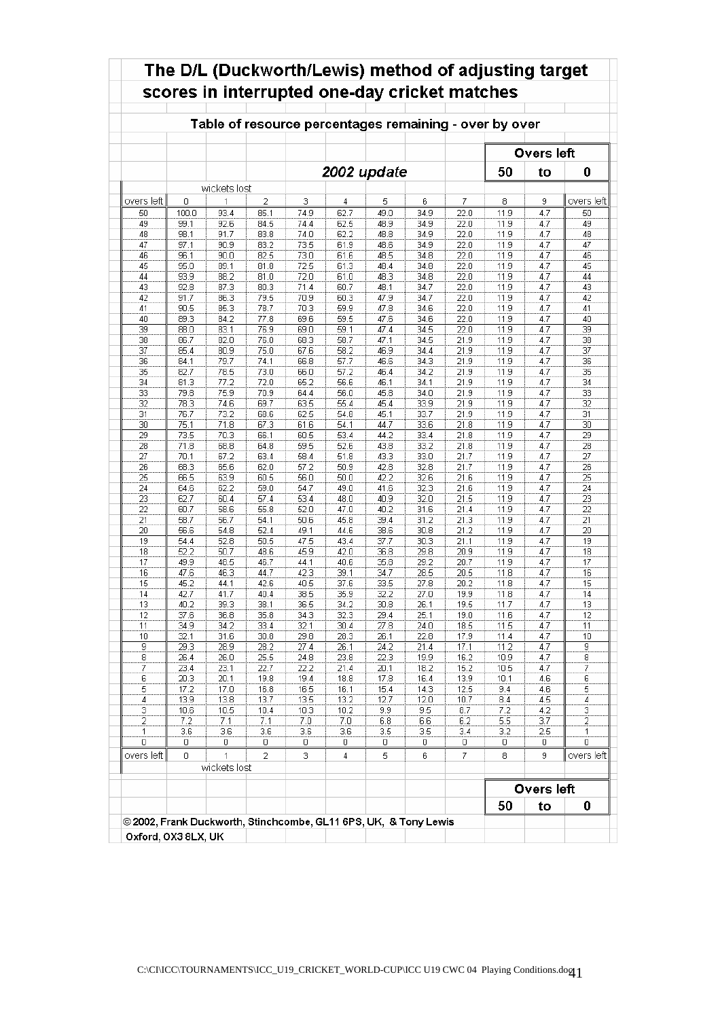|                 |              |              |      |      |             |                  | Table of resource percentages remaining - over by over |      |      |                   |                 |
|-----------------|--------------|--------------|------|------|-------------|------------------|--------------------------------------------------------|------|------|-------------------|-----------------|
|                 |              |              |      |      |             |                  |                                                        |      |      | <b>Overs left</b> |                 |
|                 |              |              |      |      | 2002 update |                  |                                                        |      | 50   | to                | 0               |
|                 |              | wickets lost |      |      |             |                  |                                                        |      |      |                   |                 |
| overs left      | 0            | 1            | 2    | 3    | 4           | 5                | 6                                                      | 7    | 8    | 9                 | overs left      |
| 50              | 100.0        | 93.4         | 85.1 | 74.9 | 62.7        | 49.0             | 34.9                                                   | 22.0 | 11.9 | 4.7               | 50              |
| 49              | 99.1         | 92.6         | 84.5 | 74.4 | 62.5        | 48.9             | 34.9                                                   | 22.0 | 11.9 | 4.7               | 49              |
| 48              | 98.1         | 91.7         | 83.8 | 74.0 | 62.2        | 48.8             | 34.9                                                   | 22.0 | 11.9 | 4.7               | 48              |
| 47              | 97.1         | 90.9         | 83.2 | 73.5 | 61.9        | 48.6             | 34.9                                                   | 22.0 | 11.9 | 4.7               | 47              |
| 46              | 96.1         | 90.0         | 82.5 | 73.0 | 61.6        | 48.5             | 34.8                                                   | 22.0 | 11.9 | 4.7               | 46              |
| 45              | 95.0         | 89.1         | 81.8 | 72.5 | 61.3        | 48.4             | 34.8                                                   | 22.0 | 11.9 | 4.7               | 45              |
| 44              | 93.9         | 88.2         | 81.0 | 72.0 | 61.0        | 48.3             | 34.8                                                   | 22.0 | 11.9 | 4.7               | 44              |
| 43              | 92.8         | 87.3         | 80.3 | 71.4 | 60.7        | 48.1             | 34.7                                                   | 22.0 | 11.9 | 4.7               | 43              |
| 42              | 91.7         | 86.3         | 79.5 | 70.9 | 60.3        | 47.9             | 34.7                                                   | 22.0 | 11.9 | 4.7               | 42              |
| 41              | 90.5         | 85.3         | 78.7 | 70.3 | 59.9        | 47.8             | 34.6                                                   | 22.0 | 11.9 | 4.7               | 41              |
| 40              | 89.3         | 84.2         | 77.8 | 69.6 | 59.5        | 47.6             | 34.6                                                   | 22.0 | 11.9 | 4.7               | 40              |
| 39              | 88.0         | 83.1         | 76.9 | 69.0 | 59.1        | 47.4             | 34.5                                                   | 22.0 | 11.9 | 4.7               | 39              |
| 38              | 86.7         | 82.0         | 76.0 | 68.3 | 58.7        | 47.1             | 34.5                                                   | 21.9 | 11.9 | 4.7               | 38              |
| 37              | 85.4         | 80.9         | 75.0 | 67.6 | 58.2        | 46.9             | 34.4                                                   | 21.9 | 11.9 | 4.7               | 37              |
| 36              | 84.1         | 79.7         | 74.1 | 66.8 | 57.7        | 46.6             | 34.3                                                   | 21.9 | 11.9 | 4.7               | 36              |
| 35              | 82.7         | 78.5         | 73.0 | 66.0 | 57.2        | 46.4             | 34.2                                                   | 21.9 | 11.9 | 4.7               | 35              |
| 34              | 81.3         | 77.2         | 72.0 | 65.2 | 56.6        | 46.1             | 34.1                                                   | 21.9 | 11.9 | 4.7               | 34              |
| 33              | 79.8         | 75.9         | 70.9 | 64.4 | 56.0        | 45.8             | 34.0                                                   | 21.9 | 11.9 | 4.7               | 33              |
| 32              | 78.3         | 74.6         | 69.7 | 63.5 | 55.4        | 45.4             | 33.9                                                   | 21.9 | 11.9 | 4.7               | 32              |
| 31              | 76.7         | 73.2         | 68.6 | 62.5 | 54.8        | 45.1             | 33.7                                                   | 21.9 | 11.9 | 4.7               | 31              |
| 30              | 75.1         | 71.8         | 67.3 | 61.6 | 54.1        | 44.7             | 33.6                                                   | 21.8 | 11.9 | 4.7               | 30              |
| $\overline{29}$ | 73.5         | 70.3         | 66.1 | 60.5 | 53.4        | 44.2             | 33.4                                                   | 21.8 | 11.9 | 4.7               | $\overline{29}$ |
| 28              | 71.8         | 68.8         | 64.8 | 59.5 | 52.6        | 43.8             | 33.2                                                   | 21.8 | 11.9 | 4.7               | 28              |
| 27              | 70.1         | 67.2         | 63.4 | 58.4 | 51.8        | 43.3             | 33.0                                                   | 21.7 | 11.9 | 4.7               | 27              |
| 26              | 68.3         | 65.6         | 62.0 | 57.2 | 50.9        | 42.8             | 32.8                                                   | 21.7 | 11.9 | 4.7               | 26              |
| 25              | 66.5         | 63.9         | 60.5 | 56.0 | 50.0        | 42.2             | 32.6                                                   | 21.6 | 11.9 | 4.7               | 25              |
| 24              | 64.6         | 62.2         | 59.0 | 54.7 | 49.0        | 41.6             | 32.3                                                   | 21.6 | 11.9 | 4.7               | 24              |
| 23              | 62.7         | 60.4         | 57.4 | 53.4 | 48.0        | 40.9             | 32.0                                                   | 21.5 | 11.9 | 4.7               | 23              |
| 22              | 60.7         | 58.6         | 55.8 | 52.0 | 47.0        | 40.2             | 31.6                                                   | 21.4 | 11.9 | 4.7               | 22              |
| 21              | 58.7         | 56.7         | 54.1 | 50.6 | 45.8        | 39.4             | 31.2                                                   | 21.3 | 11.9 | 4.7               | 21              |
| 20              | 56.6         | 54.8         | 52.4 | 49.1 | 44.6        | 38.6             | 30.8                                                   | 21.2 | 11.9 | 4.7               | 20              |
| 19              | 54.4         | 52.8         | 50.5 | 47.5 | 43.4        | 37.7             | 30.3                                                   | 21.1 | 11.9 | 4.7               | 19              |
| 18              | 52.2         | 50.7         | 48.6 | 45.9 | 42.0        | 36.8             | 29.8                                                   | 20.9 | 11.9 | 4.7               | 18              |
| 17              | 49.9         | 48.5         | 46.7 | 44.1 | 40.6        | 35.8             | 29.2                                                   | 20.7 | 11.9 | 4.7               | 17              |
| 16              | 47.6         | 46.3         | 44.7 | 42.3 | 39.1        | 34.7             | 28.5                                                   | 20.5 | 11.8 | 4.7               | 16              |
| 15              | 45.2         | 44.1         | 42.6 | 40.5 | 37.6        | 33.5             | 27.8                                                   | 20.2 | 11.8 | 4.7               | 15              |
| 14              | 42.7         | 41.7         | 40.4 | 38.5 | 35.9        | 32.2             | 27.0                                                   | 19.9 | 11.8 | 4.7               | 14              |
| 13              | 40.2         | 39.3         | 38.1 | 36.5 | 34.2        | 30.8             | 26.1                                                   | 19.5 | 11.7 | 4.7               | 13              |
| 12              | 37.6         | 36.8         | 35.8 | 34.3 | 32.3        | 29.4             | 25.1                                                   | 19.0 | 11.6 | 4.7               | 12              |
| 11              | 34.9         | 34.2         | 33.4 | 32.1 | 30.4        | 27.8             | 24.0                                                   | 18.5 | 11.5 | 4.7               | 11              |
| 10              | 32.1         | 31.6         | 30.8 | 29.8 | 28.3        | 26.1             | 22.8                                                   | 17.9 | 11.4 | 4.7               | 10              |
| 9               | 29.3         | 28.9         | 28.2 | 27.4 | 26.1        | 24.2             | 21.4                                                   | 17.1 | 11.2 | 4.7               | 9               |
| 8               | 26.4         | 26.0         | 25.5 | 24.8 | 23.8        | 22.3             | 19.9                                                   | 16.2 | 10.9 | 4.7               | 8               |
| 7               | 23.4         | 23.1         | 22.7 | 22.2 | 21.4        | 20.1             | 18.2                                                   | 15.2 | 10.5 | 4.7               | 7               |
| 6               | 20.3         | 20.1         | 19.8 | 19.4 | 18.8        | 17.8             | 16.4                                                   | 13.9 | 10.1 | 4.6               | 6               |
| 5               | 17.2         | 17.0         | 16.8 | 16.5 | 16.1        | 15.4             | 14.3                                                   | 12.5 | 9.4  | 4.6               | 5               |
| 4               | 13.9         | 13.8         | 13.7 | 13.5 | 13.2        | 12.7             | 12.0                                                   | 10.7 | 8.4  | 4.5               | 4               |
| 3               | 10.6         | 10.5         | 10.4 | 10.3 | 10.2        | 9.9              | 9.5                                                    | 8.7  | 7.2  | 4.2               | 3               |
| 2               | 7.2          | 7.1          | 7.1  | 7.0  | 7.0         | 6.8              | 6.6                                                    | 6.2  | 5.5  | 3.7               | 2               |
| 1               | 3.6          | 3.6          | 3.6  | 3.6  | 3.6         | $\overline{3.5}$ | 3.5                                                    | 3.4  | 3.2  | 2.5               | 1               |
| 0               | 0            | 0            | 0    | 0    | 0           | 0                | 0                                                      | 0    | 0    | 0                 | 0               |
| overs left      | $\mathbf{0}$ | $\mathbf{1}$ | 2    | 3    | 4           | 5                | 6                                                      | 7    | 8    | 9                 | overs left      |
|                 |              | wickets lost |      |      |             |                  |                                                        |      |      |                   |                 |
|                 |              |              |      |      |             |                  |                                                        |      | 50   | <b>Overs left</b> | 0               |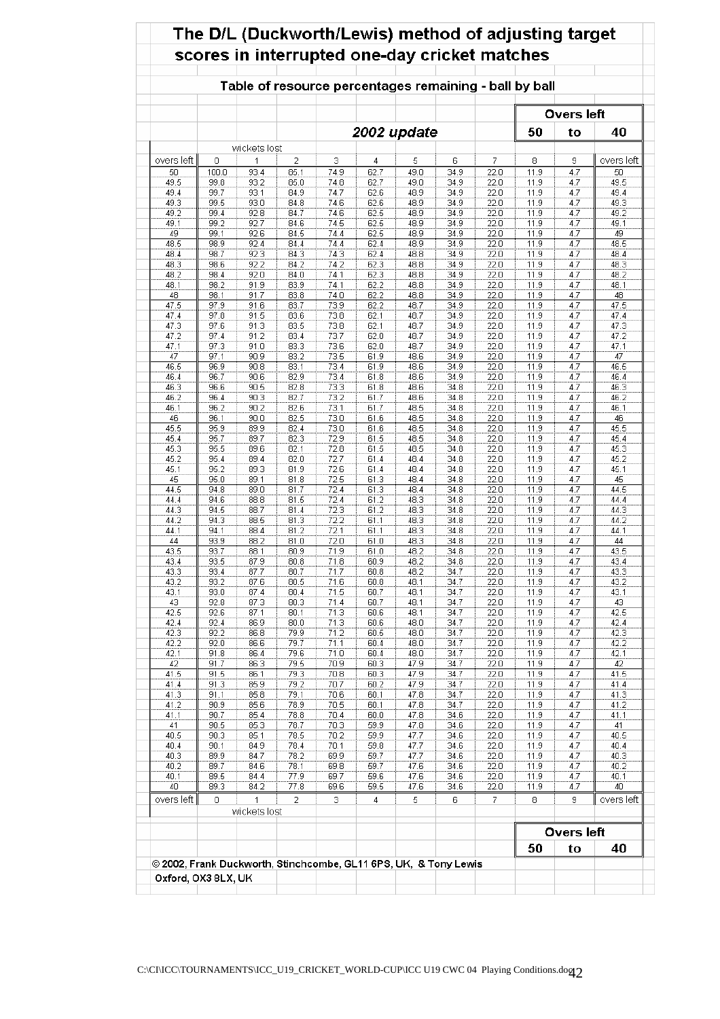|                   |       |                   |      |      |      |             |      |      | scores in interrupted one-day cricket matches          |                   |            |
|-------------------|-------|-------------------|------|------|------|-------------|------|------|--------------------------------------------------------|-------------------|------------|
|                   |       |                   |      |      |      |             |      |      | Table of resource percentages remaining - ball by ball |                   |            |
|                   |       |                   |      |      |      |             |      |      |                                                        | Overs left        |            |
|                   |       |                   |      |      |      | 2002 update |      |      | 50                                                     | to                | 40         |
| overs left        | 0     | wickets lost<br>1 | 2    | 3    | 4    | 5           | 6    | 7    | 8                                                      | 9                 | overs left |
| 50                | 100.0 | 93.4              | 85.1 | 74.9 | 62.7 | 49.0        | 34.9 | 22.0 | 11.9                                                   | 4.7               | 50         |
| 49.5              | 99.8  | 93.2              | 85.0 | 74.8 | 62.7 | 49.0        | 34.9 | 22.0 | 11.9                                                   | 4.7               | 49.5       |
| 49.4              | 99.7  | 93.1              | 84.9 | 74.7 | 62.6 | 48.9        | 34.9 | 22.0 | 11.9                                                   | 4.7               | 49.4       |
| 49.3              | 99.5  | 93.0              | 84.8 | 74.6 | 62.6 | 48.9        | 34.9 | 22.0 | 11.9                                                   | 4.7               | 49.3       |
| 49.2              | 99.4  | 92.8              | 84.7 | 74.6 | 62.5 | 48.9        | 34.9 | 22.0 | 11.9                                                   | 4.7               | 49.2       |
| 49.1              | 99.2  | 92.7              | 84.6 | 74.5 | 62.5 | 48.9        | 34.9 | 22.0 | 11.9                                                   | 4.7               | 49.1       |
| 49                | 99.1  | 92.6              | 84.5 | 74.4 | 62.5 | 48.9        | 34.9 | 22.0 | 11.9                                                   | 4.7               | 49         |
| 48.5              | 98.9  | 92.4              | 84.4 | 74.4 | 62.4 | 48.9        | 34.9 | 22.0 | 11.9                                                   | 4.7               | 48.5       |
| 48.4              | 98.7  | 92.3              | 84.3 | 74.3 | 62.4 | 48.8        | 34.9 | 22.0 | 11.9                                                   | 4.7               | 48.4       |
| 48.3              | 98.6  | 92.2              | 84.2 | 74.2 | 62.3 | 48.8        | 34.9 | 22.0 | 11.9                                                   | 4.7               | 48.3       |
| 48.2              | 98.4  | 92.0              | 84.0 | 74.1 | 62.3 | 48.8        | 34.9 | 22.0 | 11.9                                                   | 4.7               | 48.2       |
| 48.1              | 98.2  | 91.9              | 83.9 | 74.1 | 62.2 | 48.8        | 34.9 | 22.0 | 11.9                                                   | 4.7               | 48.1       |
| 48                | 98.1  | 91.7              | 83.8 | 74.0 | 62.2 | 48.8        | 34.9 | 22.0 | 11.9                                                   | 4.7               | 48         |
| 47.5              | 97.9  | 91.6              | 83.7 | 73.9 | 62.2 | 48.7        | 34.9 | 22.0 | 11.9                                                   | 4.7               | 47.5       |
| 47.4              | 97.8  | 91.5              | 83.6 | 73.8 | 62.1 | 48.7        | 34.9 | 22.0 | 11.9                                                   | 4.7               | 47.4       |
| 47.3              | 97.6  | 91.3              | 83.5 | 73.8 | 62.1 | 48.7        | 34.9 | 22.0 | 11.9                                                   | 4.7               | 47.3       |
| 47.2              | 97.4  | 91.2              | 83.4 | 73.7 | 62.0 | 48.7        | 34.9 | 22.0 | 11.9                                                   | 4.7               | 47.2       |
| 47.1              | 97.3  | 91.0              | 83.3 | 73.6 | 62.0 | 48.7        | 34.9 | 22.0 | 11.9                                                   | 4.7               | 47.1       |
| 47                | 97.1  | 90.9              | 83.2 | 73.5 | 61.9 | 48.6        | 34.9 | 22.0 | 11.9                                                   | 4.7               | 47         |
| 46.5              | 96.9  | 90.8              | 83.1 | 73.4 | 61.9 | 48.6        | 34.9 | 22.0 | 11.9                                                   | 4.7               | 46.5       |
| 46.4              | 96.7  | 90.6              | 82.9 | 73.4 | 61.8 | 48.6        | 34.9 | 22.0 | 11.9                                                   | 4.7               | 46.4       |
| 46.3              | 96.6  | 90.5              | 82.8 | 73.3 | 61.8 | 48.6        | 34.8 | 22.0 | 11.9                                                   | 4.7               | 46.3       |
| 46.2              | 96.4  | 90.3              | 82.7 | 73.2 | 61.7 | 48.6        | 34.8 | 22.0 | 11.9                                                   | 4.7               | 46.2       |
| 46.1              | 96.2  | 90.2              | 82.6 | 73.1 | 61.7 | 48.5        | 34.8 | 22.0 | 11.9                                                   | 4.7               | 46.1       |
| 46                | 96.1  | 90.0              | 82.5 | 73.0 | 61.6 | 48.5        | 34.8 | 22.0 | 11.9                                                   | 4.7               | 46         |
| 45.5              | 95.9  | 89.9              | 82.4 | 73.0 | 61.6 | 48.5        | 34.8 | 22.0 | 11.9                                                   | 4.7               | 45.5       |
| 45.4              | 95.7  | 89.7              | 82.3 | 72.9 | 61.5 | 48.5        | 34.8 | 22.0 | 11.9                                                   | 4.7               | 45.4       |
| 45.3              | 95.5  | 89.6              | 82.1 | 72.8 | 61.5 | 48.5        | 34.8 | 22.0 | 11.9                                                   | 4.7               | 45.3       |
| 45.2              | 95.4  | 89.4              | 82.0 | 72.7 | 61.4 | 48.4        | 34.8 | 22.0 | 11.9                                                   | 4.7               | 45.2       |
| 45.1              | 95.2  | 89.3              | 81.9 | 72.6 | 61.4 | 48.4        | 34.8 | 22.0 | 11.9                                                   | 4.7               | 45.1       |
| 45                | 95.0  | 89.1              | 81.8 | 72.5 | 61.3 | 48.4        | 34.8 | 22.0 | 11.9                                                   | 4.7               | 45         |
| 44.5              | 94.8  | 89.0              | 81.7 | 72.4 | 61.3 | 48.4        | 34.8 | 22.0 | 11.9                                                   | 4.7               | 44.5       |
| 44.4              | 94.6  | 88.8              | 81.5 | 72.4 | 61.2 | 48.3        | 34.8 | 22.0 | 11.9                                                   | 4.7               | 44.4       |
| 44.3              | 94.5  | 88.7              | 81.4 | 72.3 | 61.2 | 48.3        | 34.8 | 22.0 | 11.9                                                   | 4.7               | 44.3       |
| 44.2              | 94.3  | 88.5              | 81.3 | 72.2 | 61.1 | 48.3        | 34.8 | 22.0 | 11.9                                                   | 4.7               | 44.2       |
| 44.1              | 94.1  | 88.4              | 81.2 | 72.1 | 61.1 | 48.3        | 34.8 | 22.0 | 11.9                                                   | 4.7               | 44.1       |
| 44                | 93.9  | 88.2              | 81.0 | 72.0 | 61.0 | 48.3        | 34.8 | 22.0 | 11.9                                                   | 4.7               | 44         |
| $43.\overline{5}$ | 93.7  | 88.1              | 80.9 | 71.9 | 61.0 | 48.2        | 34.8 | 22.0 | 11.9                                                   | 4.7               | 43.5       |
| 43.4              | 93.5  | 87.9              | 80.8 | 71.8 | 60.9 | 48.2        | 34.8 | 22.0 | 11.9                                                   | 4.7               | 43.4       |
| 43.3              | 93.4  | 87.7              | 80.7 | 71.7 | 60.8 | 48.2        | 34.7 | 22.0 | 11.9                                                   | 4.7               | 43.3       |
| 43.2              | 93.2  | 87.6              | 80.5 | 71.6 | 60.8 | 48.1        | 34.7 | 22.0 | 11.9                                                   | 4.7               | 43.2       |
| 43.1              | 93.0  | 87.4              | 80.4 | 71.5 | 60.7 | 48.1        | 34.7 | 22.0 | 11.9                                                   | 4.7               | 43.1       |
| 43                | 92.8  | 87.3              | 80.3 | 71.4 | 60.7 | 48.1        | 34.7 | 22.0 | 11.9                                                   | 4.7               | 43         |
| 42.5              | 92.6  | 87.1              | 80.1 | 71.3 | 60.6 | 48.1        | 34.7 | 22.0 | 11.9                                                   | 4.7               | 42.5       |
| 42.4              | 92.4  | 86.9              | 80.0 | 71.3 | 60.6 | 48.0        | 34.7 | 22.0 | 11.9                                                   | 4.7               | 42.4       |
| 42.3              | 92.2  | 86.8              | 79.9 | 71.2 | 60.5 | 48.0        | 34.7 | 22.0 | 11.9                                                   | 4.7               | 42.3       |
| 42.2              | 92.0  | 86.6              | 79.7 | 71.1 | 60.4 | 48.0        | 34.7 | 22.0 | 11.9                                                   | 4.7               | 42.2       |
| 42.1              | 91.8  | 86.4              | 79.6 | 71.0 | 60.4 | 48.0        | 34.7 | 22.0 | 11.9                                                   | 4.7               | 42.1       |
| 42                | 91.7  | 86.3              | 79.5 | 70.9 | 60.3 | 47.9        | 34.7 | 22.0 | 11.9                                                   | 4.7               | 42         |
| 41.5              | 91.5  | 86.1              | 79.3 | 70.8 | 60.3 | 47.9        | 34.7 | 22.0 | 11.9                                                   | 4.7               | 41.5       |
| 41.4              | 91.3  | 85.9              | 79.2 | 70.7 | 60.2 | 47.9        | 34.7 | 22.0 | 11.9                                                   | 4.7               | 41.4       |
| 41.3              | 91.1  | 85.8              | 79.1 | 70.6 | 60.1 | 47.8        | 34.7 | 22.0 | 11.9                                                   | 4.7               | 41.3       |
| 41.2              | 90.9  | 85.6              | 78.9 | 70.5 | 60.1 | 47.8        | 34.7 | 22.0 | 11.9                                                   | 4.7               | 41.2       |
| 41.1              | 90.7  | 85.4              | 78.8 | 70.4 | 60.0 | 47.8        | 34.6 | 22.0 | 11.9                                                   | 4.7               | 41.1       |
| 41                | 90.5  | 85.3              | 78.7 | 70.3 | 59.9 | 47.8        | 34.6 | 22.0 | 11.9                                                   | 4.7               | 41         |
| 40.5              | 90.3  | 85.1              | 78.5 | 70.2 | 59.9 | 47.7        | 34.6 | 22.0 | 11.9                                                   | 4.7               | 40.5       |
| 40.4              | 90.1  | 84.9              | 78.4 | 70.1 | 59.8 | 47.7        | 34.6 | 22.0 | 11.9                                                   | 4.7               | 40.4       |
| 40.3              | 89.9  | 84.7              | 78.2 | 69.9 | 59.7 | 47.7        | 34.6 | 22.0 | 11.9                                                   | 4.7               | 40.3       |
| 40.2              | 89.7  | 84.6              | 78.1 | 69.8 | 59.7 | 47.6        | 34.6 | 22.0 | 11.9                                                   | 4.7               | 40.2       |
| 40.1              | 89.5  | 84.4              | 77.9 | 69.7 | 59.6 | 47.6        | 34.6 | 22.0 | 11.9                                                   | 4.7               | 40.1       |
| 40                | 89.3  | 84.2              | 77.8 | 69.6 | 59.5 | 47.6        | 34.6 | 22.0 | 11.9                                                   | 4.7               | 40         |
| overs left        | 0     | 1                 | 2    | 3.   | 4    | 5           | 6    | 7    | 8                                                      | 9                 | overs left |
|                   |       | wickets lost      |      |      |      |             |      |      |                                                        |                   |            |
|                   |       |                   |      |      |      |             |      |      |                                                        | <b>Overs left</b> |            |
|                   |       |                   |      |      |      |             |      |      | 50                                                     | to                | 40         |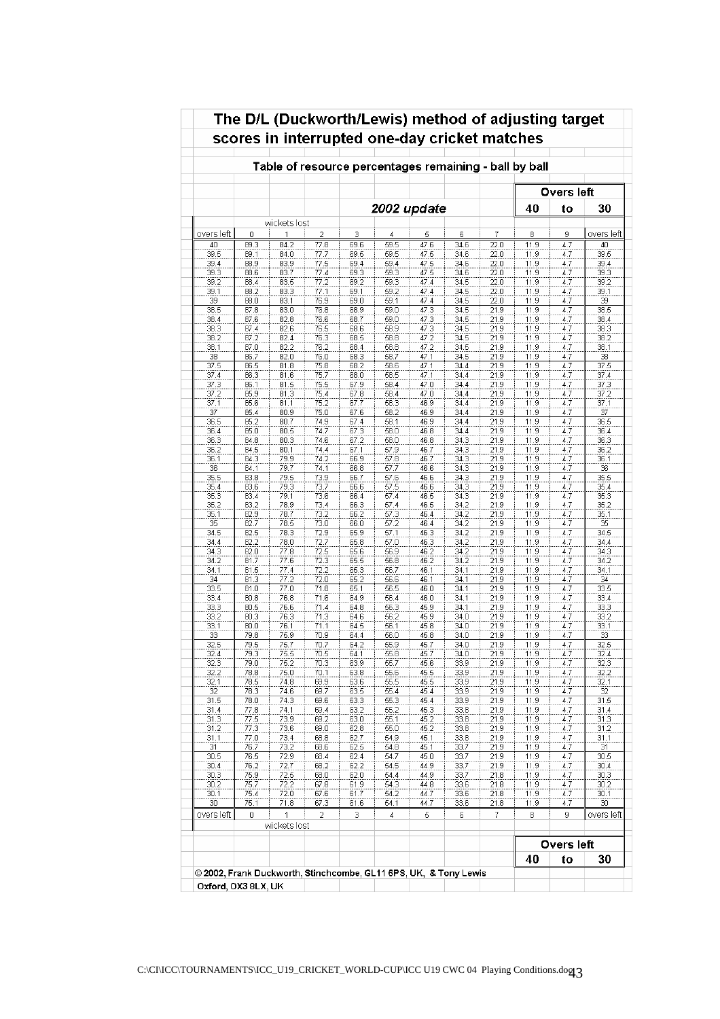|            |              |              |               |              |              |              |              |                           |              | Overs left |                  |
|------------|--------------|--------------|---------------|--------------|--------------|--------------|--------------|---------------------------|--------------|------------|------------------|
|            |              |              |               |              | 2002 update  |              |              |                           | 40           | to         | 30               |
|            |              | wickets lost |               |              |              |              |              |                           |              |            |                  |
| overs left | 0            | 1<br>84.2    | $\mathfrak 2$ | 3            | 4<br>59.5    | 5<br>47.6    | 6<br>34.6    | 7                         | 8            | 9          | overs left<br>40 |
| 40<br>39.5 | 89.3<br>89.1 | 84.0         | 77.8<br>77.7  | 69.6<br>69.5 | 59.5         | 47.5         | 34.6         | 22.0<br>22.0              | 11.9<br>11.9 | 4.7<br>4.7 | 39.5             |
| 39.4       | 88.9         | 83.9         | 77.5          | 69.4         | 59.4         | 47.5         | 34.6         | 22.0                      | 11.9         | 4.7        | 39.4             |
| 39.3       | 88.6         | 83.7         | 77.4          | 69.3         | 59.3         | 47.5         | 34.6         | 22.0                      | 11.9         | 4.7        | 39.3             |
| 39.2       | 88.4         | 83.5         | 77.2          | 69.2         | 59.3         | 47.4         | 34.5         | 22.0                      | 11.9         | 4.7        | 39.2             |
| 39.1       | 88.2         | 83.3         | 77.1          | 69.1         | 59.2         | 47.4         | 34.5         | 22.0                      | 11.9         | 4.7        | 39.1             |
| 39         | 88.0         | 83.1         | 76.9          | 69.0         | 59.1         | 47.4         | 34.5         | 22.0                      | 11.9         | 4.7        | 39               |
| 38.5       | 87.8         | 83.0         | 76.8          | 68.9         | 59.0         | 47.3         | 34.5         | 21.9                      | 11.9         | 4.7        | 38.5             |
| 38.4       | 87.6         | 82.8         | 76.6          | 68.7         | 59.0         | 47.3         | 34.5         | 21.9                      | 11.9         | 4.7        | 38.4             |
| 38.3       | 87.4         | 82.6         | 76.5          | 68.6         | 58.9         | 47.3         | 34.5         | 21.9                      | 11.9         | 4.7        | 38.3             |
| 38.2       | 87.2         | 82.4         | 76.3          | 68.5         | 58.8         | 47.2         | 34.5         | 21.9                      | 11.9         | 4.7        | 38.2             |
| 38.1       | 87.0         | 82.2         | 76.2          | 68.4         | 58.8         | 47.2         | 34.5         | 21.9                      | 11.9         | 4.7        | 38.1             |
| 38         | 86.7         | 82.0         | 76.0          | 68.3         | 58.7         | 47.1         | 34.5         | 21.9                      | 11.9         | 4.7        | 38               |
| 37.5       | 86.5         | 81.8         | 75.8          | 68.2         | 58.6         | 47.1         | 34.4         | 21.9                      | 11.9         | 4.7        | 37.5             |
| 37.4       | 86.3         | 81.6         | 75.7          | 68.0         | 58.5         | 47.1         | 34.4         | 21.9                      | 11.9         | 4.7        | 37.4             |
| 37.3       | 86.1         | 81.5         | 75.5          | 67.9         | 58.4         | 47.0         | 34.4         | 21.9                      | 11.9         | 4.7        | 37.3             |
| 37.2       | 85.9         | 81.3         | 75.4          | 67.8         | 58.4         | 47.0         | 34.4         | 21.9                      | 11.9         | 4.7        | 37.2             |
| 37.1       | 85.6         | 81.1         | 75.2<br>75.0  | 67.7         | 58.3         | 46.9         | 34.4         | 21.9                      | 11.9         | 4.7        | 37.1             |
| 37<br>36.5 | 85.4<br>85.2 | 80.9<br>80.7 | 74.9          | 67.6<br>67.4 | 58.2<br>58.1 | 46.9<br>46.9 | 34.4<br>34.4 | 21.9<br>$21.\overline{9}$ | 11.9<br>11.9 | 4.7<br>4.7 | 37<br>36.5       |
| 36.4       | 85.0         | 80.5         | 74.7          | 67.3         | 58.0         | 46.8         | 34.4         | 21.9                      | 11.9         | 4.7        | 36.4             |
| 36.3       | 84.8         | 80.3         | 74.6          | 67.2         | 58.0         | 46.8         | 34.3         | 21.9                      | 11.9         | 4.7        | 36.3             |
| 36.2       | 84.5         | 80.1         | 74.4          | 67.1         | 57.9         | 46.7         | 34.3         | 21.9                      | 11.9         | 4.7        | 36.2             |
| 36.1       | 84.3         | 79.9         | 74.2          | 66.9         | 57.8         | 46.7         | 34.3         | 21.9                      | 11.9         | 4.7        | 36.1             |
| 36         | 84.1         | 79.7         | 74.1          | 66.8         | 57.7         | 46.6         | 34.3         | 21.9                      | 11.9         | 4.7        | 36               |
| 35.5       | 83.8         | 79.5         | 73.9          | 66.7         | 57.6         | 46.6         | 34.3         | 21.9                      | 11.9         | 4.7        | 35.5             |
| 35.4       | 83.6         | 79.3         | 73.7          | 66.6         | 57.5         | 46.6         | 34.3         | 21.9                      | 11.9         | 4.7        | 35.4             |
| 35.3       | 83.4         | 79.1         | 73.6          | 66.4         | 57.4         | 46.5         | 34.3         | 21.9                      | 11.9         | 4.7        | 35.3             |
| 35.2       | 83.2         | 78.9         | 73.4          | 66.3         | 57.4         | 46.5         | 34.2         | 21.9                      | 11.9         | 4.7        | 35.2             |
| 35.1       | 82.9         | 78.7         | 73.2          | 66.2         | 57.3         | 46.4         | 34.2         | 21.9                      | 11.9         | 4.7        | 35.1             |
| 35         | 82.7         | 78.5         | 73.0          | 66.0         | 57.2         | 46.4         | 34.2         | 21.9                      | 11.9         | 4.7        | 35               |
| 34.5       | 82.5         | 78.3         | 72.9          | 65.9         | 57.1         | 46.3         | 34.2         | 21.9                      | 11.9         | 4.7        | 34.5             |
| 34.4       | 82.2         | 78.0         | 72.7          | 65.8         | 57.0         | 46.3         | 34.2         | 21.9                      | 11.9         | 4.7        | 34.4             |
| 34.3       | 82.0         | 77.8         | 72.5          | 65.6         | 56.9         | 46.2         | 34.2         | 21.9                      | 11.9         | 4.7        | 34.3             |
| 34.2       | 81.7         | 77.6         | 72.3          | 65.5         | 56.8         | 46.2         | 34.2         | 21.9                      | 11.9         | 4.7        | 34.2             |
| 34.1       | 81.5         | 77.4         | 72.2          | 65.3         | 56.7         | 46.1         | 34.1         | 21.9                      | 11.9         | 4.7        | 34.1             |
| 34         | 81.3         | 77.2         | 72.0          | 65.2         | 56.6         | 46.1         | 34.1         | 21.9                      | 11.9         | 4.7        | 34               |
| 33.5       | 81.0         | 77.0         | 71.8          | 65.1         | 56.5         | 46.0         | 34.1         | 21.9                      | 11.9         | 4.7        | 33.5             |
| 33.4       | 80.8         | 76.8         | 71.6          | 64.9         | 56.4         | 46.0         | 34.1         | 21.9                      | 11.9         | 4.7        | 33.4             |
| 33.3       | 80.5         | 76.6         | 71.4          | 64.8         | 56.3         | 45.9         | 34.1         | 21.9                      | 11.9         | 4.7        | 33.3             |
| 33.2       | 80.3         | 76.3         | 71.3          | 64.6         | 56.2         | 45.9         | 34.0         | 21.9                      | 11.9         | 4.7        | 33.2             |
| 33.1<br>33 | 80.0<br>79.8 | 76.1<br>75.9 | 71.1<br>70.9  | 64.5<br>64.4 | 56.1<br>56.0 | 45.8<br>45.8 | 34.0<br>34.0 | 21.9<br>21.9              | 11.9<br>11.9 | 4.7<br>4.7 | 33.1<br>33       |
| 32.5       | 79.5         | 75.7         | 70.7          | 64.2         | 55.9         | 45.7         | 34.0         | 21.9                      | 11.9         | 4.7        | 32.5             |
| 32.4       | 79.3         | 75.5         | 70.5          | 64.1         | 55.8         | 45.7         | 34.0         | 21.9                      | 11.9         | 4.7        | 32.4             |
| 32.3       | 79.0         | 75.2         | 70.3          | 63.9         | 55.7         | 45.6         | 33.9         | 21.9                      | 11.9         | 4.7        | 32.3             |
| 32.2       | 78.8         | 76.0         | 70.1          | 63.8         | 55.6         | 45.5         | 33.9         | 21.9                      | 11.9         | 4.7        | 32.2             |
| 32.1       | 78.5         | 74.8         | 69.9          | 63.6         | 55.5         | 45.5         | 33.9         | 21.9                      | 11.9         | 4.7        | 32.1             |
| 32         | 78.3         | 74.6         | 69.7          | 63.5         | 55.4         | 45.4         | 33.9         | 21.9                      | 11.9         | 4.7        | 32               |
| 31.5       | 78.0         | 74.3         | 69.6          | 63.3         | 55.3         | 45.4         | 33.9         | 21.9                      | 11.9         | 4.7        | 31.5             |
| 31.4       | 77.8         | 74.1         | 69.4          | 63.2         | 55.2         | 45.3         | 33.8         | 21.9                      | 11.9         | 4.7        | 31.4             |
| 31.3       | 77.5         | 73.9         | 69.2          | 63.0         | 55.1         | 45.2         | 33.8         | 21.9                      | 11.9         | 4.7        | 31.3             |
| 31.2       | 77.3         | 73.6         | 69.0          | 62.8         | 55.0         | 45.2         | 33.8         | 21.9                      | 11.9         | 4.7        | 31.2             |
| 31.1       | 77.0         | 73.4         | 68.8          | 62.7         | 54.9         | 45.1         | 33.8         | 21.9                      | 11.9         | 4.7        | 31.1             |
| 31         | 76.7         | 73.2         | 68.6          | 62.5         | 54.8         | 45.1         | 33.7         | 21.9                      | 11.9         | 4.7        | 31               |
| 30.5       | 76.5         | 72.9         | 68.4          | 62.4         | 54.7         | 45.0         | 33.7         | 21.9                      | 11.9         | 4.7        | 30.5             |
| 30.4       | 76.2         | 72.7         | 68.2          | 62.2         | 54.5         | 44.9         | 33.7         | 21.9                      | 11.9         | 4.7        | 30.4             |
| 30.3       | 75.9         | 72.5         | 68.0          | 62.0         | 54.4         | 44.9         | 33.7         | 21.8                      | 11.9         | 4.7        | 30.3             |
| 30.2       | 75.7         | 72.2         | 67.8          | 61.9         | 54.3         | 44.8         | 33.6         | 21.8                      | 11.9         | 4.7        | 30.2             |
| 30.1       | 75.4         | 72.0         | 67.6          | 61.7         | 54.2         | 44.7         | 33.6         | 21.8                      | 11.9         | 4.7        | 30.1             |
| 30         | 75.1         | 71.8         | 67.3          | 61.6         | 54.1         | 44.7         | 33.6         | 21.8                      | 11.9         | 4.7        | 30               |
| overs left | 0            | 1            | 2             | з            | 4            | 5            | 6            | 7                         | 8            | 9          | overs left       |
|            |              | wickets lost |               |              |              |              |              |                           |              |            |                  |
|            |              |              |               |              |              |              |              |                           |              | Overs left |                  |

# The D/L (Duckworth/Lewis) method of adjusting target  $\overline{\phantom{a}}$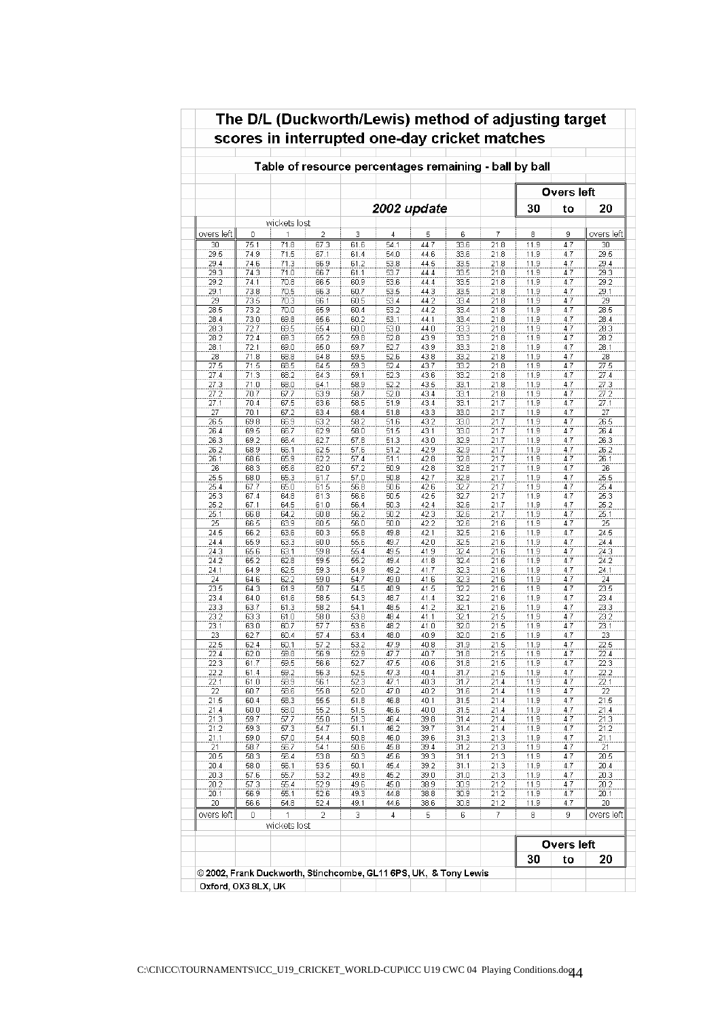|                 |              |                   |              |                   |              |              |              |              | Table of resource percentages remaining - ball by ball |            |                 |
|-----------------|--------------|-------------------|--------------|-------------------|--------------|--------------|--------------|--------------|--------------------------------------------------------|------------|-----------------|
|                 |              |                   |              |                   |              |              |              |              |                                                        | Overs left |                 |
|                 |              |                   |              |                   |              | 2002 update  |              |              | 30                                                     | to         | 20              |
|                 |              | wickets lost      |              |                   |              |              |              |              |                                                        |            |                 |
| overs left      | 0            | 1                 | 2            | 3                 | 4            | 5            | 6            | 7            | 8                                                      | 9          | overs left      |
| 30<br>29.5      | 75.1<br>74.9 | 71.8<br>71.5      | 67.3<br>67.1 | 61.6<br>61.4      | 54.1<br>54.0 | 44.7<br>44.6 | 33.6<br>33.6 | 21.8<br>21.8 | 11.9<br>11.9                                           | 4.7<br>4.7 | 30<br>29.5      |
| 29.4            | 74.6         | 71.3              | 66.9         | 61.2              | 53.8         | 44.5         | 33.5         | 21.8         | 11.9                                                   | 4.7        | 29.4            |
| 29.3            | 74.3         | 71.0              | 66.7         | 61.1              | 53.7         | 44.4         | 33.5         | 21.8         | 11.9                                                   | 4.7        | 29.3            |
| 29.2            | 74.1         | 70.8              | 66.5         | 60.9              | 53.6         | 44.4         | 33.5         | 21.8         | 11.9                                                   | 4.7        | 29.2            |
| 29.1            | 73.8         | 70.5              | 66.3         | 60.7              | 53.5         | 44.3         | 33.5         | 21.8         | 11.9                                                   | 4.7        | 29.1            |
| 29              | 73.5         | 70.3              | 66.1         | 60.5              | 53.4         | 44.2         | 33.4         | 21.8         | 11.9                                                   | 4.7        | 29              |
| 28.5            | 73.2         | 70.0              | 65.9         | 60.4              | 53.2         | 44.2         | 33.4         | 21.8         | 11.9                                                   | 4.7        | 28.5            |
| 28.4            | 73.0         | 69.8              | 65.6         | 60.2              | 53.1         | 44.1         | 33.4         | 21.8         | 11.9                                                   | 4.7        | 28.4            |
| 28.3            | 72.7         | 69.5              | 65.4         | 60.0              | 53.0         | 44.0         | 33.3         | 21.8         | 11.9                                                   | 4.7        | 28.3            |
| 28.2            | 72.4         | 69.3              | 65.2         | 59.8              | 52.8         | 43.9         | 33.3         | 21.8         | 11.9                                                   | 4.7        | 28.2            |
| 28.1            | 72.1         | 69.0              | 65.0         | 59.7              | 52.7         | 43.9         | 33.3         | 21.8         | 11.9                                                   | 4.7        | 28.1            |
| 28              | 71.8         | 68.8              | 64.8         | 59.5              | 52.6         | 43.8         | 33.2         | 21.8         | 11.9                                                   | 4.7        | 28              |
| 27.5            | 71.5         | 68.5              | 64.5         | 59.3              | 52.4         | 43.7         | 33.2         | 21.8         | 11.9                                                   | 4.7        | 27.5            |
| 27.4            | 71.3         | 68.2              | 64.3         | 59.1              | 52.3         | 43.6         | 33.2         | 21.8         | 11.9                                                   | 4.7        | 27.4            |
| 27.3            | 71.0<br>70.7 | 68.0              | 64.1         | 58.9<br>58.7      | 52.2<br>52.0 | 43.5<br>43.4 | 33.1         | 21.8         | 11.9<br>11.9                                           | 4.7<br>4.7 | 27.3            |
| 27.2<br>27.1    | 70.4         | 67.7<br>67.5      | 63.9<br>63.6 | 58.5              | 51.9         | 43.4         | 33.1<br>33.1 | 21.8<br>21.7 | 11.9                                                   | 4.7        | 27.2<br>27.1    |
| 27              | 70.1         | 67.2              | 63.4         | 58.4              | 51.8         | 43.3         | 33.0         | 21.7         | 11.9                                                   | 4.7        | 27              |
| 26.5            | 69.8         | 66.9              | 63.2         | $\overline{58.2}$ | 51.6         | 43.2         | 33.0         | 21.7         | 11.9                                                   | 4.7        | 26.5            |
| 26.4            | 69.5         | 66.7              | 62.9         | 58.0              | 51.5         | 43.1         | 33.0         | 21.7         | 11.9                                                   | 4.7        | 26.4            |
| 26.3            | 69.2         | 66.4              | 62.7         | 57.8              | 51.3         | 43.0         | 32.9         | 21.7         | 11.9                                                   | 4.7        | 26.3            |
| 26.2            | 68.9         | 66.1              | 62.5         | 57.6              | 51.2         | 42.9         | 32.9         | 21.7         | 11.9                                                   | 4.7        | 26.2            |
| 26.1            | 68.6         | 65.9              | 62.2         | 57.4              | 51.1         | 42.8         | 32.8         | 21.7         | 11.9                                                   | 4.7        | 26.1            |
| $\overline{26}$ | 68.3         | 65.6              | 62.0         | 57.2              | 50.9         | 42.8         | 32.8         | 21.7         | 11.9                                                   | 4.7        | 26              |
| 25.5            | 68.0         | 65.3              | 61.7         | 57.0              | 50.8         | 42.7         | 32.8         | 21.7         | 11.9                                                   | 4.7        | 25.5            |
| 25.4            | 67.7         | 65.0              | 61.5         | 56.8              | 50.6         | 42.6         | 32.7         | 21.7         | 11.9                                                   | 4.7        | 25.4            |
| 25.3            | 67.4         | 64.8              | 61.3         | 56.6              | 50.5         | 42.5         | 32.7         | 21.7         | 11.9                                                   | 4.7        | 25.3            |
| 25.2            | 67.1         | 64.5              | 61.0         | 56.4              | 50.3         | 42.4         | 32.6         | 21.7         | 11.9                                                   | 4.7        | 25.2            |
| 25.1            | 66.8         | 64.2              | 60.8         | 56.2              | 50.2         | 42.3         | 32.6         | 21.7         | 11.9                                                   | 4.7        | 25.1            |
| 25              | 66.5         | 63.9              | 60.5         | 56.0              | 50.0         | 42.2         | 32.6         | 21.6         | 11.9                                                   | 4.7        | 25              |
| 24.5            | 66.2         | 63.6              | 60.3         | 55.8              | 49.8         | 42.1         | 32.5         | 21.6         | 11.9                                                   | 4.7        | 24.5            |
| 24.4            | 65.9         | 63.3              | 60.0         | 55.6              | 49.7         | 42.0         | 32.5         | 21.6         | 11.9                                                   | 4.7        | 24.4            |
| 24.3            | 65.6         | 63.1              | 59.8         | 55.4              | 49.5         | 41.9         | 32.4         | 21.6         | 11.9                                                   | 4.7        | 24.3            |
| 24.2            | 65.2         | 62.8              | 59.5         | 55.2              | 49.4         | 41.8         | 32.4         | 21.6         | 11.9                                                   | 4.7        | 24.2            |
| 24.1            | 64.9         | 62.5              | 59.3         | 54.9              | 49.2         | 41.7         | 32.3         | 21.6         | 11.9                                                   | 4.7        | 24.1            |
| 24              | 64.6<br>64.3 | 62.2              | 59.0<br>58.7 | 54.7<br>54.5      | 49.0<br>48.9 | 41.6<br>41.5 | 32.3         | 21.6         | 11.9<br>11.9                                           | 4.7<br>4.7 | 24              |
| 23.5<br>23.4    | 64.0         | 61.9<br>61.6      | 58.5         | 54.3              | 48.7         | 41.4         | 32.2<br>32.2 | 21.6<br>21.6 | 11.9                                                   | 4.7        | 23.5<br>23.4    |
| 23.3            | 63.7         | 61.3              | 58.2         | 54.1              | 48.5         | 41.2         | 32.1         | 21.6         | 11.9                                                   | 4.7        | 23.3            |
| 23.2            | 63.3         | 61.0              | 58.0         | 53.8              | 48.4         | 41.1         | 32.1         | 21.5         | 11.9                                                   | 4.7        | 23.2            |
| 23.1            | 63.0         | 60.7              | 57.7         | 53.6              | 48.2         | 41.0         | 32.0         | 21.5         | 11.9                                                   | 4.7        | 23.1            |
| $\overline{23}$ | 62.7         | 60.4              | 57.4         | 53.4              | 48.0         | 40.9         | 32.0         | 21.5         | 11.9                                                   | 4.7        | $\overline{23}$ |
| 22.5            | 62.4         | 60.1              | 57.2         | 53.2              | 47.9         | 40.8         | 31.9         | 21.5         | 11.9                                                   | 4.7        | 22.5            |
| 22.4            | 62.0         | 59.8              | 56.9         | 52.9              | 47.7         | 40.7         | 31.8         | 21.5         | 11.9                                                   | 4.7        | 22.4            |
| 22.3            | 61.7         | 59.5              | 56.6         | 52.7              | 47.5         | 40.6         | 31.8         | 21.5         | 11.9                                                   | 4.7        | 22.3            |
| 22.2            | 61.4         | 59.2              | 56.3         | 52.5              | 47.3         | 40.4         | 31.7         | 21.5         | 11.9                                                   | 4.7        | 22.2            |
| 22.1            | 61.0         | 58.9              | 56.1         | 52.3              | 47.1         | 40.3         | 31.7         | 21.4         | 11.9                                                   | 4.7        | 22.1            |
| 22              | 60.7         | 58.6              | 55.8         | 52.0              | 47.0         | 40.2         | 31.6         | 21.4         | 11.9                                                   | 4.7        | 22              |
| 21.5            | 60.4         | 58.3              | 55.5         | 51.8              | 46.8         | 40.1         | 31.5         | 21.4         | 11.9                                                   | 4.7        | 21.5            |
| 21.4            | 60.0         | 58.0              | 55.2         | 51.5              | 46.6         | 40.0         | 31.5         | 21.4         | 11.9                                                   | 4.7        | 21.4            |
| 21.3            | 59.7         | 57.7              | 55.0         | 51.3              | 46.4         | 39.8         | 31.4         | 21.4         | 11.9                                                   | 4.7        | 21.3            |
| 21.2            | 59.3         | 57.3              | 54.7         | 51.1              | 46.2         | 39.7         | 31.4         | 21.4         | 11.9                                                   | 4.7        | 21.2            |
| 21.1            | 59.0         | 57.0              | 54.4         | 50.8              | 46.0         | 39.6         | 31.3         | 21.3         | 11.9                                                   | 4.7        | 21.1            |
| 21              | 58.7         | 56.7              | 54.1         | 50.6              | 45.8         | 39.4         | 31.2         | 21.3         | 11.9                                                   | 4.7        | 21              |
| 20.5            | 58.3         | 56.4              | 53.8         | 50.3              | 45.6         | 39.3         | 31.1         | 21.3         | 11.9                                                   | 4.7        | 20.5            |
| 20.4            | 58.0         | 56.1              | 53.5         | 50.1              | 45.4         | 39.2         | 31.1         | 21.3         | 11.9                                                   | 4.7        | 20.4            |
| 20.3<br>20.2    | 57.6<br>57.3 | 55.7<br>55.4      | 53.2<br>52.9 | 49.8<br>49.6      | 45.2         | 39.0<br>38.9 | 31.0<br>30.9 | 21.3<br>21.2 | 11.9<br>11.9                                           | 4.7<br>4.7 | 20.3<br>20.2    |
| 20.1            | 56.9         | 55.1              | 52.6         | 49.3              | 45.0<br>44.8 | 38.8         | 30.9         | 21.2         | 11.9                                                   | 4.7        | 20.1            |
| 20              | 56.6         | 54.8              | 52.4         | 49.1              | 44.6         | 38.6         | 30.8         | 21.2         | 11.9                                                   | 4.7        | 20              |
|                 |              |                   |              |                   |              |              |              |              |                                                        |            |                 |
| overs left      | 0            | 1<br>wickets lost | 2            | 3                 | 4            | 5            | 6            | 7            | 8                                                      | 9          | overs left      |
|                 |              |                   |              |                   |              |              |              |              |                                                        | Overs left |                 |
|                 |              |                   |              |                   |              |              |              |              | 30                                                     | to         | 20              |

# The D/L (Duckworth/Lewis) method of adjusting target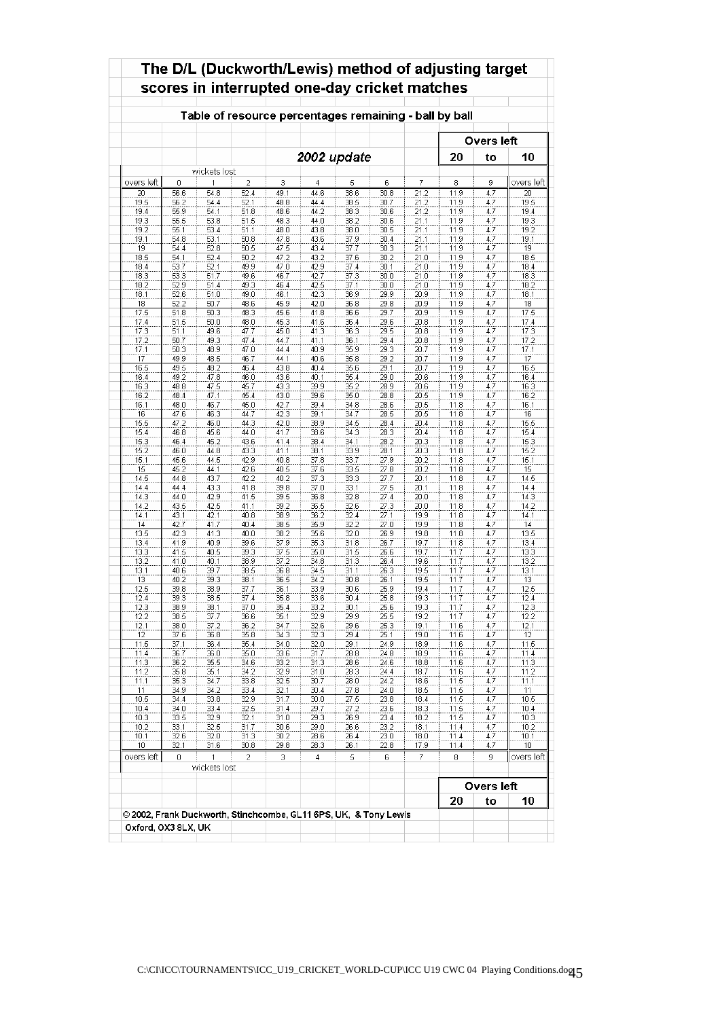|              |              | Table of resource percentages remaining - ball by ball |                |              |              |              |              |              | scores in interrupted one-day cricket matches |                   |              |
|--------------|--------------|--------------------------------------------------------|----------------|--------------|--------------|--------------|--------------|--------------|-----------------------------------------------|-------------------|--------------|
|              |              |                                                        |                |              |              |              |              |              |                                               | <b>Overs left</b> |              |
|              |              |                                                        |                |              | 2002 update  |              |              |              | 20                                            | to                | 10           |
|              |              | wickets lost                                           |                |              |              |              |              |              |                                               |                   |              |
| overs left   | 0            | 1                                                      | $\overline{2}$ | 3            | 4            | 5            | 6            | 7            | 8                                             | 9                 | overs left   |
| 20           | 56.6         | 54.8                                                   | 52.4           | 49.1         | 44.6         | 38.6         | 30.8         | 21.2         | 11.9                                          | 4.7               | 20           |
| 19.5         | 56.2         | 54.4                                                   | 52.1           | 48.8         | 44.4         | 38.5         | 30.7         | 21.2         | 11.9                                          | 4.7               | 19.5         |
| 19.4<br>19.3 | 55.9<br>55.5 | 54.1<br>53.8                                           | 51.8<br>51.5   | 48.6<br>48.3 | 44.2<br>44.0 | 38.3<br>38.2 | 30.6<br>30.6 | 21.2<br>21.1 | 11.9<br>11.9                                  | 4.7<br>4.7        | 19.4<br>19.3 |
| 19.2         | 55.1         | 53.4                                                   | 51.1           | 48.0         | 43.8         | 38.0         | 30.5         | 21.1         | 11.9                                          | 4.7               | 19.2         |
| 19.1         | 54.8         | 53.1                                                   | 50.8           | 47.8         | 43.6         | 37.9         | 30.4         | 21.1         | 11.9                                          | 4.7               | 19.1         |
| 19           | 54.4         | 52.8                                                   | 50.5           | 47.5         | 43.4         | 37.7         | 30.3         | 21.1         | 11.9                                          | 4.7               | 19           |
| 18.5         | 54.1         | 52.4                                                   | 50.2           | 47.2         | 43.2         | 37.6         | 30.2         | 21.0         | 11.9                                          | 4.7               | 18.5         |
| 18.4         | 53.7         | 52.1                                                   | 49.9           | 47.0         | 42.9         | 37.4         | 30.1         | 21.0         | 11.9                                          | 4.7               | 18.4         |
| 18.3         | 53.3         | 51.7                                                   | 49.6           | 46.7         | 42.7         | 37.3         | 30.0         | 21.0         | 11.9                                          | 4.7               | 18.3         |
| 18.2         | 52.9         | 51.4                                                   | 49.3           | 46.4         | 42.5         | 37.1         | 30.0         | 21.0         | 11.9                                          | 4.7               | 18.2         |
| 18.1<br>18   | 52.6<br>52.2 | 51.0<br>50.7                                           | 49.0           | 46.1<br>45.9 | 42.3         | 36.9         | 29.9<br>29.8 | 20.9<br>20.9 | 11.9<br>11.9                                  | 4.7<br>4.7        | 18.1<br>18   |
| 17.5         | 51.8         | 50.3                                                   | 48.6<br>48.3   | 45.6         | 42.0<br>41.8 | 36.8<br>36.6 | 29.7         | 20.9         | 11.9                                          | 4.7               | 17.5         |
| 17.4         | 51.5         | 50.0                                                   | 48.0           | 45.3         | 41.6         | 36.4         | 29.6         | 20.8         | 11.9                                          | 4.7               | 17.4         |
| 17.3         | 51.1         | 49.6                                                   | 47.7           | 45.0         | 41.3         | 36.3         | 29.5         | 20.8         | 11.9                                          | 4.7               | 17.3         |
| 17.2         | 50.7         | 49.3                                                   | 47.4           | 44.7         | 41.1         | 36.1         | 29.4         | 20.8         | 11.9                                          | 4.7               | 17.2         |
| 17.1         | 50.3         | 48.9                                                   | 47.0           | 44.4         | 40.9         | 35.9         | 29.3         | 20.7         | 11.9                                          | 4.7               | 17.1         |
| 17           | 49.9         | 48.5                                                   | 46.7           | 44.1         | 40.6         | 35.8         | 29.2         | 20.7         | 11.9                                          | 4.7               | 17           |
| 16.5         | 49.5         | 48.2                                                   | 46.4           | 43.8         | 40.4         | 35.6         | 29.1         | 20.7         | 11.9                                          | 4.7               | 16.5         |
| 16.4         | 49.2         | 47.8                                                   | 46.0           | 43.6         | 40.1         | 35.4         | 29.0         | 20.6         | 11.9                                          | 4.7               | 16.4         |
| 16.3         | 48.8         | 47.5                                                   | 45.7           | 43.3         | 39.9         | 35.2         | 28.9         | 20.6         | 11.9                                          | 4.7               | 16.3         |
| 16.2         | 48.4         | 47.1                                                   | 45.4           | 43.0<br>42.7 | 39.6         | 35.0         | 28.8         | 20.5<br>20.5 | 11.9<br>11.8                                  | 4.7               | 16.2         |
| 16.1<br>16   | 48.0<br>47.6 | 46.7<br>46.3                                           | 45.0<br>44.7   | 42.3         | 39.4<br>39.1 | 34.8<br>34.7 | 28.6<br>28.5 | 20.5         | 11.8                                          | 4.7<br>4.7        | 16.1<br>16   |
| 15.5         | 47.2         | 46.0                                                   | 44.3           | 42.0         | 38.9         | 34.5         | 28.4         | 20.4         | 11.8                                          | 4.7               | 15.5         |
| 15.4         | 46.8         | 45.6                                                   | 44.0           | 41.7         | 38.6         | 34.3         | 28.3         | 20.4         | 11.8                                          | 4.7               | 15.4         |
| 15.3         | 46.4         | 45.2                                                   | 43.6           | 41.4         | 38.4         | 34.1         | 28.2         | 20.3         | 11.8                                          | 4.7               | 15.3         |
| 15.2         | 46.0         | 44.8                                                   | 43.3           | 41.1         | 38.1         | 33.9         | 28.1         | 20.3         | 11.8                                          | 4.7               | 15.2         |
| 15.1         | 45.6         | 44.5                                                   | 42.9           | 40.8         | 37.8         | 33.7         | 27.9         | 20.2         | 11.8                                          | 4.7               | 15.1         |
| 15           | 45.2         | 44.1                                                   | 42.6           | 40.5         | 37.6         | 33.5         | 27.8         | 20.2         | 11.8                                          | 4.7               | 15           |
| 14.5         | 44.8         | 43.7                                                   | 42.2           | 40.2         | 37.3         | 33.3         | 27.7         | 20.1         | 11.8                                          | 4.7               | 14.5         |
| 14.4         | 44.4         | 43.3                                                   | 41.8           | 39.8         | 37.0         | 33.1         | 27.5         | 20.1         | 11.8                                          | 4.7               | 14.4         |
| 14.3         | 44.0         | 42.9                                                   | 41.5           | 39.5         | 36.8         | 32.8         | 27.4         | 20.0         | 11.8                                          | 4.7               | 14.3         |
| 14.2         | 43.5         | 42.5                                                   | 41.1<br>40.8   | 39.2         | 36.5         | 32.6         | 27.3<br>27.1 | 20.0         | 11.8<br>11.8                                  | 4.7               | 14.2         |
| 14.1<br>14   | 43.1<br>42.7 | 42.1<br>41.7                                           | 40.4           | 38.9<br>38.5 | 36.2<br>35.9 | 32.4<br>32.2 | 27.0         | 19.9<br>19.9 | 11.8                                          | 4.7<br>4.7        | 14.1<br>14   |
| 13.5         | 42.3         | 41.3                                                   | 40.0           | 38.2         | 35.6         | 32.0         | 26.9         | 19.8         | 11.8                                          | 4.7               | 13.5         |
| 13.4         | 41.9         | 40.9                                                   | 39.6           | 37.9         | 35.3         | 31.8         | 26.7         | 19.7         | 11.8                                          | 4.7               | 13.4         |
| 13.3         | 41.5         | 40.5                                                   | 39.3           | 37.5         | 35.0         | 31.5         | 26.6         | 19.7         | 11.7                                          | 4.7               | 13.3         |
| 13.2         | 41.0         | 40.1                                                   | 38.9           | 37.2         | 34.8         | 31.3         | 26.4         | 19.6         | 11.7                                          | 4.7               | 13.2         |
| 13.1         | 40.6         | 39.7                                                   | 38.5           | 36.8         | 34.5         | 31.1         | 26.3         | 19.5         | 11.7                                          | 4.7               | 13.1         |
| 13           | 40.2         | 39.3                                                   | 38.1           | 36.5         | 34.2         | 30.8         | 26.1         | 19.5         | 11.7                                          | 4.7               | 13           |
| 12.5         | 39.8         | 38.9                                                   | 37.7           | 36.1         | 33.9         | 30.6         | 25.9         | 19.4         | 11.7                                          | 4.7               | 12.5         |
| 12.4         | 39.3         | 38.5                                                   | 37.4           | 35.8         | 33.6         | 30.4         | 25.8         | 19.3         | 11.7                                          | 4.7               | 12.4         |
| 12.3         | 38.9         | 38.1                                                   | 37.0           | 35.4         | 33.2         | 30.1         | 25.6         | 19.3         | 11.7                                          | 4.7               | 12.3         |
| 12.2<br>12.1 | 38.5<br>38.0 | 37.7<br>37.2                                           | 36.6<br>36.2   | 35.1<br>34.7 | 32.9<br>32.6 | 29.9<br>29.6 | 25.5<br>25.3 | 19.2<br>19.1 | 11.7<br>11.6                                  | 4.7<br>4.7        | 12.2<br>12.1 |
| 12           | 37.6         | 36.8                                                   | 35.8           | 34.3         | 32.3         | 29.4         | 25.1         | 19.0         | 11.6                                          | 4.7               | 12           |
| 11.5         | 37.1         | 36.4                                                   | 35.4           | 34.0         | 32.0         | 29.1         | 24.9         | 18.9         | 11.6                                          | 4.7               | 11.5         |
| 11.4         | 36.7         | 36.0                                                   | 35.0           | 33.6         | 31.7         | 28.8         | 24.8         | 18.9         | 11.6                                          | 4.7               | 11.4         |
| 11.3         | 36.2         | 35.5                                                   | 34.6           | 33.2         | 31.3         | 28.6         | 24.6         | 18.8         | 11.6                                          | 4.7               | 11.3         |
| 11.2         | 35.8         | 35.1                                                   | 34.2           | 32.9         | 31.0         | 28.3         | 24.4         | 18.7         | 11.6                                          | 4.7               | 11.2         |
| 11.1         | 35.3         | 34.7                                                   | 33.8           | 32.5         | 30.7         | 28.0         | 24.2         | 18.6         | 11.5                                          | 4.7               | 11.1         |
| 11           | 34.9         | 34.2                                                   | 33.4           | 32.1         | 30.4         | 27.8         | 24.0         | 18.5         | 11.5                                          | 4.7               | 11           |
| 10.5         | 34.4         | 33.8                                                   | 32.9           | 31.7         | 30.0         | 27.5         | 23.8         | 18.4         | 11.5                                          | 4.7               | 10.5         |
| 10.4         | 34.0         | 33.4                                                   | 32.5           | 31.4         | 29.7         | 27.2         | 23.6         | 18.3         | 11.5                                          | 4.7               | 10.4         |
| 10.3<br>10.2 | 33.5<br>33.1 | 32.9                                                   | 32.1           | 31.0<br>30.6 | 29.3         | 26.9<br>26.6 | 23.4         | 18.2         | 11.5<br>11.4                                  | 4.7<br>4.7        | 10.3         |
| 10.1         | 32.6         | 32.5<br>32.0                                           | 31.7<br>31.3   | 30.2         | 29.0<br>28.6 | 26.4         | 23.2<br>23.0 | 18.1<br>18.0 | 11.4                                          | 4.7               | 10.2<br>10.1 |
| 10           | 32.1         | 31.6                                                   | 30.8           | 29.8         | 28.3         | 26.1         | 22.8         | 17.9         | 11.4                                          | 4.7               | 10           |
| overs left   | 0            | 1                                                      | 2              | 3            | 4            | 5            | 6            | 7            | 8                                             | 9                 | overs left   |
|              |              | wickets lost                                           |                |              |              |              |              |              |                                               |                   |              |
|              |              |                                                        |                |              |              |              |              |              |                                               | Overs left        |              |
|              |              |                                                        |                |              |              |              |              |              | 20                                            | to                | 10           |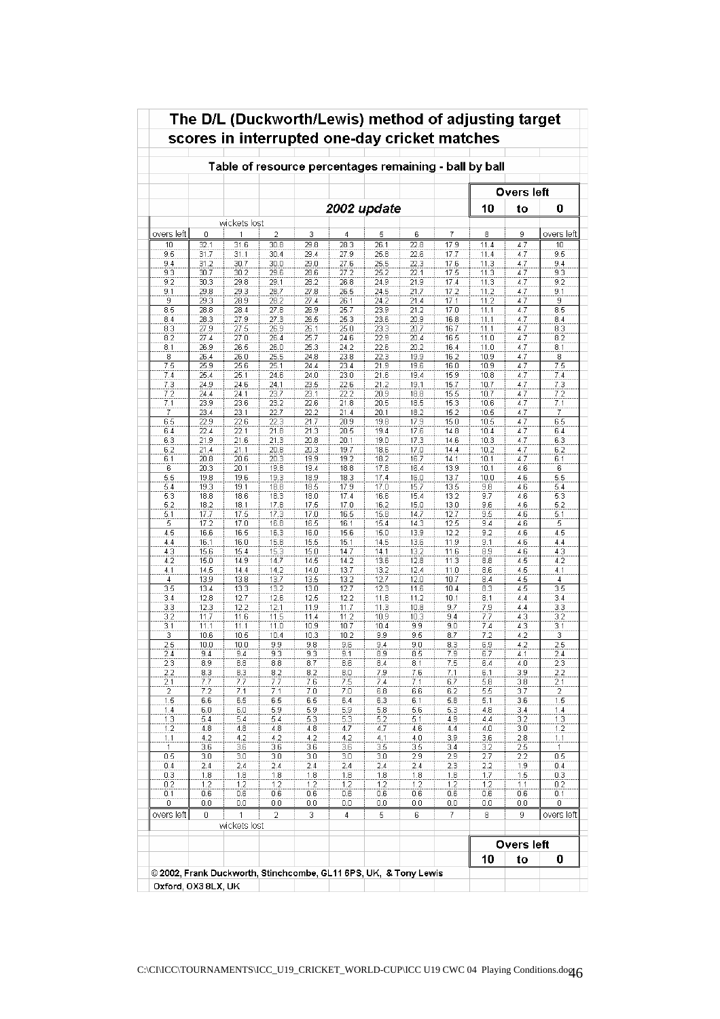| wickets lost<br>1<br>31.6<br>31.1<br>30.7<br>30.2<br>29.8<br>29.3<br>28.9<br>28.4<br>27.9<br>27.5<br>27.0<br>26.5<br>26.0<br>25.6<br>25.1<br>24.6<br>24.1<br>23.6<br>23.1<br>22.6<br>22.1 | $\overline{2}$<br>30.8<br>30.4<br>30.0<br>29.6<br>29.1<br>28.7<br>28.2<br>27.8<br>27.3<br>26.9<br>26.4<br>26.0<br>25.5<br>25.1<br>24.6<br>24.1<br>23.7<br>23.2<br>22.7<br>22.3 | 3<br>29.8<br>29.4<br>29.0<br>28.6<br>28.2<br>27.8<br>27.4<br>26.9<br>26.5<br>26.1<br>25.7<br>25.3<br>24.8<br>24.4<br>24.0<br>23.5<br>23.1<br>22.6 | 4<br>28.3<br>27.9<br>27.6<br>27.2<br>26.8<br>26.5<br>26.1<br>25.7<br>25.3<br>25.0<br>24.6<br>24.2<br>23.8<br>23.4<br>23.0<br>22.6<br>22.2 | Table of resource percentages remaining - ball by ball<br>2002 update<br>5<br>26.1<br>25.8<br>25.5<br>25.2<br>24.9<br>24.5<br>24.2<br>23.9<br>23.6<br>23.3<br>22.9<br>22.6<br>22.3<br>21.9<br>21.6 | 6<br>22.8<br>22.6<br>22.3<br>22.1<br>21.9<br>21.7<br>21.4<br>21.2<br>20.9<br>20.7<br>20.4<br>20.2<br>19.9 | 7<br>17.9<br>17.7<br>17.6<br>17.5<br>17.4<br>17.2<br>17.1<br>17.0<br>16.8<br>16.7<br>16.5<br>16.4<br>16.2 | 10<br>8<br>11.4<br>11.4<br>11.3<br>11.3<br>11.3<br>11.2<br>11.2<br>11.1<br>11.1<br>11.1<br>11.0<br>11.0<br>10.9 | <b>Overs</b> left<br>to<br>9<br>4.7<br>4.7<br>4.7<br>4.7<br>4.7<br>4.7<br>4.7<br>4.7<br>4.7<br>4.7<br>4.7<br>4.7 | 0<br>overs left<br>10<br>9.5<br>9.4<br>9.3<br>9.2<br>9.1<br>9<br>8.5<br>8.4<br>8.3<br>8.2 |
|-------------------------------------------------------------------------------------------------------------------------------------------------------------------------------------------|--------------------------------------------------------------------------------------------------------------------------------------------------------------------------------|---------------------------------------------------------------------------------------------------------------------------------------------------|-------------------------------------------------------------------------------------------------------------------------------------------|----------------------------------------------------------------------------------------------------------------------------------------------------------------------------------------------------|-----------------------------------------------------------------------------------------------------------|-----------------------------------------------------------------------------------------------------------|-----------------------------------------------------------------------------------------------------------------|------------------------------------------------------------------------------------------------------------------|-------------------------------------------------------------------------------------------|
|                                                                                                                                                                                           |                                                                                                                                                                                |                                                                                                                                                   |                                                                                                                                           |                                                                                                                                                                                                    |                                                                                                           |                                                                                                           |                                                                                                                 |                                                                                                                  |                                                                                           |
|                                                                                                                                                                                           |                                                                                                                                                                                |                                                                                                                                                   |                                                                                                                                           |                                                                                                                                                                                                    |                                                                                                           |                                                                                                           |                                                                                                                 |                                                                                                                  |                                                                                           |
|                                                                                                                                                                                           |                                                                                                                                                                                |                                                                                                                                                   |                                                                                                                                           |                                                                                                                                                                                                    |                                                                                                           |                                                                                                           |                                                                                                                 |                                                                                                                  |                                                                                           |
|                                                                                                                                                                                           |                                                                                                                                                                                |                                                                                                                                                   |                                                                                                                                           |                                                                                                                                                                                                    |                                                                                                           |                                                                                                           |                                                                                                                 |                                                                                                                  |                                                                                           |
|                                                                                                                                                                                           |                                                                                                                                                                                |                                                                                                                                                   |                                                                                                                                           |                                                                                                                                                                                                    |                                                                                                           |                                                                                                           |                                                                                                                 |                                                                                                                  |                                                                                           |
|                                                                                                                                                                                           |                                                                                                                                                                                |                                                                                                                                                   |                                                                                                                                           |                                                                                                                                                                                                    |                                                                                                           |                                                                                                           |                                                                                                                 |                                                                                                                  |                                                                                           |
|                                                                                                                                                                                           |                                                                                                                                                                                |                                                                                                                                                   |                                                                                                                                           |                                                                                                                                                                                                    |                                                                                                           |                                                                                                           |                                                                                                                 |                                                                                                                  |                                                                                           |
|                                                                                                                                                                                           |                                                                                                                                                                                |                                                                                                                                                   |                                                                                                                                           |                                                                                                                                                                                                    |                                                                                                           |                                                                                                           |                                                                                                                 |                                                                                                                  |                                                                                           |
|                                                                                                                                                                                           |                                                                                                                                                                                |                                                                                                                                                   |                                                                                                                                           |                                                                                                                                                                                                    |                                                                                                           |                                                                                                           |                                                                                                                 |                                                                                                                  |                                                                                           |
|                                                                                                                                                                                           |                                                                                                                                                                                |                                                                                                                                                   |                                                                                                                                           |                                                                                                                                                                                                    |                                                                                                           |                                                                                                           |                                                                                                                 |                                                                                                                  |                                                                                           |
|                                                                                                                                                                                           |                                                                                                                                                                                |                                                                                                                                                   |                                                                                                                                           |                                                                                                                                                                                                    |                                                                                                           |                                                                                                           |                                                                                                                 |                                                                                                                  |                                                                                           |
|                                                                                                                                                                                           |                                                                                                                                                                                |                                                                                                                                                   |                                                                                                                                           |                                                                                                                                                                                                    |                                                                                                           |                                                                                                           |                                                                                                                 |                                                                                                                  |                                                                                           |
|                                                                                                                                                                                           |                                                                                                                                                                                |                                                                                                                                                   |                                                                                                                                           |                                                                                                                                                                                                    |                                                                                                           |                                                                                                           |                                                                                                                 |                                                                                                                  |                                                                                           |
|                                                                                                                                                                                           |                                                                                                                                                                                |                                                                                                                                                   |                                                                                                                                           |                                                                                                                                                                                                    |                                                                                                           |                                                                                                           |                                                                                                                 |                                                                                                                  |                                                                                           |
|                                                                                                                                                                                           |                                                                                                                                                                                |                                                                                                                                                   |                                                                                                                                           |                                                                                                                                                                                                    |                                                                                                           |                                                                                                           |                                                                                                                 |                                                                                                                  |                                                                                           |
|                                                                                                                                                                                           |                                                                                                                                                                                |                                                                                                                                                   |                                                                                                                                           |                                                                                                                                                                                                    |                                                                                                           |                                                                                                           |                                                                                                                 |                                                                                                                  | 8.1                                                                                       |
|                                                                                                                                                                                           |                                                                                                                                                                                |                                                                                                                                                   |                                                                                                                                           |                                                                                                                                                                                                    |                                                                                                           |                                                                                                           |                                                                                                                 | 4.7                                                                                                              | 8                                                                                         |
|                                                                                                                                                                                           |                                                                                                                                                                                |                                                                                                                                                   |                                                                                                                                           |                                                                                                                                                                                                    | 19.6                                                                                                      | 16.0                                                                                                      | 10.9                                                                                                            | 4.7                                                                                                              | 7.5                                                                                       |
|                                                                                                                                                                                           |                                                                                                                                                                                |                                                                                                                                                   |                                                                                                                                           |                                                                                                                                                                                                    | 19.4                                                                                                      | 15.9                                                                                                      | 10.8                                                                                                            | 4.7                                                                                                              | 7.4                                                                                       |
|                                                                                                                                                                                           |                                                                                                                                                                                |                                                                                                                                                   |                                                                                                                                           | 21.2                                                                                                                                                                                               | 19.1                                                                                                      | 15.7                                                                                                      | 10.7                                                                                                            | 4.7                                                                                                              | 7.3                                                                                       |
|                                                                                                                                                                                           |                                                                                                                                                                                |                                                                                                                                                   |                                                                                                                                           | 20.9                                                                                                                                                                                               | 18.8                                                                                                      | 15.5                                                                                                      | 10.7                                                                                                            | 4.7                                                                                                              | 7.2                                                                                       |
|                                                                                                                                                                                           |                                                                                                                                                                                |                                                                                                                                                   | 21.8                                                                                                                                      | 20.5                                                                                                                                                                                               | 18.5                                                                                                      | 15.3                                                                                                      | 10.6                                                                                                            | 4.7                                                                                                              | 7.1                                                                                       |
|                                                                                                                                                                                           |                                                                                                                                                                                | 22.2                                                                                                                                              | 21.4                                                                                                                                      | 20.1                                                                                                                                                                                               | 18.2                                                                                                      | 15.2                                                                                                      | 10.5                                                                                                            | 4.7                                                                                                              | 7                                                                                         |
|                                                                                                                                                                                           |                                                                                                                                                                                | 21.7                                                                                                                                              | 20.9                                                                                                                                      | 19.8                                                                                                                                                                                               | 17.9                                                                                                      | 15.0                                                                                                      | 10.5                                                                                                            | 4.7                                                                                                              | 6.5                                                                                       |
|                                                                                                                                                                                           | 21.8                                                                                                                                                                           | 21.3                                                                                                                                              | 20.5                                                                                                                                      | 19.4                                                                                                                                                                                               | 17.6                                                                                                      | 14.8                                                                                                      | 10.4                                                                                                            | 4.7                                                                                                              | 6.4                                                                                       |
| 21.6                                                                                                                                                                                      | 21.3                                                                                                                                                                           | 20.8                                                                                                                                              | 20.1                                                                                                                                      | 19.0                                                                                                                                                                                               | 17.3                                                                                                      | 14.6                                                                                                      | 10.3                                                                                                            | 4.7                                                                                                              | 6.3                                                                                       |
| 21.1                                                                                                                                                                                      | 20.8                                                                                                                                                                           | 20.3                                                                                                                                              | 19.7                                                                                                                                      | 18.6                                                                                                                                                                                               | 17.0                                                                                                      | 14.4                                                                                                      | 10.2                                                                                                            | 4.7                                                                                                              | 6.2                                                                                       |
| 20.6                                                                                                                                                                                      | 20.3                                                                                                                                                                           | 19.9                                                                                                                                              | 19.2                                                                                                                                      | 18.2                                                                                                                                                                                               | 16.7                                                                                                      | 14.1                                                                                                      | 10.1                                                                                                            | 4.7                                                                                                              | 6.1                                                                                       |
| 20.1                                                                                                                                                                                      | 19.8                                                                                                                                                                           | 19.4                                                                                                                                              | 18.8                                                                                                                                      | 17.8                                                                                                                                                                                               | 16.4                                                                                                      | 13.9                                                                                                      | 10.1                                                                                                            | 4.6                                                                                                              | 6                                                                                         |
| 19.6                                                                                                                                                                                      | 19.3                                                                                                                                                                           | 18.9                                                                                                                                              | 18.3                                                                                                                                      | 17.4                                                                                                                                                                                               | 16.0                                                                                                      | 13.7                                                                                                      | 10.0                                                                                                            | 4.6                                                                                                              | 5.5                                                                                       |
| 19.1                                                                                                                                                                                      | 18.8                                                                                                                                                                           | 18.5                                                                                                                                              | 17.9                                                                                                                                      | 17.0                                                                                                                                                                                               | 15.7                                                                                                      | 13.5                                                                                                      | 9.8                                                                                                             | 4.6                                                                                                              | 5.4                                                                                       |
| 18.6                                                                                                                                                                                      | 18.3                                                                                                                                                                           | 18.0                                                                                                                                              | 17.4                                                                                                                                      | 16.6                                                                                                                                                                                               | 15.4                                                                                                      | 13.2                                                                                                      | 9.7                                                                                                             | 4.6                                                                                                              | 5.3                                                                                       |
| 18.1                                                                                                                                                                                      | 17.8                                                                                                                                                                           | 17.5                                                                                                                                              | 17.0                                                                                                                                      | 16.2                                                                                                                                                                                               | 15.0                                                                                                      | 13.0                                                                                                      | 9.6                                                                                                             | 4.6                                                                                                              | 5.2                                                                                       |
| 17.5                                                                                                                                                                                      | 17.3                                                                                                                                                                           | 17.0                                                                                                                                              | 16.5                                                                                                                                      | 15.8                                                                                                                                                                                               | 14.7                                                                                                      | 12.7                                                                                                      | 9.5                                                                                                             | 4.6                                                                                                              | 5.1                                                                                       |
| 17.0                                                                                                                                                                                      | 16.8                                                                                                                                                                           | 16.5                                                                                                                                              | 16.1                                                                                                                                      | 15.4                                                                                                                                                                                               | 14.3                                                                                                      | 12.5                                                                                                      | 9.4                                                                                                             | 4.6                                                                                                              | 5                                                                                         |
| 16.5<br>16.0                                                                                                                                                                              | 16.3                                                                                                                                                                           | 16.0                                                                                                                                              | 15.6                                                                                                                                      | 15.0<br>14.5                                                                                                                                                                                       | 13.9                                                                                                      | 12.2<br>11.9                                                                                              | 9.2<br>9.1                                                                                                      | 4.6<br>4.6                                                                                                       | 4.5<br>4.4                                                                                |
| 15.4                                                                                                                                                                                      | 15.8<br>15.3                                                                                                                                                                   | 15.5                                                                                                                                              | 15.1                                                                                                                                      |                                                                                                                                                                                                    | 13.6                                                                                                      |                                                                                                           |                                                                                                                 |                                                                                                                  |                                                                                           |
| 14.9                                                                                                                                                                                      | 14.7                                                                                                                                                                           | 15.0<br>14.5                                                                                                                                      | 14.7<br>14.2                                                                                                                              | 14.1<br>13.6                                                                                                                                                                                       | 13.2<br>12.8                                                                                              | 11.6<br>11.3                                                                                              | 8.9<br>8.8                                                                                                      | 4.6<br>4.5                                                                                                       | 4.3<br>4.2                                                                                |
| 14.4                                                                                                                                                                                      | 14.2                                                                                                                                                                           | 14.0                                                                                                                                              | 13.7                                                                                                                                      | 13.2                                                                                                                                                                                               | 12.4                                                                                                      | 11.0                                                                                                      | 8.6                                                                                                             | 4.5                                                                                                              | 4.1                                                                                       |
| 13.8                                                                                                                                                                                      | 13.7                                                                                                                                                                           | 13.5                                                                                                                                              | 13.2                                                                                                                                      | 12.7                                                                                                                                                                                               | 12.0                                                                                                      | 10.7                                                                                                      | 8.4                                                                                                             | 4.5                                                                                                              | 4                                                                                         |
| 13.3                                                                                                                                                                                      | 13.2                                                                                                                                                                           | 13.0                                                                                                                                              | 12.7                                                                                                                                      | 12.3                                                                                                                                                                                               | 11.6                                                                                                      | 10.4                                                                                                      | 8.3                                                                                                             | 4.5                                                                                                              | 3.5                                                                                       |
| 12.7                                                                                                                                                                                      | 12.6                                                                                                                                                                           | 12.5                                                                                                                                              | 12.2                                                                                                                                      | 11.8                                                                                                                                                                                               | 11.2                                                                                                      | 10.1                                                                                                      | 8.1                                                                                                             | 4.4                                                                                                              | 3.4                                                                                       |
| 12.2                                                                                                                                                                                      | 12.1                                                                                                                                                                           | 11.9                                                                                                                                              | 11.7                                                                                                                                      | 11.3                                                                                                                                                                                               | 10.8                                                                                                      | 9.7                                                                                                       | 7.9                                                                                                             | 4.4                                                                                                              | 3.3                                                                                       |
| 11.6                                                                                                                                                                                      | 11.5                                                                                                                                                                           | 11.4                                                                                                                                              | 11.2                                                                                                                                      | 10.9                                                                                                                                                                                               | 10.3                                                                                                      | 9.4                                                                                                       | 7.7                                                                                                             | 4.3                                                                                                              | 3.2                                                                                       |
| 11.1                                                                                                                                                                                      | 11.0                                                                                                                                                                           | 10.9                                                                                                                                              | 10.7                                                                                                                                      | 10.4                                                                                                                                                                                               | 9.9                                                                                                       | 9.0                                                                                                       | 7.4                                                                                                             | 4.3                                                                                                              | 3.1                                                                                       |
| 10.5                                                                                                                                                                                      | 10.4                                                                                                                                                                           | 10.3                                                                                                                                              | 10.2                                                                                                                                      | 9.9                                                                                                                                                                                                | 9.5                                                                                                       | 8.7                                                                                                       | 7.2                                                                                                             | 4.2                                                                                                              | 3                                                                                         |
| 10.0                                                                                                                                                                                      | 9.9                                                                                                                                                                            | 9.8                                                                                                                                               | 9.6                                                                                                                                       | 9.4                                                                                                                                                                                                | 9.0                                                                                                       | 8.3                                                                                                       | 6.9                                                                                                             | 4.2                                                                                                              | 2.5                                                                                       |
| 9.4                                                                                                                                                                                       | 9.3                                                                                                                                                                            | 9.5                                                                                                                                               | 9. I                                                                                                                                      | 6.Y                                                                                                                                                                                                | 8.5                                                                                                       | 7.9                                                                                                       | b.l                                                                                                             | 4. I                                                                                                             | 2.4                                                                                       |
| 8.8                                                                                                                                                                                       | 8.8                                                                                                                                                                            | 8.7                                                                                                                                               | 8.6                                                                                                                                       | 8.4                                                                                                                                                                                                | 8.1                                                                                                       | 7.5                                                                                                       | 6.4                                                                                                             | 4.0                                                                                                              | 2.3                                                                                       |
| 8.3                                                                                                                                                                                       | 8.2                                                                                                                                                                            | 8.2                                                                                                                                               | 8.0                                                                                                                                       | 7.9                                                                                                                                                                                                | 7.6                                                                                                       | 7.1                                                                                                       | 6.1                                                                                                             | 3.9                                                                                                              | 2.2                                                                                       |
| 7.7                                                                                                                                                                                       | 7.7                                                                                                                                                                            | 7.6                                                                                                                                               | 7.5                                                                                                                                       | 7.4                                                                                                                                                                                                | 7.1                                                                                                       | 6.7                                                                                                       | 5.8                                                                                                             | 3.8                                                                                                              | 2.1                                                                                       |
| 7.1                                                                                                                                                                                       | 7.1                                                                                                                                                                            | 7.0                                                                                                                                               | 7.0                                                                                                                                       | 6.8                                                                                                                                                                                                | 6.6                                                                                                       | 6.2                                                                                                       | 5.5                                                                                                             | 3.7                                                                                                              | 2                                                                                         |
| 6.5                                                                                                                                                                                       | 6.5                                                                                                                                                                            | 6.5                                                                                                                                               | 6.4                                                                                                                                       | 6.3                                                                                                                                                                                                | 6.1                                                                                                       | 5.8                                                                                                       | 5.1                                                                                                             | 3.6                                                                                                              | 1.5                                                                                       |
| 6.0                                                                                                                                                                                       | 5.9                                                                                                                                                                            | 5.9                                                                                                                                               | 5.9                                                                                                                                       | 5.8                                                                                                                                                                                                | 5.6                                                                                                       | 5.3                                                                                                       | 4.8                                                                                                             | 3.4                                                                                                              | 1.4                                                                                       |
| 5.4                                                                                                                                                                                       | 5.4                                                                                                                                                                            | 5.3                                                                                                                                               | 5.3                                                                                                                                       | 5.2                                                                                                                                                                                                | 5.1                                                                                                       | 4.9                                                                                                       | 4.4                                                                                                             | 3.2                                                                                                              | 1.3                                                                                       |
| 4.8                                                                                                                                                                                       | 4.8                                                                                                                                                                            | 4.8                                                                                                                                               | 4.7                                                                                                                                       | 4.7                                                                                                                                                                                                | 4.6                                                                                                       | 4.4                                                                                                       | 4.0                                                                                                             | 3.0                                                                                                              | 1.2                                                                                       |
| 4.2                                                                                                                                                                                       | 4.2                                                                                                                                                                            | 4.2                                                                                                                                               | 4.2                                                                                                                                       | 4.1                                                                                                                                                                                                | 4.0                                                                                                       | 3.9                                                                                                       | 3.6                                                                                                             | 2.8                                                                                                              | 1.1                                                                                       |
| 3.6                                                                                                                                                                                       | 3.6                                                                                                                                                                            | 3.6                                                                                                                                               | 3.6                                                                                                                                       | 3.5                                                                                                                                                                                                | 3.5                                                                                                       | 3.4                                                                                                       | 3.2                                                                                                             | 2.5                                                                                                              | $\mathbf{1}$                                                                              |
| 3.0                                                                                                                                                                                       | 3.0                                                                                                                                                                            | 3.0                                                                                                                                               | 3.0                                                                                                                                       | 3.0                                                                                                                                                                                                | 2.9                                                                                                       | 2.9                                                                                                       | 2.7                                                                                                             | 2.2                                                                                                              | 0.5                                                                                       |
| 2.4                                                                                                                                                                                       | 2.4                                                                                                                                                                            | 2.4                                                                                                                                               | 2.4                                                                                                                                       | 2.4                                                                                                                                                                                                | 2.4                                                                                                       | 2.3                                                                                                       | 2.2                                                                                                             | 1.9                                                                                                              | 0.4                                                                                       |
|                                                                                                                                                                                           |                                                                                                                                                                                |                                                                                                                                                   |                                                                                                                                           |                                                                                                                                                                                                    |                                                                                                           |                                                                                                           |                                                                                                                 |                                                                                                                  | 0.3                                                                                       |
|                                                                                                                                                                                           |                                                                                                                                                                                |                                                                                                                                                   |                                                                                                                                           |                                                                                                                                                                                                    |                                                                                                           |                                                                                                           |                                                                                                                 |                                                                                                                  | 0.2                                                                                       |
|                                                                                                                                                                                           |                                                                                                                                                                                |                                                                                                                                                   |                                                                                                                                           |                                                                                                                                                                                                    |                                                                                                           |                                                                                                           |                                                                                                                 |                                                                                                                  | 0.1                                                                                       |
| 0.6                                                                                                                                                                                       |                                                                                                                                                                                |                                                                                                                                                   |                                                                                                                                           |                                                                                                                                                                                                    |                                                                                                           |                                                                                                           |                                                                                                                 |                                                                                                                  | 0                                                                                         |
| 0.0                                                                                                                                                                                       | 2                                                                                                                                                                              | з                                                                                                                                                 | 4                                                                                                                                         | 5                                                                                                                                                                                                  | 6                                                                                                         | 7                                                                                                         | 8                                                                                                               | 9                                                                                                                | overs left                                                                                |
| 1                                                                                                                                                                                         |                                                                                                                                                                                |                                                                                                                                                   |                                                                                                                                           |                                                                                                                                                                                                    |                                                                                                           |                                                                                                           |                                                                                                                 |                                                                                                                  |                                                                                           |
|                                                                                                                                                                                           |                                                                                                                                                                                |                                                                                                                                                   |                                                                                                                                           |                                                                                                                                                                                                    |                                                                                                           |                                                                                                           |                                                                                                                 |                                                                                                                  |                                                                                           |
|                                                                                                                                                                                           |                                                                                                                                                                                |                                                                                                                                                   |                                                                                                                                           |                                                                                                                                                                                                    |                                                                                                           |                                                                                                           | 10                                                                                                              | to                                                                                                               | 0                                                                                         |
|                                                                                                                                                                                           | 1.8<br>1.2                                                                                                                                                                     | 1.8<br>1.2<br>0.6<br>0.0<br>wickets lost                                                                                                          | 1.8<br>1.2<br>0.6<br>0.0                                                                                                                  | 1.8<br>1.2<br>0.6<br>0.0                                                                                                                                                                           | 1.8<br>1.2<br>0.6<br>0.0                                                                                  | 1.8<br>1.2<br>0.6<br>0.0                                                                                  | 1.8<br>1.2<br>0.6<br>0.0<br>@ 2002, Frank Duckworth, Stinchcombe, GL11 6PS, UK, & Tony Lewis                    | 1.7<br>1.2<br>0.6<br>0.0<br>Oxford, OX3 8LX, UK                                                                  | 1.5<br>1.1<br>0.6<br>0.0<br><b>Overs left</b>                                             |